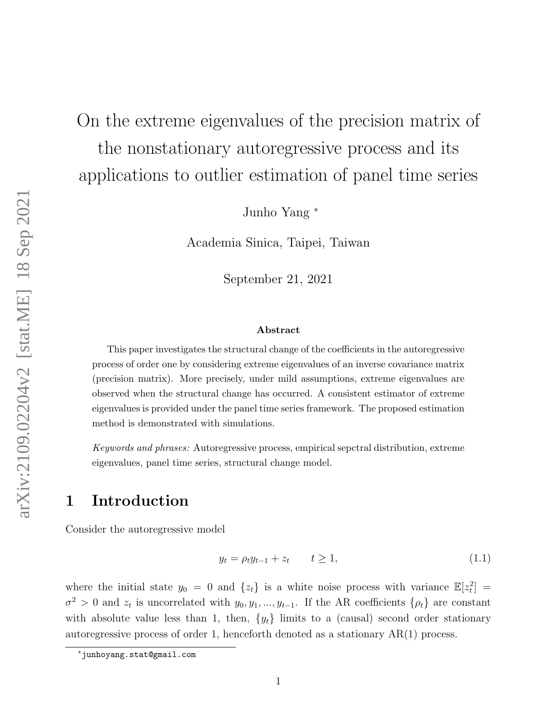# On the extreme eigenvalues of the precision matrix of the nonstationary autoregressive process and its

applications to outlier estimation of panel time series

Junho Yang <sup>∗</sup>

Academia Sinica, Taipei, Taiwan

September 21, 2021

#### Abstract

This paper investigates the structural change of the coefficients in the autoregressive process of order one by considering extreme eigenvalues of an inverse covariance matrix (precision matrix). More precisely, under mild assumptions, extreme eigenvalues are observed when the structural change has occurred. A consistent estimator of extreme eigenvalues is provided under the panel time series framework. The proposed estimation method is demonstrated with simulations.

Keywords and phrases: Autoregressive process, empirical sepctral distribution, extreme eigenvalues, panel time series, structural change model.

### <span id="page-0-1"></span>1 Introduction

Consider the autoregressive model

<span id="page-0-0"></span>
$$
y_t = \rho_t y_{t-1} + z_t \qquad t \ge 1,\tag{1.1}
$$

where the initial state  $y_0 = 0$  and  $\{z_t\}$  is a white noise process with variance  $\mathbb{E}[z_t^2] =$  $\sigma^2 > 0$  and  $z_t$  is uncorrelated with  $y_0, y_1, ..., y_{t-1}$ . If the AR coefficients  $\{\rho_t\}$  are constant with absolute value less than 1, then,  $\{y_t\}$  limits to a (causal) second order stationary autoregressive process of order 1, henceforth denoted as a stationary AR(1) process.

<sup>∗</sup>junhoyang.stat@gmail.com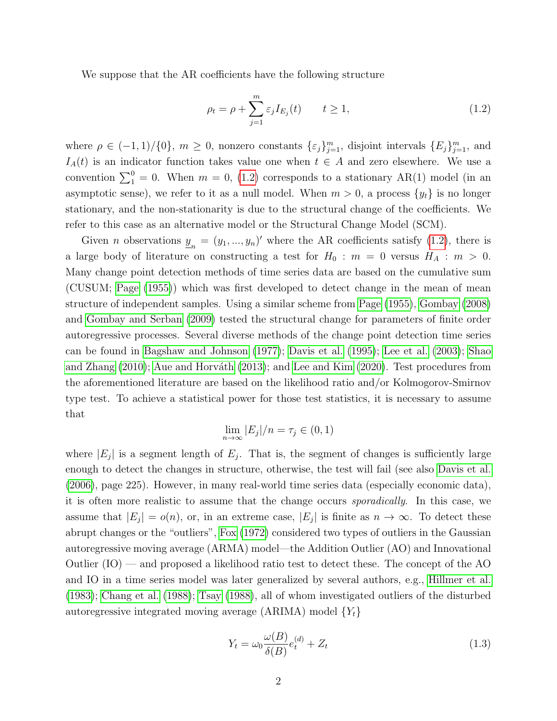We suppose that the AR coefficients have the following structure

<span id="page-1-0"></span>
$$
\rho_t = \rho + \sum_{j=1}^m \varepsilon_j I_{E_j}(t) \qquad t \ge 1,
$$
\n(1.2)

where  $\rho \in (-1,1)/\{0\}$ ,  $m \geq 0$ , nonzero constants  $\{\varepsilon_j\}_{j=1}^m$ , disjoint intervals  $\{E_j\}_{j=1}^m$ , and  $I_A(t)$  is an indicator function takes value one when  $t \in A$  and zero elsewhere. We use a convention  $\sum_{1}^{0} = 0$ . When  $m = 0$ , [\(1.2\)](#page-1-0) corresponds to a stationary AR(1) model (in an asymptotic sense), we refer to it as a null model. When  $m > 0$ , a process  $\{y_t\}$  is no longer stationary, and the non-stationarity is due to the structural change of the coefficients. We refer to this case as an alternative model or the Structural Change Model (SCM).

Given *n* observations  $\underline{y}_n = (y_1, ..., y_n)'$  where the AR coefficients satisfy [\(1.2\)](#page-1-0), there is a large body of literature on constructing a test for  $H_0 : m = 0$  versus  $H_A : m > 0$ . Many change point detection methods of time series data are based on the cumulative sum (CUSUM; [Page](#page-51-0) [\(1955\)](#page-51-0)) which was first developed to detect change in the mean of mean structure of independent samples. Using a similar scheme from [Page](#page-51-0) [\(1955\)](#page-51-0), [Gombay](#page-50-0) [\(2008\)](#page-50-0) and [Gombay and Serban](#page-50-1) [\(2009\)](#page-50-1) tested the structural change for parameters of finite order autoregressive processes. Several diverse methods of the change point detection time series can be found in [Bagshaw and Johnson](#page-49-0) [\(1977\)](#page-49-0); [Davis et al.](#page-50-2) [\(1995\)](#page-50-2); [Lee et al.](#page-51-1) [\(2003\)](#page-51-1); [Shao](#page-51-2) [and Zhang](#page-51-2)  $(2010)$ ; Aue and Horváth  $(2013)$ ; and [Lee and Kim](#page-51-3)  $(2020)$ . Test procedures from the aforementioned literature are based on the likelihood ratio and/or Kolmogorov-Smirnov type test. To achieve a statistical power for those test statistics, it is necessary to assume that

$$
\lim_{n \to \infty} |E_j|/n = \tau_j \in (0, 1)
$$

where  $|E_j|$  is a segment length of  $E_j$ . That is, the segment of changes is sufficiently large enough to detect the changes in structure, otherwise, the test will fail (see also [Davis et al.](#page-50-3) [\(2006\)](#page-50-3), page 225). However, in many real-world time series data (especially economic data), it is often more realistic to assume that the change occurs sporadically. In this case, we assume that  $|E_j| = o(n)$ , or, in an extreme case,  $|E_j|$  is finite as  $n \to \infty$ . To detect these abrupt changes or the "outliers", [Fox](#page-50-4) [\(1972\)](#page-50-4) considered two types of outliers in the Gaussian autoregressive moving average (ARMA) model—the Addition Outlier (AO) and Innovational Outlier (IO) — and proposed a likelihood ratio test to detect these. The concept of the AO and IO in a time series model was later generalized by several authors, e.g., [Hillmer et al.](#page-50-5) [\(1983\)](#page-50-5); [Chang et al.](#page-50-6) [\(1988\)](#page-50-6); [Tsay](#page-51-4) [\(1988\)](#page-51-4), all of whom investigated outliers of the disturbed autoregressive integrated moving average (ARIMA) model  $\{Y_t\}$ 

<span id="page-1-1"></span>
$$
Y_t = \omega_0 \frac{\omega(B)}{\delta(B)} e_t^{(d)} + Z_t \tag{1.3}
$$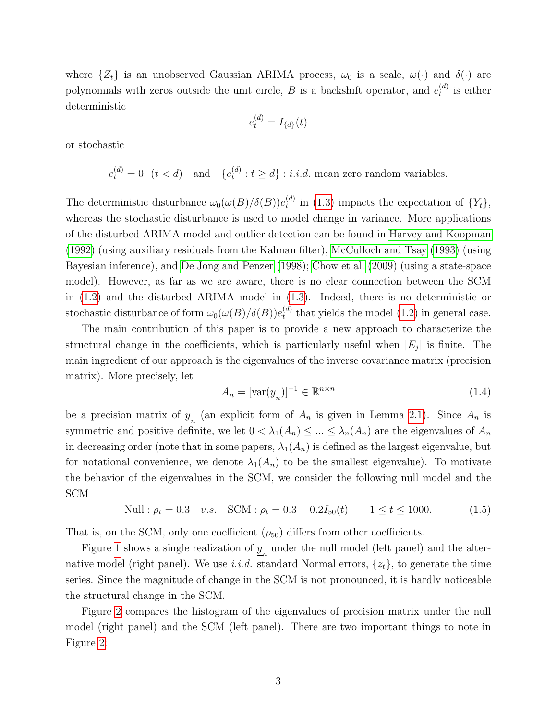where  $\{Z_t\}$  is an unobserved Gaussian ARIMA process,  $\omega_0$  is a scale,  $\omega(\cdot)$  and  $\delta(\cdot)$  are polynomials with zeros outside the unit circle, B is a backshift operator, and  $e_t^{(d)}$  $t^{(a)}$  is either deterministic

$$
e_t^{(d)} = I_{\{d\}}(t)
$$

or stochastic

 $e_t^{(d)} = 0 \t (t < d)$  and  $\{e_t^{(d)}\}$  $t_t^{(a)}$ :  $t \geq d$  : *i.i.d.* mean zero random variables.

The deterministic disturbance  $\omega_0(\omega(B)/\delta(B))e_t^{(d)}$  $t_t^{(a)}$  in [\(1.3\)](#page-1-1) impacts the expectation of  $\{Y_t\},$ whereas the stochastic disturbance is used to model change in variance. More applications of the disturbed ARIMA model and outlier detection can be found in [Harvey and Koopman](#page-50-7) [\(1992\)](#page-50-7) (using auxiliary residuals from the Kalman filter), [McCulloch and Tsay](#page-51-5) [\(1993\)](#page-51-5) (using Bayesian inference), and [De Jong and Penzer](#page-50-8) [\(1998\)](#page-50-8); [Chow et al.](#page-50-9) [\(2009\)](#page-50-9) (using a state-space model). However, as far as we are aware, there is no clear connection between the SCM in [\(1.2\)](#page-1-0) and the disturbed ARIMA model in [\(1.3\)](#page-1-1). Indeed, there is no deterministic or stochastic disturbance of form  $\omega_0(\omega(B)/\delta(B))e_t^{(d)}$  $t_t^{(a)}$  that yields the model [\(1.2\)](#page-1-0) in general case.

The main contribution of this paper is to provide a new approach to characterize the structural change in the coefficients, which is particularly useful when  $|E_j|$  is finite. The main ingredient of our approach is the eigenvalues of the inverse covariance matrix (precision matrix). More precisely, let

$$
A_n = [\text{var}(\underline{y}_n)]^{-1} \in \mathbb{R}^{n \times n} \tag{1.4}
$$

be a precision matrix of  $\underline{y}_n$  (an explicit form of  $A_n$  is given in Lemma [2.1\)](#page-5-0). Since  $A_n$  is symmetric and positive definite, we let  $0 < \lambda_1(A_n) \leq ... \leq \lambda_n(A_n)$  are the eigenvalues of  $A_n$ in decreasing order (note that in some papers,  $\lambda_1(A_n)$  is defined as the largest eigenvalue, but for notational convenience, we denote  $\lambda_1(A_n)$  to be the smallest eigenvalue). To motivate the behavior of the eigenvalues in the SCM, we consider the following null model and the SCM

<span id="page-2-0"></span>Null: 
$$
\rho_t = 0.3
$$
 v.s. SCM:  $\rho_t = 0.3 + 0.2I_{50}(t)$   $1 \le t \le 1000.$  (1.5)

That is, on the SCM, only one coefficient  $(\rho_{50})$  differs from other coefficients.

Figure [1](#page-3-0) shows a single realization of  $\underline{y}_n$  under the null model (left panel) and the alternative model (right panel). We use i.i.d. standard Normal errors,  $\{z_t\}$ , to generate the time series. Since the magnitude of change in the SCM is not pronounced, it is hardly noticeable the structural change in the SCM.

Figure [2](#page-3-1) compares the histogram of the eigenvalues of precision matrix under the null model (right panel) and the SCM (left panel). There are two important things to note in Figure [2:](#page-3-1)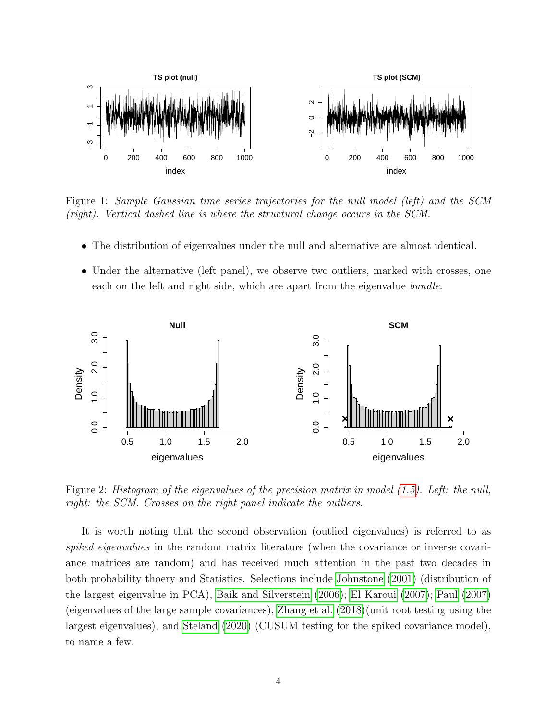

<span id="page-3-0"></span>Figure 1: Sample Gaussian time series trajectories for the null model (left) and the SCM (right). Vertical dashed line is where the structural change occurs in the SCM.

- The distribution of eigenvalues under the null and alternative are almost identical.
- Under the alternative (left panel), we observe two outliers, marked with crosses, one each on the left and right side, which are apart from the eigenvalue *bundle*.



<span id="page-3-1"></span>Figure 2: Histogram of the eigenvalues of the precision matrix in model [\(1.5\)](#page-2-0). Left: the null, right: the SCM. Crosses on the right panel indicate the outliers.

It is worth noting that the second observation (outlied eigenvalues) is referred to as spiked eigenvalues in the random matrix literature (when the covariance or inverse covariance matrices are random) and has received much attention in the past two decades in both probability thoery and Statistics. Selections include [Johnstone](#page-50-10) [\(2001\)](#page-50-10) (distribution of the largest eigenvalue in PCA), [Baik and Silverstein](#page-49-2) [\(2006\)](#page-49-2); [El Karoui](#page-50-11) [\(2007\)](#page-50-11); [Paul](#page-51-6) [\(2007\)](#page-51-6) (eigenvalues of the large sample covariances), [Zhang et al.](#page-51-7) [\(2018\)](#page-51-7)(unit root testing using the largest eigenvalues), and [Steland](#page-51-8) [\(2020\)](#page-51-8) (CUSUM testing for the spiked covariance model), to name a few.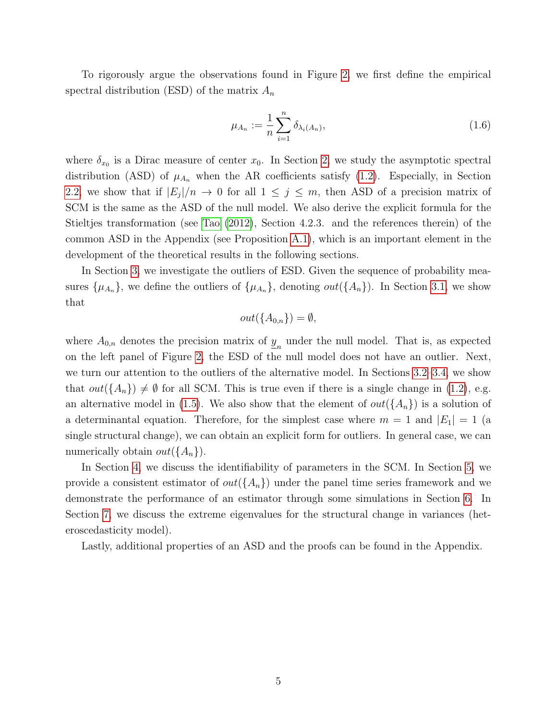To rigorously argue the observations found in Figure [2,](#page-3-1) we first define the empirical spectral distribution (ESD) of the matrix  $A_n$ 

<span id="page-4-0"></span>
$$
\mu_{A_n} := \frac{1}{n} \sum_{i=1}^n \delta_{\lambda_i(A_n)},
$$
\n(1.6)

where  $\delta_{x_0}$  is a Dirac measure of center  $x_0$ . In Section [2,](#page-5-1) we study the asymptotic spectral distribution (ASD) of  $\mu_{A_n}$  when the AR coefficients satisfy [\(1.2\)](#page-1-0). Especially, in Section [2.2,](#page-6-0) we show that if  $|E_j|/n \to 0$  for all  $1 \leq j \leq m$ , then ASD of a precision matrix of SCM is the same as the ASD of the null model. We also derive the explicit formula for the Stieltjes transformation (see [Tao](#page-51-9) [\(2012\)](#page-51-9), Section 4.2.3. and the references therein) of the common ASD in the Appendix (see Proposition [A.1\)](#page-23-0), which is an important element in the development of the theoretical results in the following sections.

In Section [3,](#page-8-0) we investigate the outliers of ESD. Given the sequence of probability measures  $\{\mu_{A_n}\}\$ , we define the outliers of  $\{\mu_{A_n}\}\$ , denoting  $out(\{A_n\})$ . In Section [3.1,](#page-8-1) we show that

$$
out(\{A_{0,n}\}) = \emptyset,
$$

where  $A_{0,n}$  denotes the precision matrix of  $\underline{y}_n$  under the null model. That is, as expected on the left panel of Figure [2,](#page-3-1) the ESD of the null model does not have an outlier. Next, we turn our attention to the outliers of the alternative model. In Sections [3.2–](#page-9-0)[3.4,](#page-14-0) we show that  $out({A_n}) \neq \emptyset$  for all SCM. This is true even if there is a single change in [\(1.2\)](#page-1-0), e.g. an alternative model in [\(1.5\)](#page-2-0). We also show that the element of  $out({A_n})$  is a solution of a determinantal equation. Therefore, for the simplest case where  $m = 1$  and  $|E_1| = 1$  (a single structural change), we can obtain an explicit form for outliers. In general case, we can numerically obtain  $out({A_n})$ .

In Section [4,](#page-15-0) we discuss the identifiability of parameters in the SCM. In Section [5,](#page-17-0) we provide a consistent estimator of  $out({A_n})$  under the panel time series framework and we demonstrate the performance of an estimator through some simulations in Section [6.](#page-19-0) In Section [7,](#page-21-0) we discuss the extreme eigenvalues for the structural change in variances (heteroscedasticity model).

Lastly, additional properties of an ASD and the proofs can be found in the Appendix.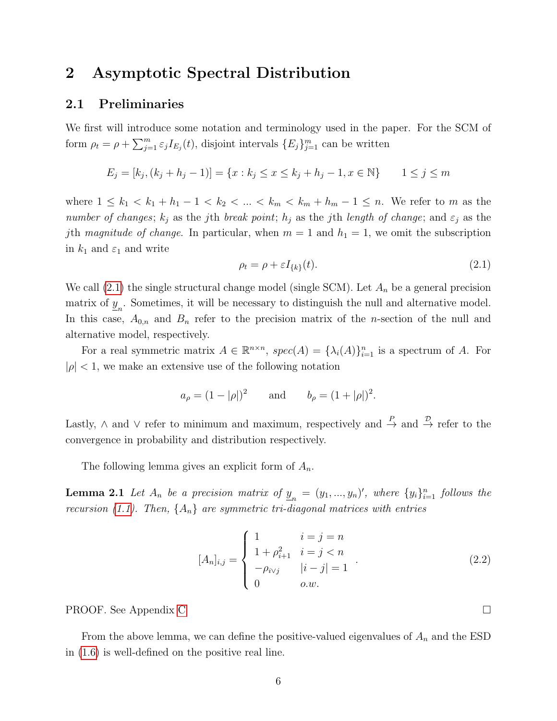### <span id="page-5-1"></span>2 Asymptotic Spectral Distribution

#### 2.1 Preliminaries

We first will introduce some notation and terminology used in the paper. For the SCM of form  $\rho_t = \rho + \sum_{j=1}^m \varepsilon_j I_{E_j}(t)$ , disjoint intervals  $\{E_j\}_{j=1}^m$  can be written

$$
E_j = [k_j, (k_j + h_j - 1)] = \{x : k_j \le x \le k_j + h_j - 1, x \in \mathbb{N}\}
$$
 1 \le j \le m

where  $1 \leq k_1 < k_1 + h_1 - 1 < k_2 < \ldots < k_m < k_m + h_m - 1 \leq n$ . We refer to m as the number of changes;  $k_j$  as the jth break point;  $h_j$  as the jth length of change; and  $\varepsilon_j$  as the jth magnitude of change. In particular, when  $m = 1$  and  $h_1 = 1$ , we omit the subscription in  $k_1$  and  $\varepsilon_1$  and write

<span id="page-5-2"></span>
$$
\rho_t = \rho + \varepsilon I_{\{k\}}(t). \tag{2.1}
$$

We call  $(2.1)$  the single structural change model (single SCM). Let  $A_n$  be a general precision matrix of  $\underline{y}_n$ . Sometimes, it will be necessary to distinguish the null and alternative model. In this case,  $A_{0,n}$  and  $B_n$  refer to the precision matrix of the *n*-section of the null and alternative model, respectively.

For a real symmetric matrix  $A \in \mathbb{R}^{n \times n}$ ,  $spec(A) = {\lambda_i(A)}_{i=1}^n$  is a spectrum of A. For  $|\rho|$  < 1, we make an extensive use of the following notation

$$
a_{\rho} = (1 - |\rho|)^2
$$
 and  $b_{\rho} = (1 + |\rho|)^2$ .

Lastly,  $\wedge$  and  $\vee$  refer to minimum and maximum, respectively and  $\stackrel{P}{\to}$  and  $\stackrel{\mathcal{D}}{\to}$  refer to the convergence in probability and distribution respectively.

The following lemma gives an explicit form of  $A_n$ .

**Lemma 2.1** Let  $A_n$  be a precision matrix of  $\underline{y}_n = (y_1, ..., y_n)'$ , where  $\{y_i\}_{i=1}^n$  follows the recursion [\(1.1\)](#page-0-0). Then,  $\{A_n\}$  are symmetric tri-diagonal matrices with entries

<span id="page-5-3"></span><span id="page-5-0"></span>
$$
[A_n]_{i,j} = \begin{cases} 1 & i = j = n \\ 1 + \rho_{i+1}^2 & i = j < n \\ -\rho_{i \vee j} & |i - j| = 1 \\ 0 & o.w. \end{cases}
$$
 (2.2)

PROOF. See Appendix [C](#page-28-0)

From the above lemma, we can define the positive-valued eigenvalues of  $A_n$  and the ESD in [\(1.6\)](#page-4-0) is well-defined on the positive real line.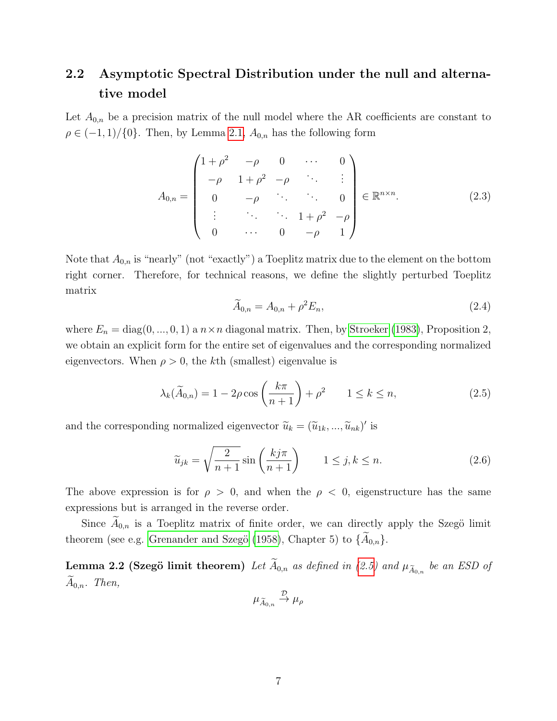# <span id="page-6-0"></span>2.2 Asymptotic Spectral Distribution under the null and alternative model

Let  $A_{0,n}$  be a precision matrix of the null model where the AR coefficients are constant to  $\rho \in (-1,1)/\{0\}$ . Then, by Lemma [2.1,](#page-5-0)  $A_{0,n}$  has the following form

<span id="page-6-3"></span>
$$
A_{0,n} = \begin{pmatrix} 1+\rho^2 & -\rho & 0 & \cdots & 0 \\ -\rho & 1+\rho^2 & -\rho & \ddots & \vdots \\ 0 & -\rho & \ddots & \ddots & 0 \\ \vdots & \ddots & \ddots & 1+\rho^2 & -\rho \\ 0 & \cdots & 0 & -\rho & 1 \end{pmatrix} \in \mathbb{R}^{n \times n}.
$$
 (2.3)

Note that  $A_{0,n}$  is "nearly" (not "exactly") a Toeplitz matrix due to the element on the bottom right corner. Therefore, for technical reasons, we define the slightly perturbed Toeplitz matrix

<span id="page-6-4"></span>
$$
\widetilde{A}_{0,n} = A_{0,n} + \rho^2 E_n,\tag{2.4}
$$

where  $E_n = \text{diag}(0, ..., 0, 1)$  a  $n \times n$  diagonal matrix. Then, by [Stroeker](#page-51-10) [\(1983\)](#page-51-10), Proposition 2, we obtain an explicit form for the entire set of eigenvalues and the corresponding normalized eigenvectors. When  $\rho > 0$ , the kth (smallest) eigenvalue is

<span id="page-6-1"></span>
$$
\lambda_k(\widetilde{A}_{0,n}) = 1 - 2\rho \cos\left(\frac{k\pi}{n+1}\right) + \rho^2 \qquad 1 \le k \le n,
$$
\n(2.5)

and the corresponding normalized eigenvector  $\tilde{u}_k = (\tilde{u}_{1k}, ..., \tilde{u}_{nk})'$  is

<span id="page-6-5"></span>
$$
\widetilde{u}_{jk} = \sqrt{\frac{2}{n+1}} \sin\left(\frac{kj\pi}{n+1}\right) \qquad 1 \le j, k \le n. \tag{2.6}
$$

The above expression is for  $\rho > 0$ , and when the  $\rho < 0$ , eigenstructure has the same expressions but is arranged in the reverse order.

Since  $A_{0,n}$  is a Toeplitz matrix of finite order, we can directly apply the Szegö limit theorem (see e.g. Grenander and Szegö [\(1958\)](#page-50-12), Chapter 5) to  $\{A_{0,n}\}.$ 

**Lemma 2.2 (Szegö limit theorem)** Let  $A_{0,n}$  as defined in [\(2.5\)](#page-6-1) and  $\mu_{\widetilde{A}_{0,n}}$  be an ESD of  $A_{0,n}$ . Then,

<span id="page-6-2"></span>
$$
\mu_{\widetilde{A}_{0,n}} \stackrel{\mathcal{D}}{\rightarrow} \mu_{\rho}
$$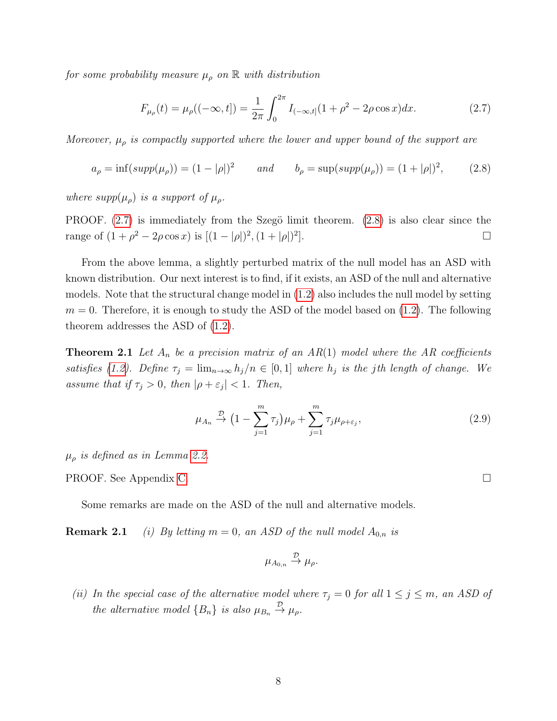for some probability measure  $\mu_{\rho}$  on  $\mathbb{R}$  with distribution

<span id="page-7-0"></span>
$$
F_{\mu_{\rho}}(t) = \mu_{\rho}((-\infty, t]) = \frac{1}{2\pi} \int_0^{2\pi} I_{(-\infty, t]}(1 + \rho^2 - 2\rho \cos x) dx.
$$
 (2.7)

Moreover,  $\mu_{\rho}$  is compactly supported where the lower and upper bound of the support are

<span id="page-7-1"></span>
$$
a_{\rho} = \inf(\text{supp}(\mu_{\rho})) = (1 - |\rho|)^2 \qquad \text{and} \qquad b_{\rho} = \sup(\text{supp}(\mu_{\rho})) = (1 + |\rho|)^2, \tag{2.8}
$$

where  $supp(\mu_{\rho})$  is a support of  $\mu_{\rho}$ .

PROOF.  $(2.7)$  is immediately from the Szegö limit theorem.  $(2.8)$  is also clear since the range of  $(1+\rho^2-2\rho\cos x)$  is  $[(1-|\rho|)^2,(1+|\rho|)^2]$ ].

From the above lemma, a slightly perturbed matrix of the null model has an ASD with known distribution. Our next interest is to find, if it exists, an ASD of the null and alternative models. Note that the structural change model in [\(1.2\)](#page-1-0) also includes the null model by setting  $m = 0$ . Therefore, it is enough to study the ASD of the model based on  $(1.2)$ . The following theorem addresses the ASD of [\(1.2\)](#page-1-0).

**Theorem 2.1** Let  $A_n$  be a precision matrix of an  $AR(1)$  model where the AR coefficients satisfies [\(1.2\)](#page-1-0). Define  $\tau_j = \lim_{n \to \infty} h_j/n \in [0,1]$  where  $h_j$  is the jth length of change. We assume that if  $\tau_j > 0$ , then  $|\rho + \varepsilon_j| < 1$ . Then,

<span id="page-7-4"></span><span id="page-7-3"></span>
$$
\mu_{A_n} \stackrel{\mathcal{D}}{\rightarrow} \left(1 - \sum_{j=1}^m \tau_j\right) \mu_\rho + \sum_{j=1}^m \tau_j \mu_{\rho + \varepsilon_j},\tag{2.9}
$$

 $\mu_{\rho}$  is defined as in Lemma [2.2.](#page-6-2)

PROOF. See Appendix [C.](#page-29-0)

<span id="page-7-2"></span>Some remarks are made on the ASD of the null and alternative models.

**Remark 2.1** (i) By letting  $m = 0$ , an ASD of the null model  $A_{0,n}$  is

$$
\mu_{A_{0,n}} \stackrel{\mathcal{D}}{\rightarrow} \mu_{\rho}.
$$

(ii) In the special case of the alternative model where  $\tau_j = 0$  for all  $1 \le j \le m$ , an ASD of the alternative model  $\{B_n\}$  is also  $\mu_{B_n} \stackrel{\mathcal{D}}{\rightarrow} \mu_{\rho}$ .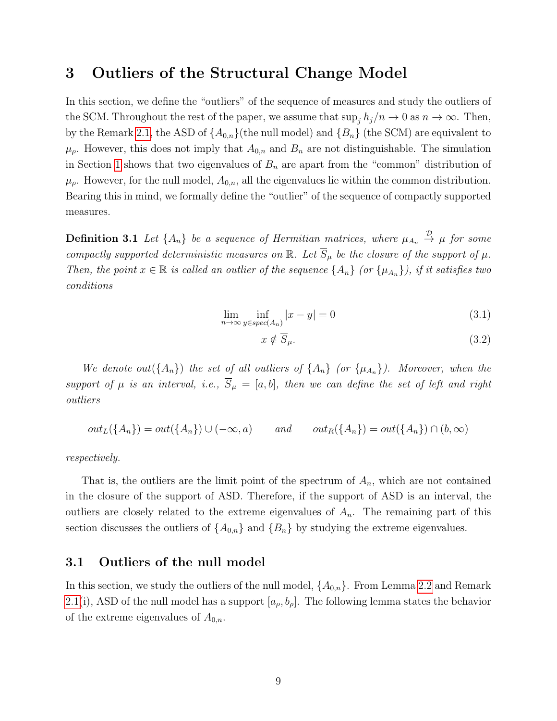### <span id="page-8-0"></span>3 Outliers of the Structural Change Model

In this section, we define the "outliers" of the sequence of measures and study the outliers of the SCM. Throughout the rest of the paper, we assume that  $\sup_j h_j/n \to 0$  as  $n \to \infty$ . Then, by the Remark [2.1,](#page-7-2) the ASD of  $\{A_{0,n}\}$  (the null model) and  $\{B_n\}$  (the SCM) are equivalent to  $\mu_{\rho}$ . However, this does not imply that  $A_{0,n}$  and  $B_n$  are not distinguishable. The simulation in Section [1](#page-0-1) shows that two eigenvalues of  $B_n$  are apart from the "common" distribution of  $\mu_{\rho}$ . However, for the null model,  $A_{0,n}$ , all the eigenvalues lie within the common distribution. Bearing this in mind, we formally define the "outlier" of the sequence of compactly supported measures.

**Definition 3.1** Let  $\{A_n\}$  be a sequence of Hermitian matrices, where  $\mu_{A_n} \stackrel{\mathcal{D}}{\rightarrow} \mu$  for some compactly supported deterministic measures on  $\mathbb{R}$ . Let  $\overline{S}_{\mu}$  be the closure of the support of  $\mu$ . Then, the point  $x \in \mathbb{R}$  is called an outlier of the sequence  $\{A_n\}$  (or  $\{\mu_{A_n}\}\)$ , if it satisfies two conditions

$$
\lim_{n \to \infty} \inf_{y \in spec(A_n)} |x - y| = 0 \tag{3.1}
$$

<span id="page-8-3"></span>
$$
x \notin \overline{S}_{\mu}.\tag{3.2}
$$

We denote out( $\{A_n\}$ ) the set of all outliers of  $\{A_n\}$  (or  $\{\mu_{A_n}\}\)$ ). Moreover, when the support of  $\mu$  is an interval, i.e.,  $\overline{S}_{\mu} = [a, b]$ , then we can define the set of left and right outliers

$$
out_L({A_n}) = out({A_n}) \cup (-\infty, a)
$$
 and  $out_R({A_n}) = out({A_n}) \cap (b, \infty)$ 

respectively.

That is, the outliers are the limit point of the spectrum of  $A_n$ , which are not contained in the closure of the support of ASD. Therefore, if the support of ASD is an interval, the outliers are closely related to the extreme eigenvalues of  $A_n$ . The remaining part of this section discusses the outliers of  $\{A_{0,n}\}\$  and  $\{B_n\}\$  by studying the extreme eigenvalues.

#### <span id="page-8-1"></span>3.1 Outliers of the null model

<span id="page-8-2"></span>In this section, we study the outliers of the null model,  $\{A_{0,n}\}$ . From Lemma [2.2](#page-6-2) and Remark [2.1\(](#page-7-2)i), ASD of the null model has a support  $[a_{\rho}, b_{\rho}]$ . The following lemma states the behavior of the extreme eigenvalues of  $A_{0,n}$ .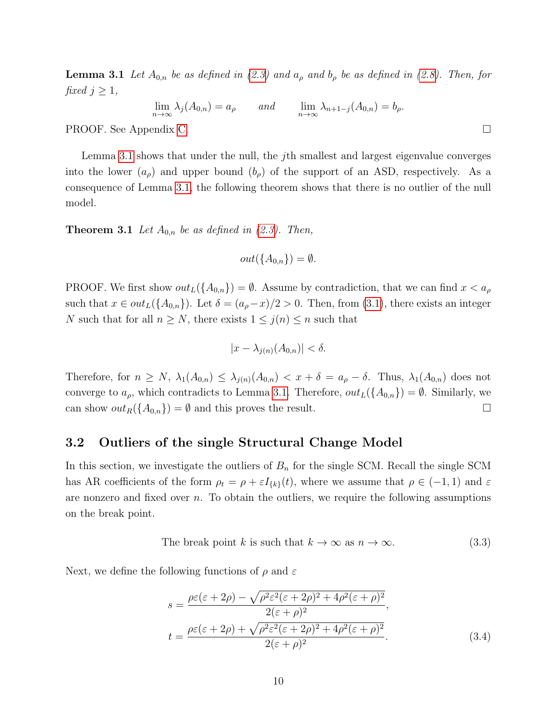**Lemma 3.1** Let  $A_{0,n}$  be as defined in [\(2.3\)](#page-6-3) and  $a_{\rho}$  and  $b_{\rho}$  be as defined in [\(2.8\)](#page-7-1). Then, for fixed  $j \geq 1$ ,

 $\lim_{n \to \infty} \lambda_j(A_{0,n}) = a_\rho$  and  $\lim_{n \to \infty} \lambda_{n+1-j}(A_{0,n}) = b_\rho.$ 

PROOF. See Appendix [C.](#page-32-0)

Lemma [3.1](#page-8-2) shows that under the null, the *j*th smallest and largest eigenvalue converges into the lower  $(a_{\rho})$  and upper bound  $(b_{\rho})$  of the support of an ASD, respectively. As a consequence of Lemma [3.1,](#page-8-2) the following theorem shows that there is no outlier of the null model.

**Theorem 3.1** Let  $A_{0,n}$  be as defined in [\(2.3\)](#page-6-3). Then,

$$
out(\{A_{0,n}\}) = \emptyset.
$$

PROOF. We first show  $out_L({A_{0,n}}) = \emptyset$ . Assume by contradiction, that we can find  $x < a_\rho$ such that  $x \in out_L({A_{0,n}})$ . Let  $\delta = (a_\rho - x)/2 > 0$ . Then, from [\(3.1\)](#page-8-3), there exists an integer N such that for all  $n \geq N$ , there exists  $1 \leq j(n) \leq n$  such that

$$
|x - \lambda_{j(n)}(A_{0,n})| < \delta.
$$

Therefore, for  $n \geq N$ ,  $\lambda_1(A_{0,n}) \leq \lambda_{j(n)}(A_{0,n}) < x + \delta = a_{\rho} - \delta$ . Thus,  $\lambda_1(A_{0,n})$  does not converge to  $a_{\rho}$ , which contradicts to Lemma [3.1.](#page-8-2) Therefore,  $out_L({A_{0,n}}) = \emptyset$ . Similarly, we can show  $out_R({A_{0,n}}) = \emptyset$  and this proves the result.

#### <span id="page-9-0"></span>3.2 Outliers of the single Structural Change Model

In this section, we investigate the outliers of  $B_n$  for the single SCM. Recall the single SCM has AR coefficients of the form  $\rho_t = \rho + \varepsilon I_{\{k\}}(t)$ , where we assume that  $\rho \in (-1,1)$  and  $\varepsilon$ are nonzero and fixed over  $n$ . To obtain the outliers, we require the following assumptions on the break point.

<span id="page-9-1"></span>The break point *k* is such that 
$$
k \to \infty
$$
 as  $n \to \infty$ . (3.3)

Next, we define the following functions of  $\rho$  and  $\varepsilon$ 

<span id="page-9-2"></span>
$$
s = \frac{\rho \varepsilon(\varepsilon + 2\rho) - \sqrt{\rho^2 \varepsilon^2 (\varepsilon + 2\rho)^2 + 4\rho^2 (\varepsilon + \rho)^2}}{2(\varepsilon + \rho)^2},
$$
  

$$
t = \frac{\rho \varepsilon(\varepsilon + 2\rho) + \sqrt{\rho^2 \varepsilon^2 (\varepsilon + 2\rho)^2 + 4\rho^2 (\varepsilon + \rho)^2}}{2(\varepsilon + \rho)^2}.
$$
 (3.4)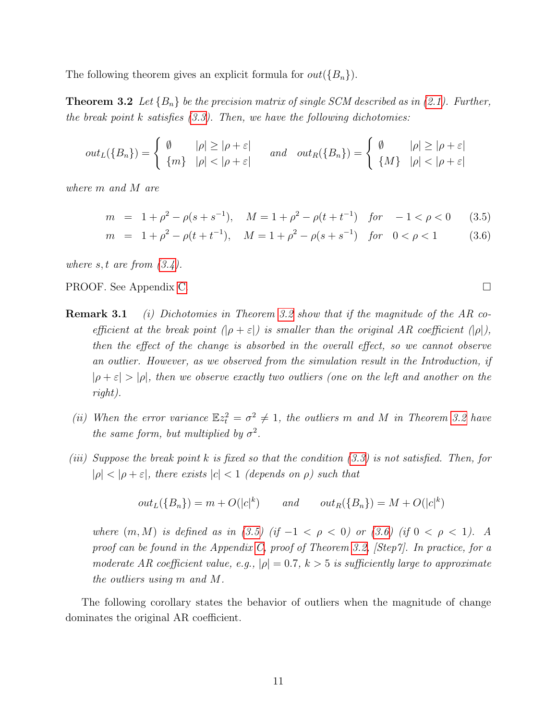The following theorem gives an explicit formula for  $out({B_n})$ .

**Theorem 3.2** Let  ${B_n}$  be the precision matrix of single SCM described as in [\(2.1\)](#page-5-2). Further, the break point k satisfies  $(3.3)$ . Then, we have the following dichotomies:

$$
out_L(\{B_n\}) = \begin{cases} \emptyset & |\rho| \ge |\rho + \varepsilon| \\ \{m\} & |\rho| < |\rho + \varepsilon| \end{cases} \quad and \quad out_R(\{B_n\}) = \begin{cases} \emptyset & |\rho| \ge |\rho + \varepsilon| \\ \{M\} & |\rho| < |\rho + \varepsilon| \end{cases}
$$

where m and M are

<span id="page-10-1"></span>
$$
m = 1 + \rho^2 - \rho(s + s^{-1}), \quad M = 1 + \rho^2 - \rho(t + t^{-1}) \quad \text{for} \quad -1 < \rho < 0 \tag{3.5}
$$

$$
m = 1 + \rho^2 - \rho(t + t^{-1}), \quad M = 1 + \rho^2 - \rho(s + s^{-1}) \quad \text{for} \quad 0 < \rho < 1 \tag{3.6}
$$

where  $s, t$  are from  $(3.4)$ .

<span id="page-10-2"></span>PROOF. See Appendix [C.](#page-32-1)

- **Remark 3.1** (i) Dichotomies in Theorem [3.2](#page-10-0) show that if the magnitude of the AR coefficient at the break point  $(\rho + \varepsilon)$  is smaller than the original AR coefficient  $(\rho)$ , then the effect of the change is absorbed in the overall effect, so we cannot observe an outlier. However, as we observed from the simulation result in the Introduction, if  $|\rho + \varepsilon| > |\rho|$ , then we observe exactly two outliers (one on the left and another on the right).
	- (ii) When the error variance  $\mathbb{E}z_t^2 = \sigma^2 \neq 1$ , the outliers m and M in Theorem [3.2](#page-10-0) have the same form, but multiplied by  $\sigma^2$ .
- (iii) Suppose the break point k is fixed so that the condition [\(3.3\)](#page-9-1) is not satisfied. Then, for  $|\rho| < |\rho + \varepsilon|$ , there exists  $|c| < 1$  (depends on  $\rho$ ) such that

$$
out_L({B_n}) = m + O(|c|^k) \qquad and \qquad out_R({B_n}) = M + O(|c|^k)
$$

where  $(m, M)$  is defined as in [\(3.5\)](#page-10-1) (if  $-1 < \rho < 0$ ) or [\(3.6\)](#page-10-1) (if  $0 < \rho < 1$ ). A proof can be found in the Appendix [C,](#page-32-1) proof of Theorem [3.2,](#page-10-0) [Step7]. In practice, for a moderate AR coefficient value, e.g.,  $|\rho| = 0.7$ ,  $k > 5$  is sufficiently large to approximate the outliers using m and M.

The following corollary states the behavior of outliers when the magnitude of change dominates the original AR coefficient.

<span id="page-10-0"></span>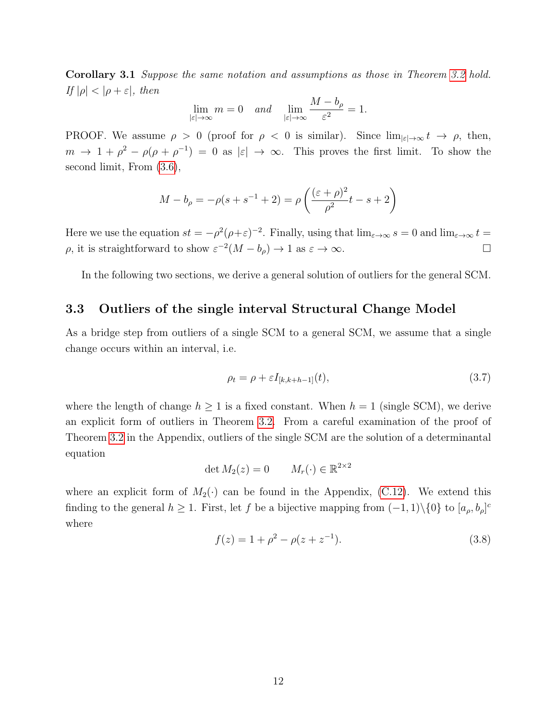Corollary 3.1 Suppose the same notation and assumptions as those in Theorem [3.2](#page-10-0) hold. If  $|\rho| < |\rho + \varepsilon|$ , then

$$
\lim_{|\varepsilon|\to\infty}m=0 \quad and \quad \lim_{|\varepsilon|\to\infty}\frac{M-b_\rho}{\varepsilon^2}=1.
$$

PROOF. We assume  $\rho > 0$  (proof for  $\rho < 0$  is similar). Since  $\lim_{|\varepsilon| \to \infty} t \to \rho$ , then,  $m \to 1 + \rho^2 - \rho(\rho + \rho^{-1}) = 0$  as  $|\varepsilon| \to \infty$ . This proves the first limit. To show the second limit, From [\(3.6\)](#page-10-1),

$$
M - b_{\rho} = -\rho(s + s^{-1} + 2) = \rho\left(\frac{(\varepsilon + \rho)^{2}}{\rho^{2}}t - s + 2\right)
$$

Here we use the equation  $st = -\rho^2(\rho + \varepsilon)^{-2}$ . Finally, using that  $\lim_{\varepsilon \to \infty} s = 0$  and  $\lim_{\varepsilon \to \infty} t =$  $ρ$ , it is straightforward to show  $ε^{-2}(M - b<sub>ρ</sub>)$  → 1 as  $ε$  → ∞.

In the following two sections, we derive a general solution of outliers for the general SCM.

#### <span id="page-11-1"></span>3.3 Outliers of the single interval Structural Change Model

As a bridge step from outliers of a single SCM to a general SCM, we assume that a single change occurs within an interval, i.e.

<span id="page-11-0"></span>
$$
\rho_t = \rho + \varepsilon I_{[k,k+h-1]}(t),\tag{3.7}
$$

where the length of change  $h \geq 1$  is a fixed constant. When  $h = 1$  (single SCM), we derive an explicit form of outliers in Theorem [3.2.](#page-10-0) From a careful examination of the proof of Theorem [3.2](#page-10-0) in the Appendix, outliers of the single SCM are the solution of a determinantal equation

$$
\det M_2(z) = 0 \qquad M_r(\cdot) \in \mathbb{R}^{2 \times 2}
$$

where an explicit form of  $M_2(\cdot)$  can be found in the Appendix, [\(C.12\)](#page-36-0). We extend this finding to the general  $h \geq 1$ . First, let f be a bijective mapping from  $(-1,1)\setminus\{0\}$  to  $[a_{\rho},b_{\rho}]^c$ where

<span id="page-11-2"></span>
$$
f(z) = 1 + \rho^2 - \rho(z + z^{-1}).
$$
\n(3.8)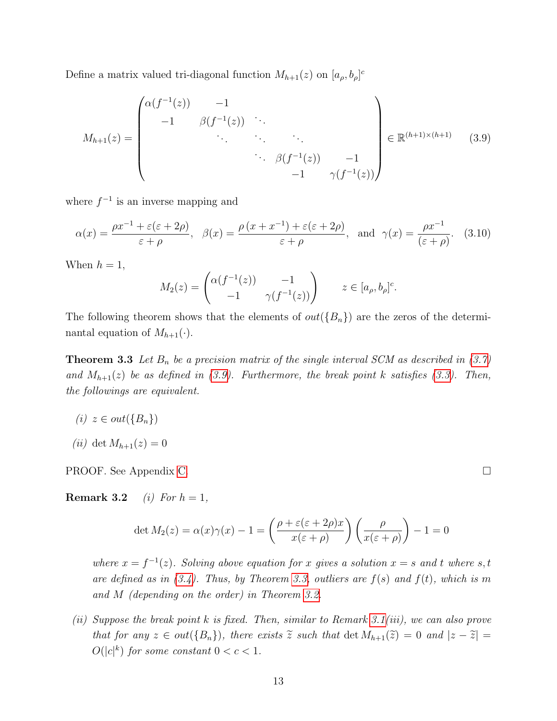Define a matrix valued tri-diagonal function  $M_{h+1}(z)$  on  $[a_{\rho}, b_{\rho}]^c$ 

<span id="page-12-0"></span>
$$
M_{h+1}(z) = \begin{pmatrix} \alpha(f^{-1}(z)) & -1 & & & \\ -1 & \beta(f^{-1}(z)) & \ddots & & \\ & \ddots & \ddots & \ddots & \\ & & \beta(f^{-1}(z)) & -1 & \\ & & & -1 & \gamma(f^{-1}(z)) \end{pmatrix} \in \mathbb{R}^{(h+1)\times(h+1)} \quad (3.9)
$$

where  $f^{-1}$  is an inverse mapping and

<span id="page-12-2"></span>
$$
\alpha(x) = \frac{\rho x^{-1} + \varepsilon(\varepsilon + 2\rho)}{\varepsilon + \rho}, \quad \beta(x) = \frac{\rho(x + x^{-1}) + \varepsilon(\varepsilon + 2\rho)}{\varepsilon + \rho}, \text{ and } \gamma(x) = \frac{\rho x^{-1}}{(\varepsilon + \rho)}. \quad (3.10)
$$

When  $h = 1$ ,

$$
M_2(z) = \begin{pmatrix} \alpha(f^{-1}(z)) & -1 \\ -1 & \gamma(f^{-1}(z)) \end{pmatrix} \qquad z \in [a_\rho, b_\rho]^c.
$$

The following theorem shows that the elements of  $out({B_n})$  are the zeros of the determinantal equation of  $M_{h+1}(\cdot)$ .

<span id="page-12-1"></span>**Theorem 3.3** Let  $B_n$  be a precision matrix of the single interval SCM as described in [\(3.7\)](#page-11-0) and  $M_{h+1}(z)$  be as defined in [\(3.9\)](#page-12-0). Furthermore, the break point k satisfies [\(3.3\)](#page-9-1). Then, the followings are equivalent.

(i)  $z \in out({B_n})$ 

$$
(ii) \ \det M_{h+1}(z) = 0
$$

PROOF. See Appendix [C.](#page-39-0)

**Remark 3.2** (i) For  $h = 1$ ,

$$
\det M_2(z) = \alpha(x)\gamma(x) - 1 = \left(\frac{\rho + \varepsilon(\varepsilon + 2\rho)x}{x(\varepsilon + \rho)}\right)\left(\frac{\rho}{x(\varepsilon + \rho)}\right) - 1 = 0
$$

where  $x = f^{-1}(z)$ . Solving above equation for x gives a solution  $x = s$  and t where s, t are defined as in  $(3.4)$ . Thus, by Theorem [3.3,](#page-12-1) outliers are  $f(s)$  and  $f(t)$ , which is m and M (depending on the order) in Theorem [3.2.](#page-10-0)

(ii) Suppose the break point  $k$  is fixed. Then, similar to Remark [3.1\(](#page-10-2)iii), we can also prove that for any  $z \in out({B_n})$ , there exists  $\tilde{z}$  such that  $\det M_{h+1}(\tilde{z}) = 0$  and  $|z - \tilde{z}| =$  $O(|c|^k)$  for some constant  $0 < c < 1$ .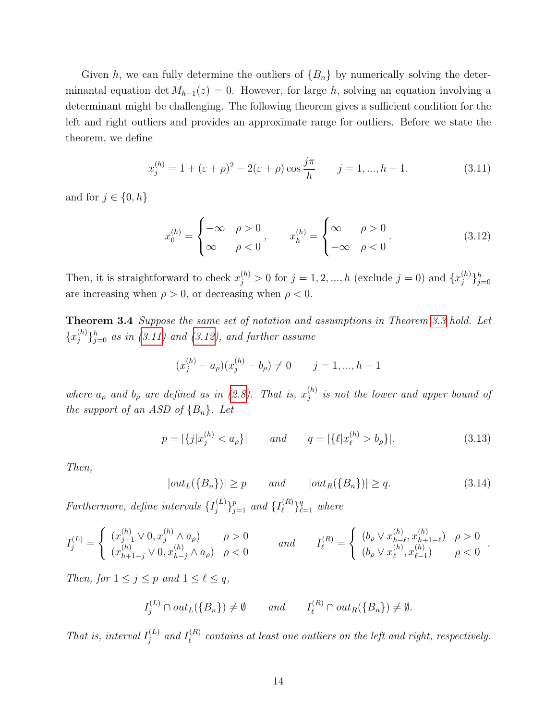Given h, we can fully determine the outliers of  ${B_n}$  by numerically solving the determinantal equation det  $M_{h+1}(z) = 0$ . However, for large h, solving an equation involving a determinant might be challenging. The following theorem gives a sufficient condition for the left and right outliers and provides an approximate range for outliers. Before we state the theorem, we define

<span id="page-13-0"></span>
$$
x_j^{(h)} = 1 + (\varepsilon + \rho)^2 - 2(\varepsilon + \rho)\cos\frac{j\pi}{h} \qquad j = 1, ..., h - 1.
$$
 (3.11)

and for  $j \in \{0, h\}$ 

<span id="page-13-1"></span>
$$
x_0^{(h)} = \begin{cases} -\infty & \rho > 0 \\ \infty & \rho < 0 \end{cases}, \qquad x_h^{(h)} = \begin{cases} \infty & \rho > 0 \\ -\infty & \rho < 0 \end{cases} \tag{3.12}
$$

Then, it is straightforward to check  $x_j^{(h)} > 0$  for  $j = 1, 2, ..., h$  (exclude  $j = 0$ ) and  $\{x_j^{(h)}\}$  $\{hj}\}_{j=0}^h$ are increasing when  $\rho > 0$ , or decreasing when  $\rho < 0$ .

<span id="page-13-2"></span>Theorem 3.4 Suppose the same set of notation and assumptions in Theorem [3.3](#page-12-1) hold. Let  $\{x_i^{(h)}\}$  ${j \choose j}_{j=0}^h$  as in [\(3.11\)](#page-13-0) and [\(3.12\)](#page-13-1), and further assume

$$
(x_j^{(h)} - a_\rho)(x_j^{(h)} - b_\rho) \neq 0 \qquad j = 1, ..., h-1
$$

where  $a_{\rho}$  and  $b_{\rho}$  are defined as in [\(2.8\)](#page-7-1). That is,  $x_i^{(h)}$  $j^{(n)}$  is not the lower and upper bound of the support of an ASD of  ${B_n}$ . Let

<span id="page-13-4"></span>
$$
p = |\{j|x_j^{(h)} < a_\rho\}| \qquad \text{and} \qquad q = |\{\ell|x_\ell^{(h)} > b_\rho\}|. \tag{3.13}
$$

Then,

<span id="page-13-3"></span>
$$
|out_L(\{B_n\})| \ge p \qquad and \qquad |out_R(\{B_n\})| \ge q. \tag{3.14}
$$

Furthermore, define intervals  $\{I_i^{(L)}\}$  $\{I_{j}^{(L)}\}_{j=1}^{p}$  and  $\{I_{\ell}^{(R)}\}$  $\{e^{(R)}\}_{\ell=1}^q$  where

$$
I_j^{(L)} = \begin{cases} (x_{j-1}^{(h)} \vee 0, x_j^{(h)} \wedge a_\rho) & \rho > 0 \\ (x_{h+1-j}^{(h)} \vee 0, x_{h-j}^{(h)} \wedge a_\rho) & \rho < 0 \end{cases} \quad \text{and} \quad I_{\ell}^{(R)} = \begin{cases} (b_\rho \vee x_{h-\ell}^{(h)}, x_{h+1-\ell}^{(h)}) & \rho > 0 \\ (b_\rho \vee x_\ell^{(h)}, x_{\ell-1}^{(h)}) & \rho < 0 \end{cases}.
$$

Then, for  $1 \leq j \leq p$  and  $1 \leq \ell \leq q$ ,

$$
I_j^{(L)} \cap out_L(\{B_n\}) \neq \emptyset \qquad and \qquad I_{\ell}^{(R)} \cap out_R(\{B_n\}) \neq \emptyset.
$$

That is, interval  $I_i^{(L)}$  $j^{(L)}$  and  $I_{\ell}^{(R)}$  $\mathcal{C}_{\ell}^{(R)}$  contains at least one outliers on the left and right, respectively.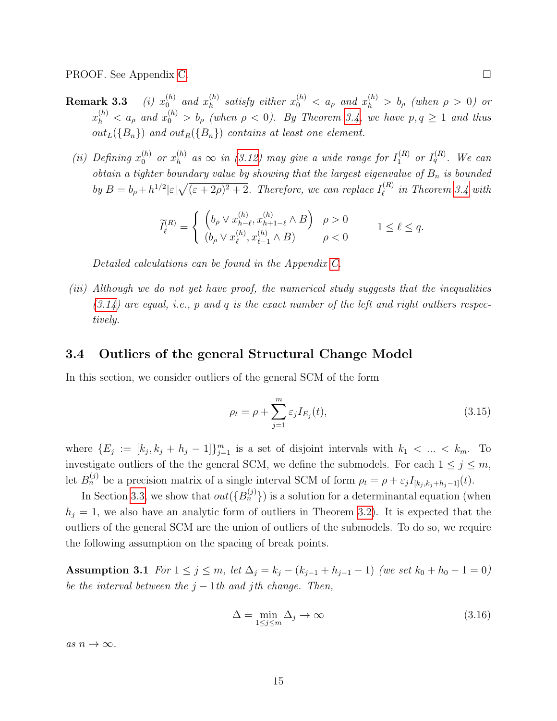<span id="page-14-4"></span>PROOF. See Appendix [C.](#page-42-0)

- Remark  $3.3$  $_0^{(h)}$  and  $x_h^{(h)}$  $\binom{h}{h}$  satisfy either  $x_0^{(h)} < a_\rho$  and  $x_h^{(h)} > b_\rho$  (when  $\rho > 0$ ) or  $x_h^{(h)} < a_\rho$  and  $x_0^{(h)} > b_\rho$  (when  $\rho < 0$ ). By Theorem [3.4,](#page-13-2) we have  $p, q \ge 1$  and thus  $out_L({B_n})$  and  $out_R({B_n})$  contains at least one element.
	- (ii) Defining  $x_0^{(h)}$  or  $x_h^{(h)}$  $\mathcal{L}_h^{(h)}$  as  $\infty$  in [\(3.12\)](#page-13-1) may give a wide range for  $I_1^{(R)}$  or  $I_q^{(R)}$ . We can obtain a tighter boundary value by showing that the largest eigenvalue of  $B_n$  is bounded by  $B = b_{\rho} + h^{1/2} |\varepsilon| \sqrt{(\varepsilon + 2\rho)^2 + 2}$ . Therefore, we can replace  $I_{\ell}^{(R)}$  $\ell^{(R)}$  in Theorem [3.4](#page-13-2) with

$$
\widetilde{I}_{\ell}^{(R)} = \begin{cases}\n\left(b_{\rho} \vee x_{h-\ell}^{(h)}, x_{h+1-\ell}^{(h)} \wedge B\right) & \rho > 0 \\
(b_{\rho} \vee x_{\ell}^{(h)}, x_{\ell-1}^{(h)} \wedge B) & \rho < 0\n\end{cases} \qquad 1 \le \ell \le q.
$$

Detailed calculations can be found in the Appendix [C.](#page-42-0)

(iii) Although we do not yet have proof, the numerical study suggests that the inequalities  $(3.14)$  are equal, i.e., p and q is the exact number of the left and right outliers respectively.

#### <span id="page-14-0"></span>3.4 Outliers of the general Structural Change Model

In this section, we consider outliers of the general SCM of the form

<span id="page-14-2"></span>
$$
\rho_t = \rho + \sum_{j=1}^m \varepsilon_j I_{E_j}(t),\tag{3.15}
$$

where  $\{E_j := [k_j, k_j + h_j - 1]\}_{j=1}^m$  is a set of disjoint intervals with  $k_1 < \ldots < k_m$ . To investigate outliers of the the general SCM, we define the submodels. For each  $1 \le j \le m$ , let  $B_n^{(j)}$  be a precision matrix of a single interval SCM of form  $\rho_t = \rho + \varepsilon_j I_{[k_j, k_j + h_j - 1]}(t)$ .

In Section [3.3,](#page-11-1) we show that  $out({B_n^{(j)}})$  is a solution for a determinantal equation (when  $h_i = 1$ , we also have an analytic form of outliers in Theorem [3.2\)](#page-10-0). It is expected that the outliers of the general SCM are the union of outliers of the submodels. To do so, we require the following assumption on the spacing of break points.

Assumption 3.1 For  $1 \le j \le m$ , let  $\Delta_j = k_j - (k_{j-1} + h_{j-1} - 1)$  (we set  $k_0 + h_0 - 1 = 0$ ) be the interval between the  $j - 1$ th and jth change. Then,

<span id="page-14-3"></span><span id="page-14-1"></span>
$$
\Delta = \min_{1 \le j \le m} \Delta_j \to \infty \tag{3.16}
$$

as  $n \to \infty$ .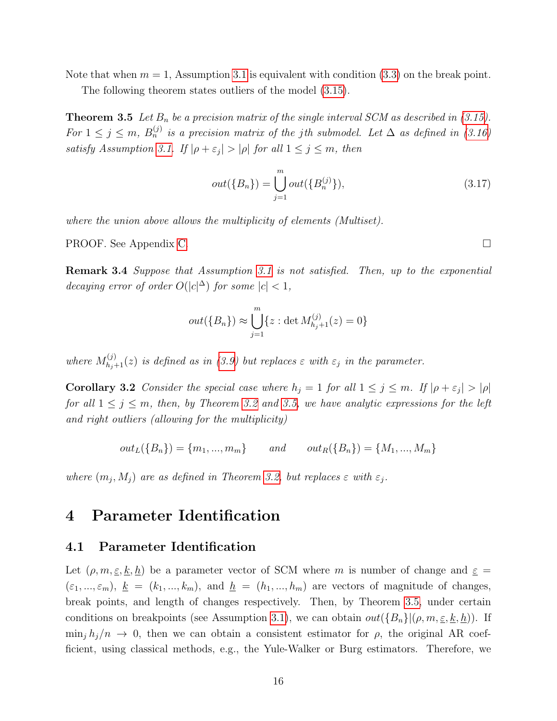Note that when  $m = 1$ , Assumption [3.1](#page-14-1) is equivalent with condition [\(3.3\)](#page-9-1) on the break point.

The following theorem states outliers of the model [\(3.15\)](#page-14-2).

<span id="page-15-1"></span>**Theorem 3.5** Let  $B_n$  be a precision matrix of the single interval SCM as described in [\(3.15\)](#page-14-2). For  $1 \leq j \leq m$ ,  $B_n^{(j)}$  is a precision matrix of the jth submodel. Let  $\Delta$  as defined in [\(3.16\)](#page-14-3) satisfy Assumption [3.1.](#page-14-1) If  $|\rho + \varepsilon_j| > |\rho|$  for all  $1 \le j \le m$ , then

$$
out(\{B_n\}) = \bigcup_{j=1}^{m} out(\{B_n^{(j)}\}),
$$
\n(3.17)

where the union above allows the multiplicity of elements (Multiset).

PROOF. See Appendix [C.](#page-45-0)

Remark 3.4 Suppose that Assumption [3.1](#page-14-1) is not satisfied. Then, up to the exponential decaying error of order  $O(|c|^{\Delta})$  for some  $|c| < 1$ ,

$$
out({B_n}) \approx \bigcup_{j=1}^{m} \{z : \det M_{h_j+1}^{(j)}(z) = 0\}
$$

where  $M_{h_j+1}^{(j)}(z)$  is defined as in [\(3.9\)](#page-12-0) but replaces  $\varepsilon$  with  $\varepsilon_j$  in the parameter.

<span id="page-15-2"></span>**Corollary 3.2** Consider the special case where  $h_j = 1$  for all  $1 \leq j \leq m$ . If  $|\rho + \varepsilon_j| > |\rho|$ for all  $1 \leq j \leq m$ , then, by Theorem [3.2](#page-10-0) and [3.5,](#page-15-1) we have analytic expressions for the left and right outliers (allowing for the multiplicity)

$$
out_L({B_n}) = {m_1, ..., m_m}
$$
 and  $out_R({B_n}) = {M_1, ..., M_m}$ 

where  $(m_j, M_j)$  are as defined in Theorem [3.2,](#page-10-0) but replaces  $\varepsilon$  with  $\varepsilon_j$ .

# <span id="page-15-0"></span>4 Parameter Identification

#### 4.1 Parameter Identification

Let  $(\rho, m, \underline{\varepsilon}, \underline{k}, \underline{h})$  be a parameter vector of SCM where m is number of change and  $\underline{\varepsilon}$  =  $(\varepsilon_1, ..., \varepsilon_m), k = (k_1, ..., k_m),$  and  $h = (h_1, ..., h_m)$  are vectors of magnitude of changes, break points, and length of changes respectively. Then, by Theorem [3.5,](#page-15-1) under certain conditions on breakpoints (see Assumption [3.1\)](#page-14-1), we can obtain  $out({B_n}|(\rho, m, \underline{\varepsilon}, \underline{k}, \underline{h}))$ . If  $\min_j h_j/n \to 0$ , then we can obtain a consistent estimator for  $\rho$ , the original AR coefficient, using classical methods, e.g., the Yule-Walker or Burg estimators. Therefore, we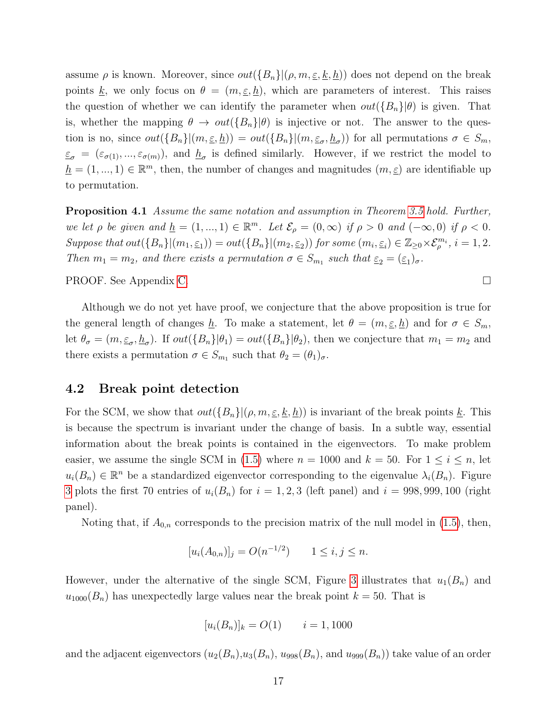assume  $\rho$  is known. Moreover, since  $out({B_n}|(\rho, m, \underline{\varepsilon}, \underline{k}, \underline{h}))$  does not depend on the break points <u>k</u>, we only focus on  $\theta = (m, \underline{\epsilon}, \underline{h})$ , which are parameters of interest. This raises the question of whether we can identify the parameter when  $out({B_n}\vert\theta)$  is given. That is, whether the mapping  $\theta \to out(\{B_n\}|\theta)$  is injective or not. The answer to the question is no, since  $out(\{B_n\}|(m,\underline{\varepsilon},\underline{h})) = out(\{B_n\}|(m,\underline{\varepsilon}_{\sigma},\underline{h}_{\sigma}))$  for all permutations  $\sigma \in S_m$ ,  $\varepsilon_{\sigma} = (\varepsilon_{\sigma(1)}, ..., \varepsilon_{\sigma(m)})$ , and  $\underline{h}_{\sigma}$  is defined similarly. However, if we restrict the model to  $h = (1, ..., 1) \in \mathbb{R}^m$ , then, the number of changes and magnitudes  $(m, \underline{\varepsilon})$  are identifiable up to permutation.

<span id="page-16-0"></span>Proposition 4.1 Assume the same notation and assumption in Theorem [3.5](#page-15-1) hold. Further, we let  $\rho$  be given and  $\underline{h} = (1, ..., 1) \in \mathbb{R}^m$ . Let  $\mathcal{E}_{\rho} = (0, \infty)$  if  $\rho > 0$  and  $(-\infty, 0)$  if  $\rho < 0$ . Suppose that  $out(\{B_n\}|(m_1, \underline{\varepsilon}_1)) = out(\{B_n\}|(m_2, \underline{\varepsilon}_2))$  for some  $(m_i, \underline{\varepsilon}_i) \in \mathbb{Z}_{\geq 0} \times \mathcal{E}_{\rho}^{m_i}$ ,  $i = 1, 2$ . Then  $m_1 = m_2$ , and there exists a permutation  $\sigma \in S_{m_1}$  such that  $\underline{\varepsilon}_2 = (\underline{\varepsilon}_1)_{\sigma}$ .

PROOF. See Appendix [C.](#page-46-0)

Although we do not yet have proof, we conjecture that the above proposition is true for the general length of changes  $\underline{h}$ . To make a statement, let  $\theta = (m, \underline{\varepsilon}, \underline{h})$  and for  $\sigma \in S_m$ , let  $\theta_{\sigma} = (m, \underline{\varepsilon}_{\sigma}, \underline{h}_{\sigma})$ . If  $out(\{B_n\}|\theta_1) = out(\{B_n\}|\theta_2)$ , then we conjecture that  $m_1 = m_2$  and there exists a permutation  $\sigma \in S_{m_1}$  such that  $\theta_2 = (\theta_1)_{\sigma}$ .

#### 4.2 Break point detection

For the SCM, we show that  $out({B_n}||\rho, m, \underline{\varepsilon}, \underline{k}, \underline{h}))$  is invariant of the break points  $\underline{k}$ . This is because the spectrum is invariant under the change of basis. In a subtle way, essential information about the break points is contained in the eigenvectors. To make problem easier, we assume the single SCM in [\(1.5\)](#page-2-0) where  $n = 1000$  and  $k = 50$ . For  $1 \le i \le n$ , let  $u_i(B_n) \in \mathbb{R}^n$  be a standardized eigenvector corresponding to the eigenvalue  $\lambda_i(B_n)$ . Figure [3](#page-17-1) plots the first 70 entries of  $u_i(B_n)$  for  $i = 1, 2, 3$  (left panel) and  $i = 998, 999, 100$  (right panel).

Noting that, if  $A_{0,n}$  corresponds to the precision matrix of the null model in [\(1.5\)](#page-2-0), then,

$$
[u_i(A_{0,n})]_j = O(n^{-1/2}) \qquad 1 \le i, j \le n.
$$

However, under the alternative of the single SCM, Figure [3](#page-17-1) illustrates that  $u_1(B_n)$  and  $u_{1000}(B_n)$  has unexpectedly large values near the break point  $k = 50$ . That is

$$
[u_i(B_n)]_k = O(1) \qquad i = 1,1000
$$

and the adjacent eigenvectors  $(u_2(B_n), u_3(B_n), u_{998}(B_n))$ , and  $u_{999}(B_n)$  take value of an order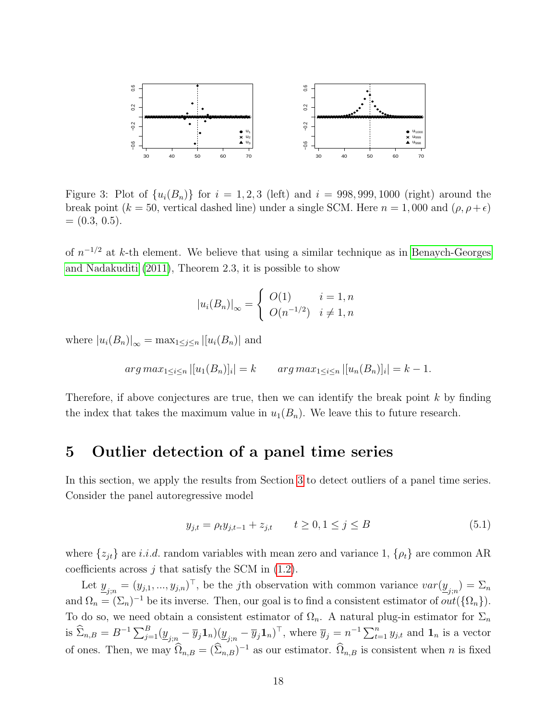

<span id="page-17-1"></span>Figure 3: Plot of  $\{u_i(B_n)\}\$  for  $i=1,2,3$  (left) and  $i=998,999,1000$  (right) around the break point (k = 50, vertical dashed line) under a single SCM. Here  $n = 1,000$  and  $(\rho, \rho + \epsilon)$  $= (0.3, 0.5).$ 

of  $n^{-1/2}$  at k-th element. We believe that using a similar technique as in [Benaych-Georges](#page-49-3) [and Nadakuditi](#page-49-3) [\(2011\)](#page-49-3), Theorem 2.3, it is possible to show

$$
|u_i(B_n)|_{\infty} = \begin{cases} O(1) & i = 1, n \\ O(n^{-1/2}) & i \neq 1, n \end{cases}
$$

where  $|u_i(B_n)|_{\infty} = \max_{1 \leq j \leq n} |[u_i(B_n)]|$  and

$$
arg\,max_{1 \leq i \leq n} |[u_1(B_n)]_i| = k \qquad arg\,max_{1 \leq i \leq n} |[u_n(B_n)]_i| = k - 1.
$$

Therefore, if above conjectures are true, then we can identify the break point  $k$  by finding the index that takes the maximum value in  $u_1(B_n)$ . We leave this to future research.

### <span id="page-17-0"></span>5 Outlier detection of a panel time series

In this section, we apply the results from Section [3](#page-8-0) to detect outliers of a panel time series. Consider the panel autoregressive model

<span id="page-17-2"></span>
$$
y_{j,t} = \rho_t y_{j,t-1} + z_{j,t} \qquad t \ge 0, 1 \le j \le B \tag{5.1}
$$

where  $\{z_{jt}\}\$ are i.i.d. random variables with mean zero and variance 1,  $\{\rho_t\}\$ are common AR coefficients across  $j$  that satisfy the SCM in  $(1.2)$ .

Let  $\underline{y}_{j;n} = (y_{j,1},...,y_{j,n})^\top$ , be the *j*th observation with common variance  $var(\underline{y}_{j;n}) = \Sigma_n$ and  $\Omega_n = (\Sigma_n)^{-1}$  be its inverse. Then, our goal is to find a consistent estimator of  $out(\{\Omega_n\})$ . To do so, we need obtain a consistent estimator of  $\Omega_n$ . A natural plug-in estimator for  $\Sigma_n$ is  $\widehat{\Sigma}_{n,B} = B^{-1} \sum_{j=1}^B (\underline{y}_{j;n} - \overline{y}_j \mathbf{1}_n) (\underline{y}_{j;n} - \overline{y}_j \mathbf{1}_n)^{\top}$ , where  $\overline{y}_j = n^{-1} \sum_{t=1}^n y_{j,t}$  and  $\mathbf{1}_n$  is a vector of ones. Then, we may  $\widehat{\Omega}_{n,B} = (\widehat{\Sigma}_{n,B})^{-1}$  as our estimator.  $\widehat{\Omega}_{n,B}$  is consistent when n is fixed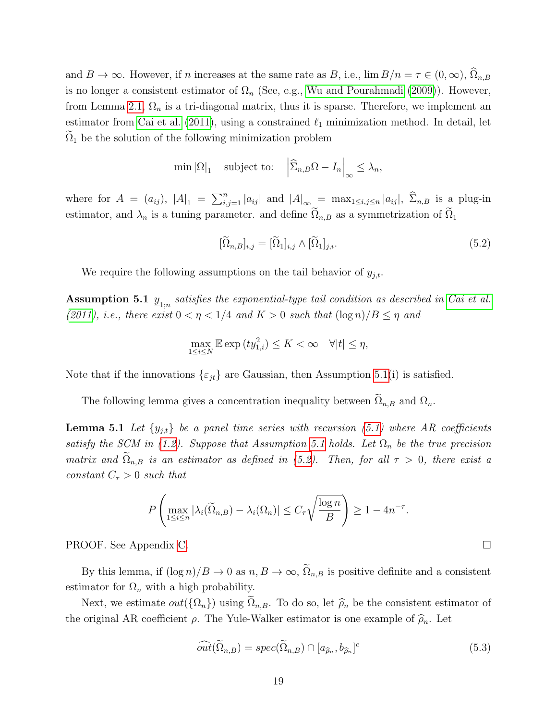and  $B \to \infty$ . However, if n increases at the same rate as B, i.e.,  $\lim B/n = \tau \in (0,\infty)$ ,  $\Omega_{n,B}$ is no longer a consistent estimator of  $\Omega_n$  (See, e.g., [Wu and Pourahmadi](#page-51-11) [\(2009\)](#page-51-11)). However, from Lemma [2.1,](#page-5-0)  $\Omega_n$  is a tri-diagonal matrix, thus it is sparse. Therefore, we implement an estimator from [Cai et al.](#page-50-13) [\(2011\)](#page-50-13), using a constrained  $\ell_1$  minimization method. In detail, let  $\Omega_1$  be the solution of the following minimization problem

$$
\min |\Omega|_1 \quad \text{subject to:} \quad \left| \widehat{\Sigma}_{n,B} \Omega - I_n \right|_{\infty} \le \lambda_n,
$$

where for  $A = (a_{ij})$ ,  $|A|_1 = \sum_{i,j=1}^n |a_{ij}|$  and  $|A|_{\infty} = \max_{1 \le i,j \le n} |a_{ij}|$ ,  $\widehat{\Sigma}_{n,B}$  is a plug-in estimator, and  $\lambda_n$  is a tuning parameter. and define  $\tilde{\Omega}_{n,B}$  as a symmetrization of  $\tilde{\Omega}_1$ 

<span id="page-18-1"></span>
$$
[\widetilde{\Omega}_{n,B}]_{i,j} = [\widetilde{\Omega}_1]_{i,j} \wedge [\widetilde{\Omega}_1]_{j,i}.
$$
\n(5.2)

We require the following assumptions on the tail behavior of  $y_{i,t}$ .

<span id="page-18-0"></span>**Assumption 5.1**  $\underline{y}_{1;n}$  satisfies the exponential-type tail condition as described in [Cai et al.](#page-50-13) [\(2011\)](#page-50-13), i.e., there exist  $0 < \eta < 1/4$  and  $K > 0$  such that  $(\log n)/B \leq \eta$  and

$$
\max_{1 \le i \le N} \mathbb{E} \exp\left(t y_{1,i}^2\right) \le K < \infty \quad \forall |t| \le \eta,
$$

Note that if the innovations  $\{\varepsilon_{it}\}\$ are Gaussian, then Assumption [5.1\(](#page-18-0)i) is satisfied.

The following lemma gives a concentration inequality between  $\Omega_{n,B}$  and  $\Omega_n$ .

**Lemma 5.1** Let  $\{y_{j,t}\}\$ be a panel time series with recursion [\(5.1\)](#page-17-2) where AR coefficients satisfy the SCM in [\(1.2\)](#page-1-0). Suppose that Assumption [5.1](#page-18-0) holds. Let  $\Omega_n$  be the true precision matrix and  $\Omega_{n,B}$  is an estimator as defined in [\(5.2\)](#page-18-1). Then, for all  $\tau > 0$ , there exist a constant  $C_{\tau} > 0$  such that

$$
P\left(\max_{1\leq i\leq n} |\lambda_i(\widetilde{\Omega}_{n,B}) - \lambda_i(\Omega_n)| \leq C_\tau \sqrt{\frac{\log n}{B}} \right) \geq 1 - 4n^{-\tau}.
$$

PROOF. See Appendix [C.](#page-47-0)

By this lemma, if  $(\log n)/B \to 0$  as  $n, B \to \infty$ ,  $\tilde{\Omega}_{n,B}$  is positive definite and a consistent estimator for  $\Omega_n$  with a high probability.

Next, we estimate  $out({\Omega_n})$  using  $\tilde{\Omega}_{n,B}$ . To do so, let  $\hat{\rho}_n$  be the consistent estimator of the original AR coefficient  $\rho$ . The Yule-Walker estimator is one example of  $\hat{\rho}_n$ . Let

<span id="page-18-3"></span>
$$
\widehat{out}(\widetilde{\Omega}_{n,B}) = spec(\widetilde{\Omega}_{n,B}) \cap [a_{\widehat{\rho}_n}, b_{\widehat{\rho}_n}]^c
$$
\n(5.3)

<span id="page-18-2"></span>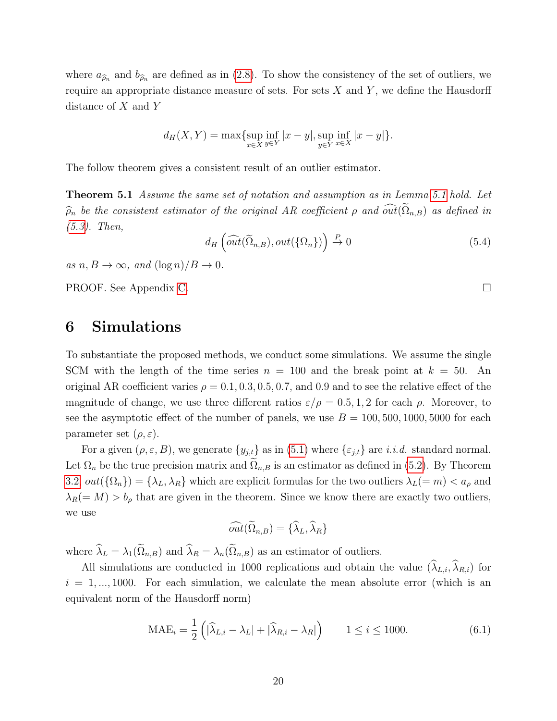where  $a_{\hat{\rho}_n}$  and  $b_{\hat{\rho}_n}$  are defined as in [\(2.8\)](#page-7-1). To show the consistency of the set of outliers, we require an appropriate distance measure of sets. For sets  $X$  and  $Y$ , we define the Hausdorff distance of X and Y

$$
d_H(X,Y) = \max \{ \sup_{x \in X} \inf_{y \in Y} |x - y|, \sup_{y \in Y} \inf_{x \in X} |x - y| \}.
$$

The follow theorem gives a consistent result of an outlier estimator.

Theorem 5.1 Assume the same set of notation and assumption as in Lemma [5.1](#page-18-2) hold. Let  $\widehat{\rho}_n$  be the consistent estimator of the original AR coefficient  $\rho$  and  $\widehat{\omega_{n}}(\Omega_{n,B})$  as defined in [\(5.3\)](#page-18-3). Then,

<span id="page-19-2"></span>
$$
d_H\left(\widehat{\text{out}}(\widetilde{\Omega}_{n,B}), \text{out}(\{\Omega_n\})\right) \stackrel{P}{\to} 0\tag{5.4}
$$

as  $n, B \to \infty$ , and  $(\log n)/B \to 0$ .

PROOF. See Appendix [C.](#page-47-1)

# <span id="page-19-0"></span>6 Simulations

To substantiate the proposed methods, we conduct some simulations. We assume the single SCM with the length of the time series  $n = 100$  and the break point at  $k = 50$ . An original AR coefficient varies  $\rho = 0.1, 0.3, 0.5, 0.7$ , and 0.9 and to see the relative effect of the magnitude of change, we use three different ratios  $\varepsilon/\rho = 0.5, 1, 2$  for each  $\rho$ . Moreover, to see the asymptotic effect of the number of panels, we use  $B = 100, 500, 1000, 5000$  for each parameter set  $(\rho, \varepsilon)$ .

For a given  $(\rho, \varepsilon, B)$ , we generate  $\{y_{j,t}\}\$ as in  $(5.1)$  where  $\{\varepsilon_{j,t}\}\$ are *i.i.d.* standard normal. Let  $\Omega_n$  be the true precision matrix and  $\Omega_{n,B}$  is an estimator as defined in [\(5.2\)](#page-18-1). By Theorem [3.2,](#page-10-0)  $out({\Omega_n}) = {\lambda_L, \lambda_R}$  which are explicit formulas for the two outliers  $\lambda_L(= m) < a_\rho$  and  $\lambda_R(=M) > b_\rho$  that are given in the theorem. Since we know there are exactly two outliers, we use

$$
\widehat{out}(\widetilde{\Omega}_{n,B}) = {\widehat{\lambda}}_L, {\widehat{\lambda}}_R
$$

where  $\widehat{\lambda}_L = \lambda_1(\widetilde{\Omega}_{n,B})$  and  $\widehat{\lambda}_R = \lambda_n(\widetilde{\Omega}_{n,B})$  as an estimator of outliers.

All simulations are conducted in 1000 replications and obtain the value  $(\widehat{\lambda}_{L,i}, \widehat{\lambda}_{R,i})$  for  $i = 1, \ldots, 1000$ . For each simulation, we calculate the mean absolute error (which is an equivalent norm of the Hausdorff norm)

<span id="page-19-1"></span>
$$
\text{MAE}_i = \frac{1}{2} \left( |\widehat{\lambda}_{L,i} - \lambda_L| + |\widehat{\lambda}_{R,i} - \lambda_R| \right) \qquad 1 \le i \le 1000. \tag{6.1}
$$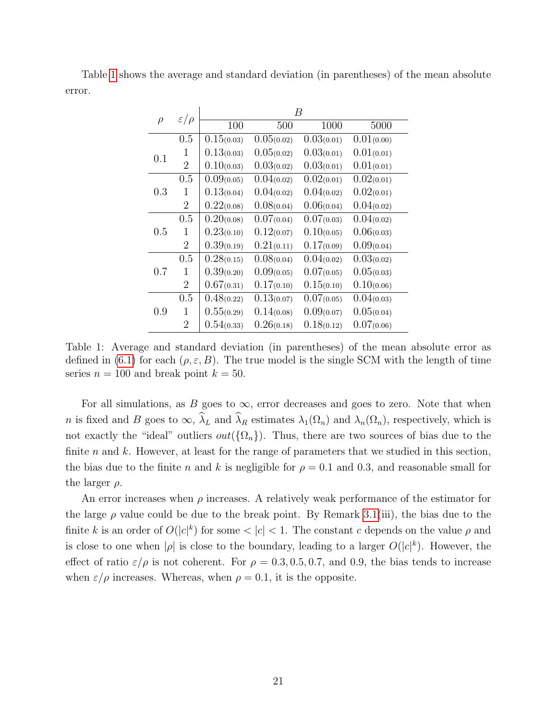Table [1](#page-20-0) shows the average and standard deviation (in parentheses) of the mean absolute error.

|        | $\varepsilon/\rho$ | B          |            |            |            |
|--------|--------------------|------------|------------|------------|------------|
| $\rho$ |                    | 100        | 500        | 1000       | 5000       |
|        | 0.5                | 0.15(0.03) | 0.05(0.02) | 0.03(0.01) | 0.01(0.00) |
| 0.1    | 1                  | 0.13(0.03) | 0.05(0.02) | 0.03(0.01) | 0.01(0.01) |
|        | $\overline{2}$     | 0.10(0.03) | 0.03(0.02) | 0.03(0.01) | 0.01(0.01) |
| 0.3    | 0.5                | 0.09(0.05) | 0.04(0.02) | 0.02(0.01) | 0.02(0.01) |
|        | 1                  | 0.13(0.04) | 0.04(0.02) | 0.04(0.02) | 0.02(0.01) |
|        | $\overline{2}$     | 0.22(0.08) | 0.08(0.04) | 0.06(0.04) | 0.04(0.02) |
| 0.5    | 0.5                | 0.20(0.08) | 0.07(0.04) | 0.07(0.03) | 0.04(0.02) |
|        | 1                  | 0.23(0.10) | 0.12(0.07) | 0.10(0.05) | 0.06(0.03) |
|        | $\overline{2}$     | 0.39(0.19) | 0.21(0.11) | 0.17(0.09) | 0.09(0.04) |
| 0.7    | 0.5                | 0.28(0.15) | 0.08(0.04) | 0.04(0.02) | 0.03(0.02) |
|        | 1                  | 0.39(0.20) | 0.09(0.05) | 0.07(0.05) | 0.05(0.03) |
|        | $\overline{2}$     | 0.67(0.31) | 0.17(0.10) | 0.15(0.10) | 0.10(0.06) |
| 0.9    | 0.5                | 0.48(0.22) | 0.13(0.07) | 0.07(0.05) | 0.04(0.03) |
|        | 1                  | 0.55(0.29) | 0.14(0.08) | 0.09(0.07) | 0.05(0.04) |
|        | 2                  | 0.54(0.33) | 0.26(0.18) | 0.18(0.12) | 0.07(0.06) |

<span id="page-20-0"></span>Table 1: Average and standard deviation (in parentheses) of the mean absolute error as defined in [\(6.1\)](#page-19-1) for each ( $\rho, \varepsilon, B$ ). The true model is the single SCM with the length of time series  $n = 100$  and break point  $k = 50$ .

For all simulations, as B goes to  $\infty$ , error decreases and goes to zero. Note that when n is fixed and B goes to  $\infty$ ,  $\widehat{\lambda}_L$  and  $\widehat{\lambda}_R$  estimates  $\lambda_1(\Omega_n)$  and  $\lambda_n(\Omega_n)$ , respectively, which is not exactly the "ideal" outliers  $out({\Omega_n})$ . Thus, there are two sources of bias due to the finite n and k. However, at least for the range of parameters that we studied in this section, the bias due to the finite n and k is negligible for  $\rho = 0.1$  and 0.3, and reasonable small for the larger  $\rho$ .

An error increases when  $\rho$  increases. A relatively weak performance of the estimator for the large  $\rho$  value could be due to the break point. By Remark [3.1\(](#page-10-2)iii), the bias due to the finite k is an order of  $O(|c|^k)$  for some  $<|c|<1$ . The constant c depends on the value  $\rho$  and is close to one when | $\rho$ | is close to the boundary, leading to a larger  $O(|c|^k)$ . However, the effect of ratio  $\varepsilon/\rho$  is not coherent. For  $\rho = 0.3, 0.5, 0.7,$  and 0.9, the bias tends to increase when  $\varepsilon/\rho$  increases. Whereas, when  $\rho = 0.1$ , it is the opposite.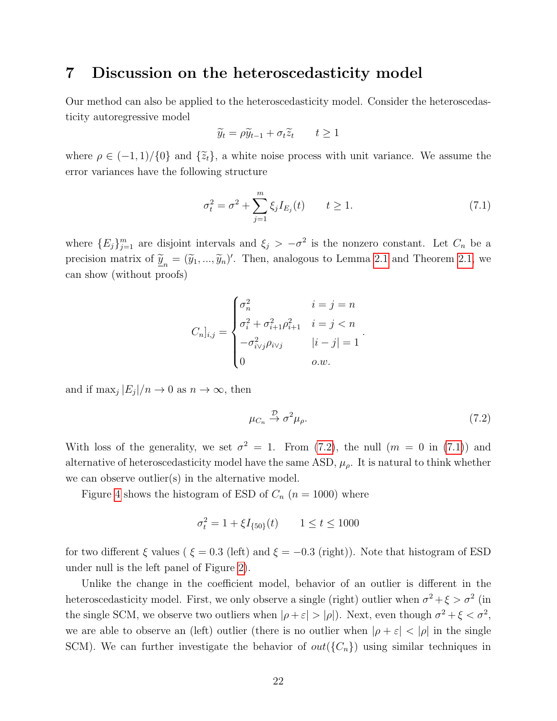### <span id="page-21-0"></span>7 Discussion on the heteroscedasticity model

Our method can also be applied to the heteroscedasticity model. Consider the heteroscedasticity autoregressive model

$$
\widetilde{y}_t = \rho \widetilde{y}_{t-1} + \sigma_t \widetilde{z}_t \qquad t \ge 1
$$

where  $\rho \in (-1,1)/\{0\}$  and  $\{\tilde{z}_t\}$ , a white noise process with unit variance. We assume the error variances have the following structure

<span id="page-21-2"></span>
$$
\sigma_t^2 = \sigma^2 + \sum_{j=1}^m \xi_j I_{E_j}(t) \qquad t \ge 1.
$$
 (7.1)

where  ${E_j}_{j=1}^m$  are disjoint intervals and  $\xi_j > -\sigma^2$  is the nonzero constant. Let  $C_n$  be a precision matrix of  $\tilde{\mathbf{y}}_n = (\tilde{y}_1, ..., \tilde{y}_n)'$ . Then, analogous to Lemma [2.1](#page-5-0) and Theorem [2.1,](#page-7-3) we can show (without proofs)

$$
C_{n}]_{i,j} = \begin{cases} \sigma_n^2 & i = j = n \\ \sigma_i^2 + \sigma_{i+1}^2 \rho_{i+1}^2 & i = j < n \\ -\sigma_{i \vee j}^2 \rho_{i \vee j} & |i - j| = 1 \\ 0 & o.w. \end{cases}.
$$

and if  $\max_j |E_j|/n \to 0$  as  $n \to \infty$ , then

<span id="page-21-1"></span>
$$
\mu_{C_n} \stackrel{\mathcal{D}}{\rightarrow} \sigma^2 \mu_{\rho}. \tag{7.2}
$$

With loss of the generality, we set  $\sigma^2 = 1$ . From [\(7.2\)](#page-21-1), the null  $(m = 0 \text{ in } (7.1))$  $(m = 0 \text{ in } (7.1))$  $(m = 0 \text{ in } (7.1))$  and alternative of heteroscedasticity model have the same ASD,  $\mu_{\rho}$ . It is natural to think whether we can observe outlier(s) in the alternative model.

Figure [4](#page-22-0) shows the histogram of ESD of  $C_n$   $(n = 1000)$  where

$$
\sigma_t^2 = 1 + \xi I_{\{50\}}(t) \qquad 1 \le t \le 1000
$$

for two different  $\xi$  values (  $\xi = 0.3$  (left) and  $\xi = -0.3$  (right)). Note that histogram of ESD under null is the left panel of Figure [2\)](#page-3-1).

Unlike the change in the coefficient model, behavior of an outlier is different in the heteroscedasticity model. First, we only observe a single (right) outlier when  $\sigma^2 + \xi > \sigma^2$  (in the single SCM, we observe two outliers when  $|\rho + \varepsilon| > |\rho|$ ). Next, even though  $\sigma^2 + \xi < \sigma^2$ , we are able to observe an (left) outlier (there is no outlier when  $|\rho + \varepsilon| < |\rho|$  in the single SCM). We can further investigate the behavior of  $out({C_n})$  using similar techniques in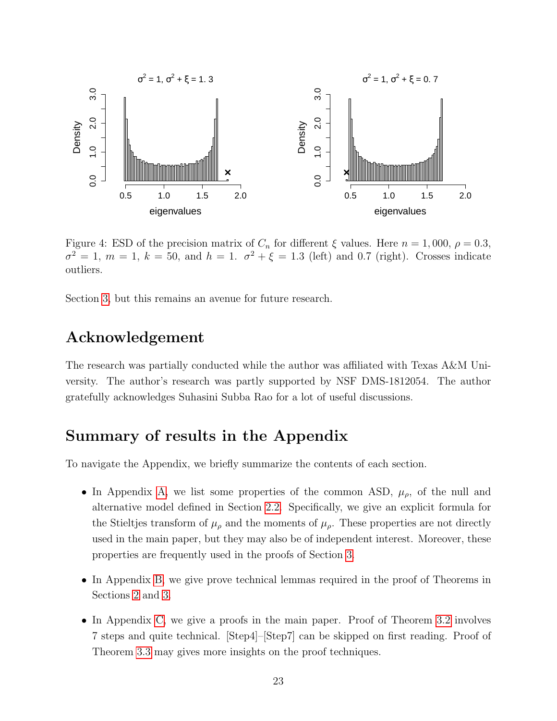

<span id="page-22-0"></span>Figure 4: ESD of the precision matrix of  $C_n$  for different  $\xi$  values. Here  $n = 1,000, \rho = 0.3$ ,  $\sigma^2 = 1$ ,  $m = 1$ ,  $k = 50$ , and  $h = 1$ .  $\sigma^2 + \xi = 1.3$  (left) and 0.7 (right). Crosses indicate outliers.

Section [3,](#page-8-0) but this remains an avenue for future research.

### Acknowledgement

The research was partially conducted while the author was affiliated with Texas A&M University. The author's research was partly supported by NSF DMS-1812054. The author gratefully acknowledges Suhasini Subba Rao for a lot of useful discussions.

# Summary of results in the Appendix

To navigate the Appendix, we briefly summarize the contents of each section.

- In Appendix [A,](#page-23-1) we list some properties of the common ASD,  $\mu_{\rho}$ , of the null and alternative model defined in Section [2.2.](#page-6-0) Specifically, we give an explicit formula for the Stieltjes transform of  $\mu_{\rho}$  and the moments of  $\mu_{\rho}$ . These properties are not directly used in the main paper, but they may also be of independent interest. Moreover, these properties are frequently used in the proofs of Section [3.](#page-8-0)
- In Appendix [B,](#page-24-0) we give prove technical lemmas required in the proof of Theorems in Sections [2](#page-5-1) and [3.](#page-8-0)
- In Appendix [C,](#page-28-1) we give a proofs in the main paper. Proof of Theorem [3.2](#page-10-0) involves 7 steps and quite technical. [Step4]–[Step7] can be skipped on first reading. Proof of Theorem [3.3](#page-12-1) may gives more insights on the proof techniques.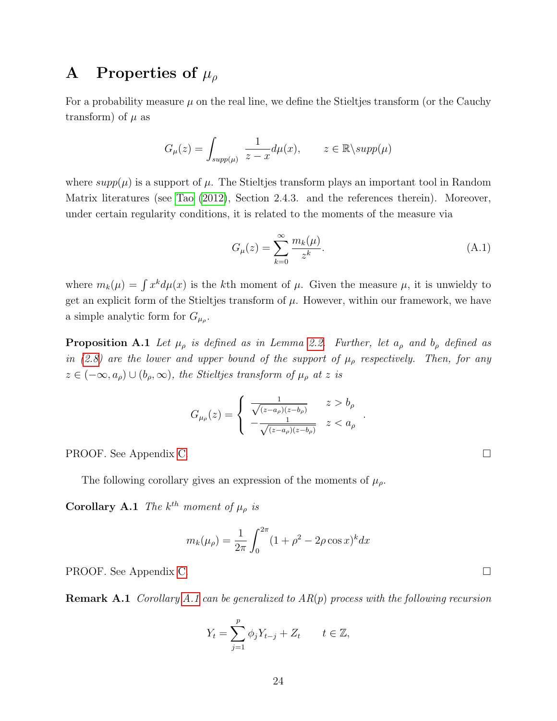# <span id="page-23-1"></span>A Properties of  $\mu_{\rho}$

For a probability measure  $\mu$  on the real line, we define the Stieltjes transform (or the Cauchy transform) of  $\mu$  as

$$
G_{\mu}(z) = \int_{supp(\mu)} \frac{1}{z - x} d\mu(x), \qquad z \in \mathbb{R} \backslash supp(\mu)
$$

where  $supp(\mu)$  is a support of  $\mu$ . The Stieltjes transform plays an important tool in Random Matrix literatures (see [Tao](#page-51-9) [\(2012\)](#page-51-9), Section 2.4.3. and the references therein). Moreover, under certain regularity conditions, it is related to the moments of the measure via

<span id="page-23-0"></span>
$$
G_{\mu}(z) = \sum_{k=0}^{\infty} \frac{m_k(\mu)}{z^k}.
$$
 (A.1)

<span id="page-23-2"></span>.

where  $m_k(\mu) = \int x^k d\mu(x)$  is the kth moment of  $\mu$ . Given the measure  $\mu$ , it is unwieldy to get an explicit form of the Stieltjes transform of  $\mu$ . However, within our framework, we have a simple analytic form for  $G_{\mu_{\rho}}$ .

**Proposition A.1** Let  $\mu_{\rho}$  is defined as in Lemma [2.2.](#page-6-2) Further, let  $a_{\rho}$  and  $b_{\rho}$  defined as in [\(2.8\)](#page-7-1) are the lower and upper bound of the support of  $\mu_{\rho}$  respectively. Then, for any  $z \in (-\infty, a_{\rho}) \cup (b_{\rho}, \infty)$ , the Stieltjes transform of  $\mu_{\rho}$  at z is

$$
G_{\mu_{\rho}}(z) = \begin{cases} \frac{1}{\sqrt{(z-a_{\rho})(z-b_{\rho})}} & z > b_{\rho} \\ -\frac{1}{\sqrt{(z-a_{\rho})(z-b_{\rho})}} & z < a_{\rho} \end{cases}
$$

PROOF. See Appendix [C.](#page-31-0)

The following corollary gives an expression of the moments of  $\mu_{\rho}$ .

**Corollary A.1** The  $k^{th}$  moment of  $\mu_{\rho}$  is

$$
m_k(\mu_\rho) = \frac{1}{2\pi} \int_0^{2\pi} (1 + \rho^2 - 2\rho \cos x)^k dx
$$

PROOF. See Appendix [C.](#page-31-1)

**Remark [A.1](#page-23-2)** Corollary A.1 can be generalized to  $AR(p)$  process with the following recursion

$$
Y_t = \sum_{j=1}^p \phi_j Y_{t-j} + Z_t \qquad t \in \mathbb{Z},
$$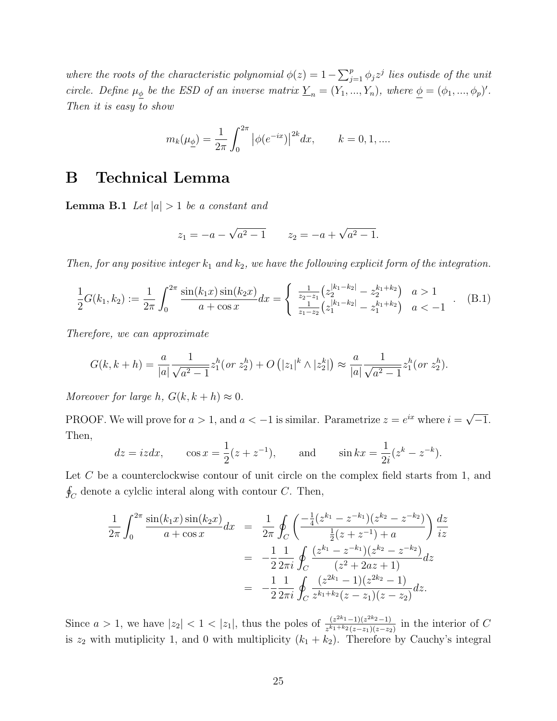where the roots of the characteristic polynomial  $\phi(z) = 1 - \sum_{j=1}^p \phi_j z^j$  lies outisde of the unit circle. Define  $\mu_{\phi}$  be the ESD of an inverse matrix  $\underline{Y}_n = (Y_1, ..., Y_n)$ , where  $\underline{\phi} = (\phi_1, ..., \phi_p)'$ . Then it is easy to show

$$
m_k(\mu_{\underline{\phi}}) = \frac{1}{2\pi} \int_0^{2\pi} |\phi(e^{-ix})|^{2k} dx, \qquad k = 0, 1, ....
$$

# <span id="page-24-0"></span>B Technical Lemma

<span id="page-24-1"></span>**Lemma B.1** Let  $|a| > 1$  be a constant and

$$
z_1 = -a - \sqrt{a^2 - 1}
$$
  $z_2 = -a + \sqrt{a^2 - 1}.$ 

Then, for any positive integer  $k_1$  and  $k_2$ , we have the following explicit form of the integration.

<span id="page-24-2"></span>
$$
\frac{1}{2}G(k_1, k_2) := \frac{1}{2\pi} \int_0^{2\pi} \frac{\sin(k_1 x)\sin(k_2 x)}{a + \cos x} dx = \begin{cases} \frac{1}{z_2 - z_1} \left( z_2^{|k_1 - k_2|} - z_2^{k_1 + k_2} \right) & a > 1\\ \frac{1}{z_1 - z_2} \left( z_1^{|k_1 - k_2|} - z_1^{k_1 + k_2} \right) & a < -1 \end{cases} (B.1)
$$

Therefore, we can approximate

$$
G(k, k+h) = \frac{a}{|a|} \frac{1}{\sqrt{a^2 - 1}} z_1^h(\text{ or } z_2^h) + O(|z_1|^k \wedge |z_2^k|) \approx \frac{a}{|a|} \frac{1}{\sqrt{a^2 - 1}} z_1^h(\text{ or } z_2^h).
$$

Moreover for large h,  $G(k, k+h) \approx 0$ .

PROOF. We will prove for  $a > 1$ , and  $a < -1$  is similar. Parametrize  $z = e^{ix}$  where  $i =$ √  $\overline{-1}$ . Then,

$$
dz = izdx
$$
,  $\cos x = \frac{1}{2}(z + z^{-1})$ , and  $\sin kx = \frac{1}{2i}(z^k - z^{-k})$ .

Let C be a counterclockwise contour of unit circle on the complex field starts from 1, and  $\oint_C$  denote a cylclic interal along with contour C. Then,

$$
\frac{1}{2\pi} \int_0^{2\pi} \frac{\sin(k_1 x) \sin(k_2 x)}{a + \cos x} dx = \frac{1}{2\pi} \oint_C \left( \frac{-\frac{1}{4} (z^{k_1} - z^{-k_1}) (z^{k_2} - z^{-k_2})}{\frac{1}{2} (z + z^{-1}) + a} \right) \frac{dz}{iz}
$$

$$
= -\frac{1}{2} \frac{1}{2\pi i} \oint_C \frac{(z^{k_1} - z^{-k_1}) (z^{k_2} - z^{-k_2})}{(z^2 + 2az + 1)} dz
$$

$$
= -\frac{1}{2} \frac{1}{2\pi i} \oint_C \frac{(z^{2k_1} - 1)(z^{2k_2} - 1)}{z^{k_1 + k_2} (z - z_1)(z - z_2)} dz.
$$

Since  $a > 1$ , we have  $|z_2| < 1 < |z_1|$ , thus the poles of  $\frac{(z^{2k_1}-1)(z^{2k_2}-1)}{z^{k_1+k_2}(z-z_1)(z-z_2)}$  $rac{(z^{2n} - 1)(z^{2n} - 1)}{z^{k_1 + k_2}(z - z_1)(z - z_2)}$  in the interior of C is  $z_2$  with mutiplicity 1, and 0 with multiplicity  $(k_1 + k_2)$ . Therefore by Cauchy's integral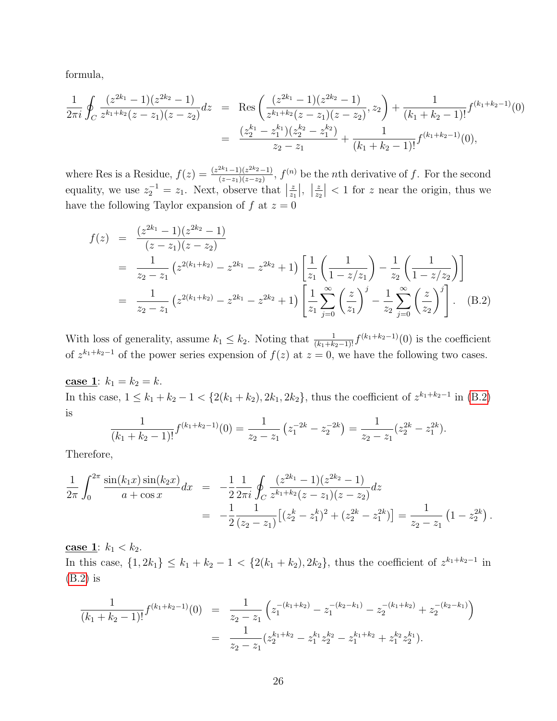formula,

$$
\frac{1}{2\pi i} \oint_C \frac{(z^{2k_1} - 1)(z^{2k_2} - 1)}{z^{k_1 + k_2}(z - z_1)(z - z_2)} dz = \text{Res}\left(\frac{(z^{2k_1} - 1)(z^{2k_2} - 1)}{z^{k_1 + k_2}(z - z_1)(z - z_2)}, z_2\right) + \frac{1}{(k_1 + k_2 - 1)!} f^{(k_1 + k_2 - 1)}(0)
$$
\n
$$
= \frac{(z_2^{k_1} - z_1^{k_1})(z_2^{k_2} - z_1^{k_2})}{z_2 - z_1} + \frac{1}{(k_1 + k_2 - 1)!} f^{(k_1 + k_2 - 1)}(0),
$$

where Res is a Residue,  $f(z) = \frac{(z^{2k_1}-1)(z^{2k_2}-1)}{(z-z_1)(z-z_2)}$  $\frac{f^{2k-1}-1}{(z-z_1)(z-z_2)}$ ,  $f^{(n)}$  be the *n*th derivative of f. For the second equality, we use  $z_2^{-1} = z_1$ . Next, observe that  $\left|\frac{z}{z_1}\right|, \left|\frac{z}{z_2}\right| < 1$  for z near the origin, thus we have the following Taylor expansion of  $f$  at  $z = 0$ 

<span id="page-25-0"></span>
$$
f(z) = \frac{(z^{2k_1} - 1)(z^{2k_2} - 1)}{(z - z_1)(z - z_2)}
$$
  
= 
$$
\frac{1}{z_2 - z_1} (z^{2(k_1 + k_2)} - z^{2k_1} - z^{2k_2} + 1) \left[ \frac{1}{z_1} \left( \frac{1}{1 - z/z_1} \right) - \frac{1}{z_2} \left( \frac{1}{1 - z/z_2} \right) \right]
$$
  
= 
$$
\frac{1}{z_2 - z_1} (z^{2(k_1 + k_2)} - z^{2k_1} - z^{2k_2} + 1) \left[ \frac{1}{z_1} \sum_{j=0}^{\infty} \left( \frac{z}{z_1} \right)^j - \frac{1}{z_2} \sum_{j=0}^{\infty} \left( \frac{z}{z_2} \right)^j \right].
$$
 (B.2)

With loss of generality, assume  $k_1 \leq k_2$ . Noting that  $\frac{1}{(k_1+k_2-1)!} f^{(k_1+k_2-1)}(0)$  is the coefficient of  $z^{k_1+k_2-1}$  of the power series expension of  $f(z)$  at  $z=0$ , we have the following two cases.

<u>case 1</u>:  $k_1 = k_2 = k$ . In this case,  $1 \leq k_1 + k_2 - 1 < \{2(k_1 + k_2), 2k_1, 2k_2\}$ , thus the coefficient of  $z^{k_1 + k_2 - 1}$  in [\(B.2\)](#page-25-0) is

$$
\frac{1}{(k_1+k_2-1)!}f^{(k_1+k_2-1)}(0)=\frac{1}{z_2-z_1}\left(z_1^{-2k}-z_2^{-2k}\right)=\frac{1}{z_2-z_1}(z_2^{2k}-z_1^{2k}).
$$

Therefore,

$$
\frac{1}{2\pi} \int_0^{2\pi} \frac{\sin(k_1 x) \sin(k_2 x)}{a + \cos x} dx = -\frac{1}{2} \frac{1}{2\pi i} \oint_C \frac{(z^{2k_1} - 1)(z^{2k_2} - 1)}{z^{k_1 + k_2}(z - z_1)(z - z_2)} dz
$$
  
= 
$$
-\frac{1}{2} \frac{1}{(z_2 - z_1)} [(z_2^k - z_1^k)^2 + (z_2^{2k} - z_1^{2k})] = \frac{1}{z_2 - z_1} (1 - z_2^{2k}).
$$

**case 1**:  $k_1 < k_2$ .

In this case,  $\{1, 2k_1\} \leq k_1 + k_2 - 1 < \{2(k_1 + k_2), 2k_2\}$ , thus the coefficient of  $z^{k_1+k_2-1}$  in [\(B.2\)](#page-25-0) is

$$
\frac{1}{(k_1 + k_2 - 1)!} f^{(k_1 + k_2 - 1)}(0) = \frac{1}{z_2 - z_1} \left( z_1^{-(k_1 + k_2)} - z_1^{-(k_2 - k_1)} - z_2^{-(k_1 + k_2)} + z_2^{-(k_2 - k_1)} \right)
$$

$$
= \frac{1}{z_2 - z_1} (z_2^{k_1 + k_2} - z_1^{k_1} z_2^{k_2} - z_1^{k_1 + k_2} + z_1^{k_2} z_2^{k_1}).
$$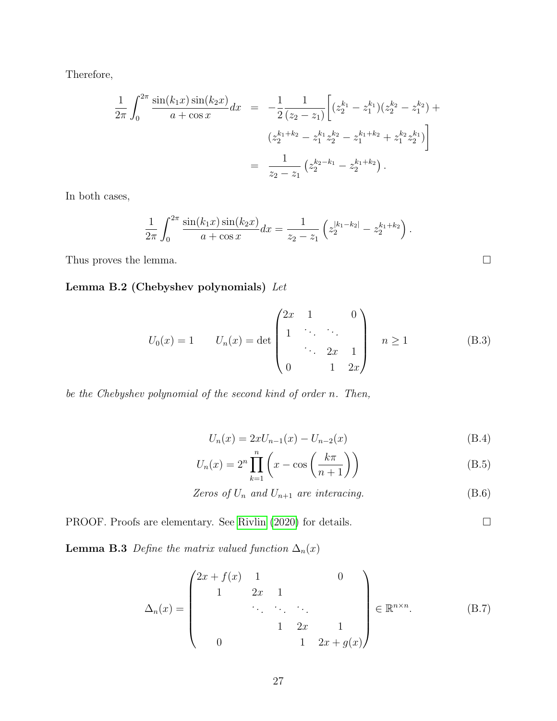Therefore,

$$
\frac{1}{2\pi} \int_0^{2\pi} \frac{\sin(k_1 x) \sin(k_2 x)}{a + \cos x} dx = -\frac{1}{2} \frac{1}{(z_2 - z_1)} \left[ (z_2^{k_1} - z_1^{k_1}) (z_2^{k_2} - z_1^{k_2}) + (z_2^{k_1 + k_2} - z_1^{k_1} z_2^{k_2} - z_1^{k_1 + k_2} + z_1^{k_2} z_2^{k_1}) \right]
$$

$$
= \frac{1}{z_2 - z_1} (z_2^{k_2 - k_1} - z_2^{k_1 + k_2}).
$$

In both cases,

$$
\frac{1}{2\pi} \int_0^{2\pi} \frac{\sin(k_1 x) \sin(k_2 x)}{a + \cos x} dx = \frac{1}{z_2 - z_1} \left( z_2^{|k_1 - k_2|} - z_2^{k_1 + k_2} \right).
$$

Thus proves the lemma.  $\Box$ 

Lemma B.2 (Chebyshev polynomials) Let

<span id="page-26-0"></span>
$$
U_0(x) = 1 \t U_n(x) = \det \begin{pmatrix} 2x & 1 & 0 \\ 1 & \ddots & \ddots & \\ & \ddots & 2x & 1 \\ 0 & 1 & 2x \end{pmatrix} \quad n \ge 1 \t (B.3)
$$

be the Chebyshev polynomial of the second kind of order n. Then,

<span id="page-26-4"></span><span id="page-26-1"></span>
$$
U_n(x) = 2xU_{n-1}(x) - U_{n-2}(x)
$$
\n(B.4)

$$
U_n(x) = 2^n \prod_{k=1}^n \left( x - \cos\left(\frac{k\pi}{n+1}\right) \right) \tag{B.5}
$$

Zeros of  $U_n$  and  $U_{n+1}$  are interacing. (B.6)

<span id="page-26-3"></span>PROOF. Proofs are elementary. See [Rivlin](#page-51-12) [\(2020\)](#page-51-12) for details.

**Lemma B.3** Define the matrix valued function  $\Delta_n(x)$ 

<span id="page-26-2"></span>
$$
\Delta_n(x) = \begin{pmatrix} 2x + f(x) & 1 & & & 0 \\ 1 & 2x & 1 & & \\ & \ddots & \ddots & \ddots & \\ & & 1 & 2x & 1 \\ & & & 1 & 2x + g(x) \end{pmatrix} \in \mathbb{R}^{n \times n}.
$$
 (B.7)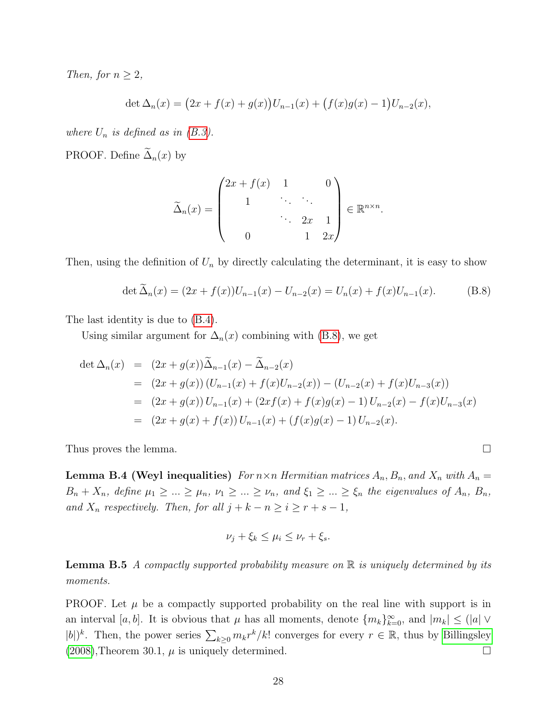Then, for  $n \geq 2$ ,

$$
\det \Delta_n(x) = (2x + f(x) + g(x))U_{n-1}(x) + (f(x)g(x) - 1)U_{n-2}(x),
$$

where  $U_n$  is defined as in  $(B.3)$ .

PROOF. Define  $\widetilde{\Delta}_n(x)$  by

$$
\widetilde{\Delta}_n(x) = \begin{pmatrix} 2x + f(x) & 1 & 0 \\ 1 & \ddots & \ddots & \vdots \\ 0 & 1 & 2x \end{pmatrix} \in \mathbb{R}^{n \times n}.
$$

Then, using the definition of  $U_n$  by directly calculating the determinant, it is easy to show

<span id="page-27-0"></span>
$$
\det \widetilde{\Delta}_n(x) = (2x + f(x))U_{n-1}(x) - U_{n-2}(x) = U_n(x) + f(x)U_{n-1}(x).
$$
 (B.8)

The last identity is due to [\(B.4\)](#page-26-1).

Using similar argument for  $\Delta_n(x)$  combining with [\(B.8\)](#page-27-0), we get

$$
\begin{aligned}\n\det \Delta_n(x) &= (2x + g(x))\widetilde{\Delta}_{n-1}(x) - \widetilde{\Delta}_{n-2}(x) \\
&= (2x + g(x))\left(U_{n-1}(x) + f(x)U_{n-2}(x)\right) - \left(U_{n-2}(x) + f(x)U_{n-3}(x)\right) \\
&= (2x + g(x))\,U_{n-1}(x) + (2xf(x) + f(x)g(x) - 1)\,U_{n-2}(x) - f(x)U_{n-3}(x) \\
&= (2x + g(x) + f(x))\,U_{n-1}(x) + (f(x)g(x) - 1)\,U_{n-2}(x).\n\end{aligned}
$$

<span id="page-27-2"></span>Thus proves the lemma.  $\square$ 

Lemma B.4 (Weyl inequalities) For  $n \times n$  Hermitian matrices  $A_n$ ,  $B_n$ , and  $X_n$  with  $A_n =$  $B_n + X_n$ , define  $\mu_1 \geq \ldots \geq \mu_n$ ,  $\nu_1 \geq \ldots \geq \nu_n$ , and  $\xi_1 \geq \ldots \geq \xi_n$  the eigenvalues of  $A_n$ ,  $B_n$ , and  $X_n$  respectively. Then, for all  $j + k - n \geq i \geq r + s - 1$ ,

$$
\nu_j + \xi_k \le \mu_i \le \nu_r + \xi_s.
$$

<span id="page-27-1"></span>**Lemma B.5** A compactly supported probability measure on  $\mathbb{R}$  is uniquely determined by its moments.

<span id="page-27-3"></span>PROOF. Let  $\mu$  be a compactly supported probability on the real line with support is in an interval [a, b]. It is obvious that  $\mu$  has all moments, denote  $\{m_k\}_{k=0}^{\infty}$ , and  $|m_k| \leq (|a| \vee$  $|b|$ <sup>k</sup>. Then, the power series  $\sum_{k\geq 0} m_k r^k / k!$  converges for every  $r \in \mathbb{R}$ , thus by [Billingsley](#page-49-4)  $(2008)$ , Theorem 30.1,  $\mu$  is uniquely determined.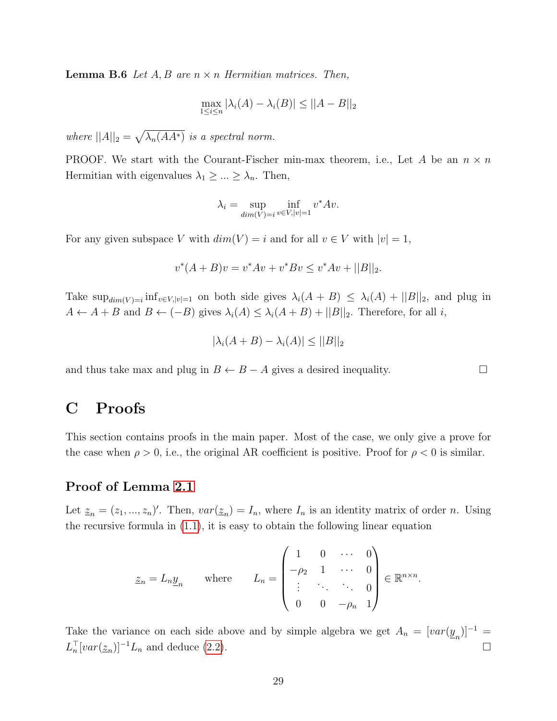**Lemma B.6** Let  $A, B$  are  $n \times n$  Hermitian matrices. Then,

$$
\max_{1 \le i \le n} |\lambda_i(A) - \lambda_i(B)| \le ||A - B||_2
$$

where  $||A||_2 = \sqrt{\lambda_n(AA^*)}$  is a spectral norm.

PROOF. We start with the Courant-Fischer min-max theorem, i.e., Let A be an  $n \times n$ Hermitian with eigenvalues  $\lambda_1 \geq \ldots \geq \lambda_n$ . Then,

$$
\lambda_i = \sup_{\dim(V)=i} \inf_{v \in V, |v|=1} v^* A v.
$$

For any given subspace V with  $dim(V) = i$  and for all  $v \in V$  with  $|v| = 1$ ,

$$
v^*(A+B)v = v^*Av + v^*Bv \le v^*Av + ||B||_2.
$$

Take  $\sup_{dim(V)=i} \inf_{v\in V,|v|=1}$  on both side gives  $\lambda_i(A+B) \leq \lambda_i(A)+||B||_2$ , and plug in  $A \leftarrow A + B$  and  $B \leftarrow (-B)$  gives  $\lambda_i(A) \leq \lambda_i(A + B) + ||B||_2$ . Therefore, for all i,

$$
|\lambda_i(A+B) - \lambda_i(A)| \le ||B||_2
$$

and thus take max and plug in  $B \leftarrow B - A$  gives a desired inequality.  $\square$ 

### <span id="page-28-1"></span>C Proofs

This section contains proofs in the main paper. Most of the case, we only give a prove for the case when  $\rho > 0$ , i.e., the original AR coefficient is positive. Proof for  $\rho < 0$  is similar.

#### <span id="page-28-0"></span>Proof of Lemma [2.1](#page-5-0)

Let  $\underline{z}_n = (z_1, ..., z_n)'$ . Then,  $var(\underline{z}_n) = I_n$ , where  $I_n$  is an identity matrix of order n. Using the recursive formula in [\(1.1\)](#page-0-0), it is easy to obtain the following linear equation

$$
\underline{z}_n = L_n \underline{y}_n \quad \text{where} \quad L_n = \begin{pmatrix} 1 & 0 & \cdots & 0 \\ -\rho_2 & 1 & \cdots & 0 \\ \vdots & \ddots & \ddots & 0 \\ 0 & 0 & -\rho_n & 1 \end{pmatrix} \in \mathbb{R}^{n \times n}.
$$

Take the variance on each side above and by simple algebra we get  $A_n = [var(\underline{y}_n)]^{-1} =$  $L_n^{\top} [var(\underline{z}_n)]^{-1} L_n$  and deduce [\(2.2\)](#page-5-3).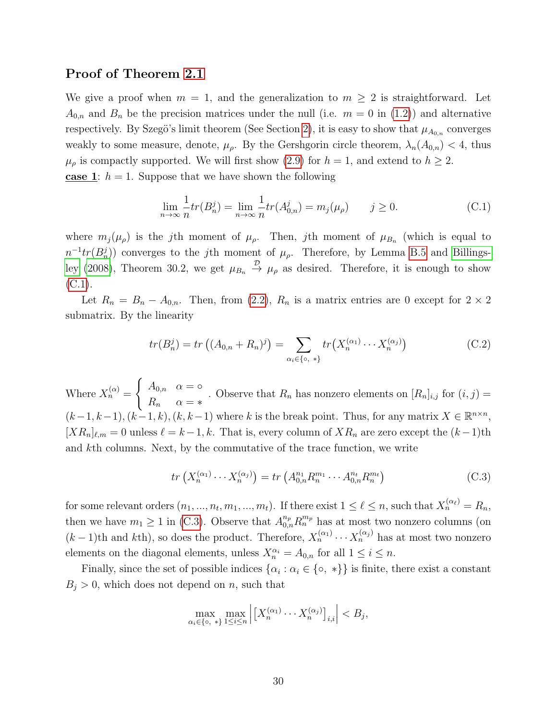#### <span id="page-29-0"></span>Proof of Theorem [2.1](#page-7-3)

We give a proof when  $m = 1$ , and the generalization to  $m \geq 2$  is straightforward. Let  $A_{0,n}$  and  $B_n$  be the precision matrices under the null (i.e.  $m = 0$  in [\(1.2\)](#page-1-0)) and alternative respectively. By Szegö's limit theorem (See Section [2\)](#page-5-1), it is easy to show that  $\mu_{A_{0,n}}$  converges weakly to some measure, denote,  $\mu_{\rho}$ . By the Gershgorin circle theorem,  $\lambda_n(A_{0,n}) < 4$ , thus  $\mu_{\rho}$  is compactly supported. We will first show [\(2.9\)](#page-7-4) for  $h = 1$ , and extend to  $h \geq 2$ . case 1:  $h = 1$ . Suppose that we have shown the following

<span id="page-29-1"></span>
$$
\lim_{n \to \infty} \frac{1}{n} tr(B_n^j) = \lim_{n \to \infty} \frac{1}{n} tr(A_{0,n}^j) = m_j(\mu_\rho) \qquad j \ge 0.
$$
 (C.1)

where  $m_j(\mu_{\rho})$  is the j<sup>th</sup> moment of  $\mu_{\rho}$ . Then, jth moment of  $\mu_{B_n}$  (which is equal to  $n^{-1}tr(B_n^j)$  converges to the jth moment of  $\mu_\rho$ . Therefore, by Lemma [B.5](#page-27-1) and [Billings](#page-49-4)[ley](#page-49-4) [\(2008\)](#page-49-4), Theorem 30.2, we get  $\mu_{B_n} \stackrel{\mathcal{D}}{\rightarrow} \mu_{\rho}$  as desired. Therefore, it is enough to show  $(C.1)$ .

Let  $R_n = B_n - A_{0,n}$ . Then, from [\(2](#page-5-3).2),  $R_n$  is a matrix entries are 0 except for  $2 \times 2$ submatrix. By the linearity

$$
tr(B_n^j) = tr((A_{0,n} + R_n)^j) = \sum_{\alpha_i \in \{\infty, * \}} tr(X_n^{(\alpha_1)} \cdots X_n^{(\alpha_j)})
$$
(C.2)

Where  $X_n^{(\alpha)} =$  $\int A_{0,n} \alpha = \infty$  $R_n \quad \alpha = *$ . Observe that  $R_n$  has nonzero elements on  $[R_n]_{i,j}$  for  $(i, j)$  =  $(k-1, k-1), (k-1, k), (k, k-1)$  where k is the break point. Thus, for any matrix  $X \in \mathbb{R}^{n \times n}$ ,  $[XR_n]_{\ell,m} = 0$  unless  $\ell = k-1, k$ . That is, every column of  $XR_n$  are zero except the  $(k-1)$ th and kth columns. Next, by the commutative of the trace function, we write

<span id="page-29-2"></span>
$$
tr\left(X_n^{(\alpha_1)}\cdots X_n^{(\alpha_j)}\right) = tr\left(A_{0,n}^{n_1} R_n^{m_1} \cdots A_{0,n}^{n_t} R_n^{m_t}\right) \tag{C.3}
$$

for some relevant orders  $(n_1, ..., n_t, m_1, ..., m_t)$ . If there exist  $1 \leq \ell \leq n$ , such that  $X_n^{(\alpha_\ell)} = R_n$ , then we have  $m_1 \geq 1$  in [\(C.3\)](#page-29-2). Observe that  $A_{0,n}^{n_p} R_n^{m_p}$  has at most two nonzero columns (on  $(k-1)$ th and kth), so does the product. Therefore,  $X_n^{(\alpha_1)} \cdots X_n^{(\alpha_j)}$  has at most two nonzero elements on the diagonal elements, unless  $X_n^{\alpha_i} = A_{0,n}$  for all  $1 \leq i \leq n$ .

Finally, since the set of possible indices  $\{\alpha_i : \alpha_i \in \{\circ, * \}\}\$ is finite, there exist a constant  $B_i > 0$ , which does not depend on n, such that

$$
\max_{\alpha_i \in \{\infty, * \}} \max_{1 \le i \le n} \left| \left[ X_n^{(\alpha_1)} \cdots X_n^{(\alpha_j)} \right]_{i,i} \right| < B_j,
$$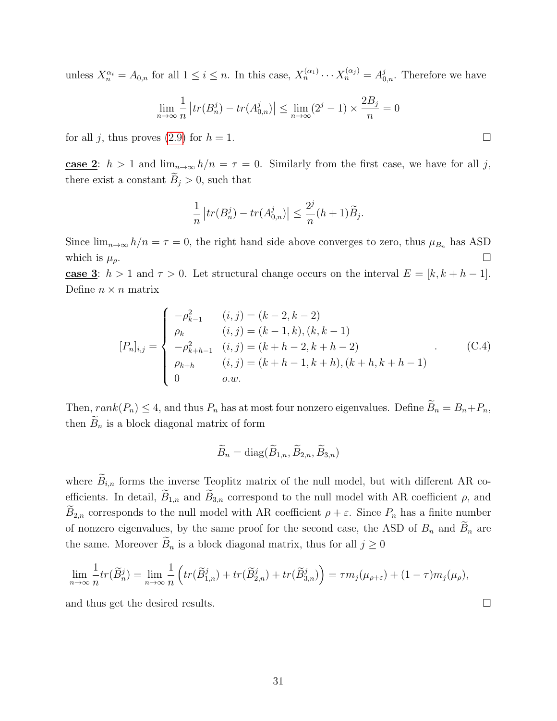unless  $X_n^{\alpha_i} = A_{0,n}$  for all  $1 \leq i \leq n$ . In this case,  $X_n^{(\alpha_1)} \cdots X_n^{(\alpha_j)} = A_{0,n}^j$ . Therefore we have

$$
\lim_{n \to \infty} \frac{1}{n} |tr(B_n^j) - tr(A_{0,n}^j)| \le \lim_{n \to \infty} (2^j - 1) \times \frac{2B_j}{n} = 0
$$

for all j, thus proves [\(2.9\)](#page-7-4) for  $h = 1$ .

case 2:  $h > 1$  and  $\lim_{n\to\infty} h/n = \tau = 0$ . Similarly from the first case, we have for all j, there exist a constant  $B_j > 0$ , such that

$$
\frac{1}{n}\left|tr(B_n^j) - tr(A_{0,n}^j)\right| \le \frac{2^j}{n}(h+1)\widetilde{B}_j.
$$

Since  $\lim_{n\to\infty} h/n = \tau = 0$ , the right hand side above converges to zero, thus  $\mu_{B_n}$  has ASD which is  $\mu_{\rho}$ .

case 3:  $h > 1$  and  $\tau > 0$ . Let structural change occurs on the interval  $E = [k, k + h - 1]$ . Define  $n \times n$  matrix

$$
[P_n]_{i,j} = \begin{cases} -\rho_{k-1}^2 & (i,j) = (k-2, k-2) \\ \rho_k & (i,j) = (k-1, k), (k, k-1) \\ -\rho_{k+h-1}^2 & (i,j) = (k+h-2, k+h-2) \\ \rho_{k+h} & (i,j) = (k+h-1, k+h), (k+h, k+h-1) \\ 0 & o.w. \end{cases}
$$
(C.4)

Then,  $rank(P_n) \leq 4$ , and thus  $P_n$  has at most four nonzero eigenvalues. Define  $\widetilde{B}_n = B_n + P_n$ , then  $\widetilde{B}_n$  is a block diagonal matrix of form

$$
\widetilde{B}_n = \text{diag}(\widetilde{B}_{1,n}, \widetilde{B}_{2,n}, \widetilde{B}_{3,n})
$$

where  $\widetilde{B}_{i,n}$  forms the inverse Teoplitz matrix of the null model, but with different AR coefficients. In detail,  $\widetilde{B}_{1,n}$  and  $\widetilde{B}_{3,n}$  correspond to the null model with AR coefficient  $\rho$ , and  $\widetilde{B}_{2,n}$  corresponds to the null model with AR coefficient  $\rho + \varepsilon$ . Since  $P_n$  has a finite number of nonzero eigenvalues, by the same proof for the second case, the ASD of  $B_n$  and  $B_n$  are the same. Moreover  $B_n$  is a block diagonal matrix, thus for all  $j \geq 0$ 

$$
\lim_{n \to \infty} \frac{1}{n} tr(\widetilde{B}_n^j) = \lim_{n \to \infty} \frac{1}{n} \left( tr(\widetilde{B}_{1,n}^j) + tr(\widetilde{B}_{2,n}^j) + tr(\widetilde{B}_{3,n}^j) \right) = \tau m_j(\mu_{\rho + \varepsilon}) + (1 - \tau) m_j(\mu_{\rho}),
$$

and thus get the desired results.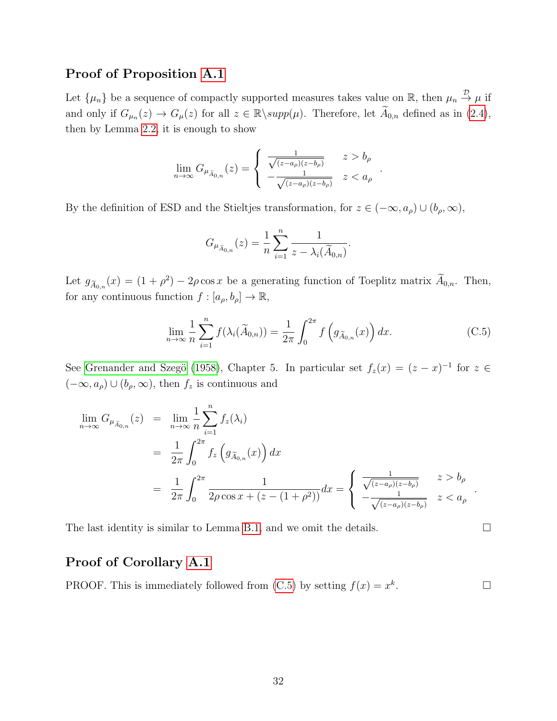#### <span id="page-31-0"></span>Proof of Proposition [A.1](#page-23-0)

Let  $\{\mu_n\}$  be a sequence of compactly supported measures takes value on R, then  $\mu_n \stackrel{\mathcal{D}}{\rightarrow} \mu$  if and only if  $G_{\mu_n}(z) \to G_{\mu}(z)$  for all  $z \in \mathbb{R} \setminus supp(\mu)$ . Therefore, let  $\widetilde{A}_{0,n}$  defined as in  $(2.4)$ , then by Lemma [2.2,](#page-6-2) it is enough to show

$$
\lim_{n \to \infty} G_{\mu_{\widetilde{A}_{0,n}}}(z) = \begin{cases} \frac{1}{\sqrt{(z-a_{\rho})(z-b_{\rho})}} & z > b_{\rho} \\ -\frac{1}{\sqrt{(z-a_{\rho})(z-b_{\rho})}} & z < a_{\rho} \end{cases}
$$

By the definition of ESD and the Stieltjes transformation, for  $z \in (-\infty, a_{\rho}) \cup (b_{\rho}, \infty)$ ,

$$
G_{\mu_{\widetilde{A}_{0,n}}}(z) = \frac{1}{n} \sum_{i=1}^{n} \frac{1}{z - \lambda_i(\widetilde{A}_{0,n})}.
$$

Let  $g_{\tilde{A}_{0,n}}(x) = (1+\rho^2) - 2\rho \cos x$  be a generating function of Toeplitz matrix  $A_{0,n}$ . Then, for any continuous function  $f : [a_{\rho}, b_{\rho}] \to \mathbb{R}$ ,

<span id="page-31-2"></span>
$$
\lim_{n \to \infty} \frac{1}{n} \sum_{i=1}^{n} f(\lambda_i(\widetilde{A}_{0,n})) = \frac{1}{2\pi} \int_0^{2\pi} f\left(g_{\widetilde{A}_{0,n}}(x)\right) dx.
$$
 (C.5)

.

See Grenander and Szegö [\(1958\)](#page-50-12), Chapter 5. In particular set  $f_z(x) = (z - x)^{-1}$  for  $z \in$  $(-\infty, a_{\rho}) \cup (b_{\rho}, \infty)$ , then  $f_z$  is continuous and

$$
\lim_{n \to \infty} G_{\mu_{\widetilde{A}_{0,n}}}(z) = \lim_{n \to \infty} \frac{1}{n} \sum_{i=1}^{n} f_z(\lambda_i)
$$
\n
$$
= \frac{1}{2\pi} \int_0^{2\pi} f_z(g_{\widetilde{A}_{0,n}}(x)) dx
$$
\n
$$
= \frac{1}{2\pi} \int_0^{2\pi} \frac{1}{2\rho \cos x + (z - (1 + \rho^2))} dx = \begin{cases} \frac{1}{\sqrt{(z - a_\rho)(z - b_\rho)}} & z > b_\rho \\ -\frac{1}{\sqrt{(z - a_\rho)(z - b_\rho)}} & z < a_\rho \end{cases}.
$$

The last identity is similar to Lemma [B.1,](#page-24-1) and we omit the details.  $\Box$ 

### <span id="page-31-1"></span>Proof of Corollary [A.1](#page-23-2)

PROOF. This is immediately followed from  $(C.5)$  by setting  $f(x) = x^k$ . — Первый профессиональный стандарт и профессиональный стандарт и профессиональный стандарт (1980).<br>В 1980 году стандарт профессиональный стандарт профессиональный стандарт (1980 году стандарт 1980 году стандар<br>Стандарт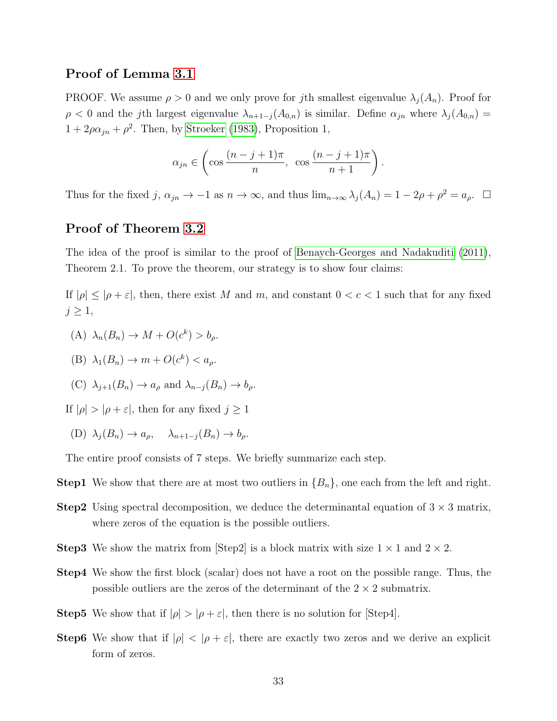#### <span id="page-32-0"></span>Proof of Lemma [3.1](#page-8-2)

PROOF. We assume  $\rho > 0$  and we only prove for jth smallest eigenvalue  $\lambda_i(A_n)$ . Proof for  $\rho < 0$  and the jth largest eigenvalue  $\lambda_{n+1-j}(A_{0,n})$  is similar. Define  $\alpha_{jn}$  where  $\lambda_j(A_{0,n}) =$  $1 + 2\rho\alpha_{jn} + \rho^2$ . Then, by [Stroeker](#page-51-10) [\(1983\)](#page-51-10), Proposition 1,

$$
\alpha_{jn} \in \left( \cos \frac{(n-j+1)\pi}{n}, \cos \frac{(n-j+1)\pi}{n+1} \right).
$$

Thus for the fixed j,  $\alpha_{jn} \to -1$  as  $n \to \infty$ , and thus  $\lim_{n \to \infty} \lambda_j(A_n) = 1 - 2\rho + \rho^2 = a_\rho$ .  $\Box$ 

#### <span id="page-32-1"></span>Proof of Theorem [3.2](#page-10-0)

The idea of the proof is similar to the proof of [Benaych-Georges and Nadakuditi](#page-49-3) [\(2011\)](#page-49-3), Theorem 2.1. To prove the theorem, our strategy is to show four claims:

If  $|\rho| \leq |\rho + \varepsilon|$ , then, there exist M and m, and constant  $0 < c < 1$  such that for any fixed  $j \geq 1$ ,

(A) 
$$
\lambda_n(B_n) \to M + O(c^k) > b_\rho
$$
.

(B) 
$$
\lambda_1(B_n) \to m + O(c^k) < a_\rho.
$$

(C)  $\lambda_{i+1}(B_n) \to a_{\rho}$  and  $\lambda_{n-i}(B_n) \to b_{\rho}$ .

If  $|\rho| > |\rho + \varepsilon|$ , then for any fixed  $j \ge 1$ 

(D)  $\lambda_j(B_n) \to a_\rho, \quad \lambda_{n+1-j}(B_n) \to b_\rho.$ 

The entire proof consists of 7 steps. We briefly summarize each step.

- **Step1** We show that there are at most two outliers in  ${B_n}$ , one each from the left and right.
- **Step2** Using spectral decomposition, we deduce the determinantal equation of  $3 \times 3$  matrix, where zeros of the equation is the possible outliers.
- **Step3** We show the matrix from  $\text{[Step2]}$  is a block matrix with size  $1 \times 1$  and  $2 \times 2$ .
- Step4 We show the first block (scalar) does not have a root on the possible range. Thus, the possible outliers are the zeros of the determinant of the  $2 \times 2$  submatrix.
- **Step5** We show that if  $|\rho| > |\rho + \varepsilon|$ , then there is no solution for [Step4].
- **Step6** We show that if  $|\rho| < |\rho + \varepsilon|$ , there are exactly two zeros and we derive an explicit form of zeros.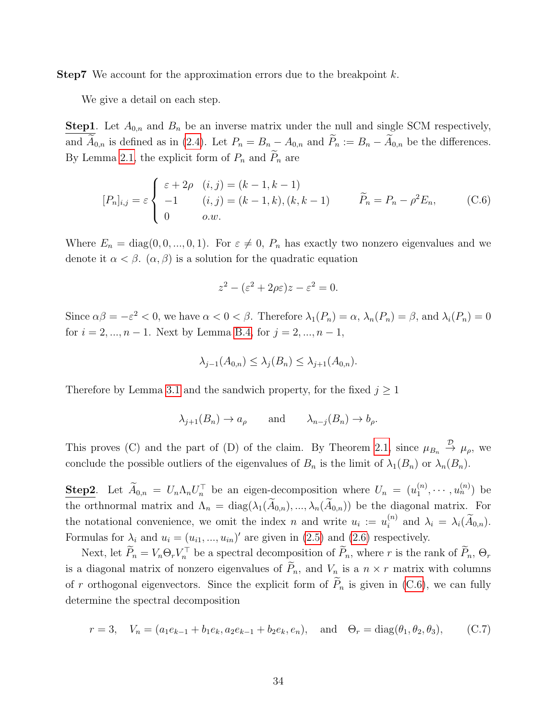**Step7** We account for the approximation errors due to the breakpoint  $k$ .

We give a detail on each step.

**Step1**. Let  $A_{0,n}$  and  $B_n$  be an inverse matrix under the null and single SCM respectively, and  $\widetilde{A}_{0,n}$  is defined as in [\(2.4\)](#page-6-4). Let  $P_n = B_n - A_{0,n}$  and  $\widetilde{P}_n := B_n - \widetilde{A}_{0,n}$  be the differences. By Lemma [2.1,](#page-5-0) the explicit form of  $P_n$  and  $P_n$  are

<span id="page-33-0"></span>
$$
[P_n]_{i,j} = \varepsilon \begin{cases} \varepsilon + 2\rho & (i,j) = (k-1, k-1) \\ -1 & (i,j) = (k-1, k), (k, k-1) \\ 0 & o.w. \end{cases} \qquad \widetilde{P}_n = P_n - \rho^2 E_n, \qquad (C.6)
$$

Where  $E_n = \text{diag}(0, 0, ..., 0, 1)$ . For  $\varepsilon \neq 0$ ,  $P_n$  has exactly two nonzero eigenvalues and we denote it  $\alpha < \beta$ .  $(\alpha, \beta)$  is a solution for the quadratic equation

$$
z^2 - (\varepsilon^2 + 2\rho \varepsilon)z - \varepsilon^2 = 0.
$$

Since  $\alpha\beta = -\varepsilon^2 < 0$ , we have  $\alpha < 0 < \beta$ . Therefore  $\lambda_1(P_n) = \alpha$ ,  $\lambda_n(P_n) = \beta$ , and  $\lambda_i(P_n) = 0$ for  $i = 2, ..., n - 1$ . Next by Lemma [B.4,](#page-27-2) for  $j = 2, ..., n - 1$ ,

$$
\lambda_{j-1}(A_{0,n}) \leq \lambda_j(B_n) \leq \lambda_{j+1}(A_{0,n}).
$$

Therefore by Lemma [3.1](#page-8-2) and the sandwich property, for the fixed  $j \geq 1$ 

$$
\lambda_{j+1}(B_n) \to a_\rho
$$
 and  $\lambda_{n-j}(B_n) \to b_\rho$ .

This proves (C) and the part of (D) of the claim. By Theorem [2.1,](#page-7-3) since  $\mu_{B_n} \stackrel{\mathcal{D}}{\rightarrow} \mu_{\rho}$ , we conclude the possible outliers of the eigenvalues of  $B_n$  is the limit of  $\lambda_1(B_n)$  or  $\lambda_n(B_n)$ .

**Step2**. Let  $\widetilde{A}_{0,n} = U_n \Lambda_n U_n^{\top}$  be an eigen-decomposition where  $U_n = (u_1^{(n)})$  $\binom{n}{1}, \cdots, \binom{n}{n}$  be the orthnormal matrix and  $\Lambda_n = \text{diag}(\lambda_1(\tilde{A}_{0,n}), ..., \lambda_n(\tilde{A}_{0,n}))$  be the diagonal matrix. For the notational convenience, we omit the index n and write  $u_i := u_i^{(n)}$  $i^{(n)}$  and  $\lambda_i = \lambda_i(A_{0,n}).$ Formulas for  $\lambda_i$  and  $u_i = (u_{i1}, ..., u_{in})'$  are given in [\(2.5\)](#page-6-1) and [\(2.6\)](#page-6-5) respectively.

Next, let  $P_n = V_n \Theta_r V_n^{\top}$  be a spectral decomposition of  $P_n$ , where r is the rank of  $P_n$ ,  $\Theta_r$ is a diagonal matrix of nonzero eigenvalues of  $P_n$ , and  $V_n$  is a  $n \times r$  matrix with columns of r orthogonal eigenvectors. Since the explicit form of  $\tilde{P}_n$  is given in [\(C.6\)](#page-33-0), we can fully determine the spectral decomposition

<span id="page-33-1"></span>
$$
r = 3
$$
,  $V_n = (a_1e_{k-1} + b_1e_k, a_2e_{k-1} + b_2e_k, e_n)$ , and  $\Theta_r = \text{diag}(\theta_1, \theta_2, \theta_3)$ , (C.7)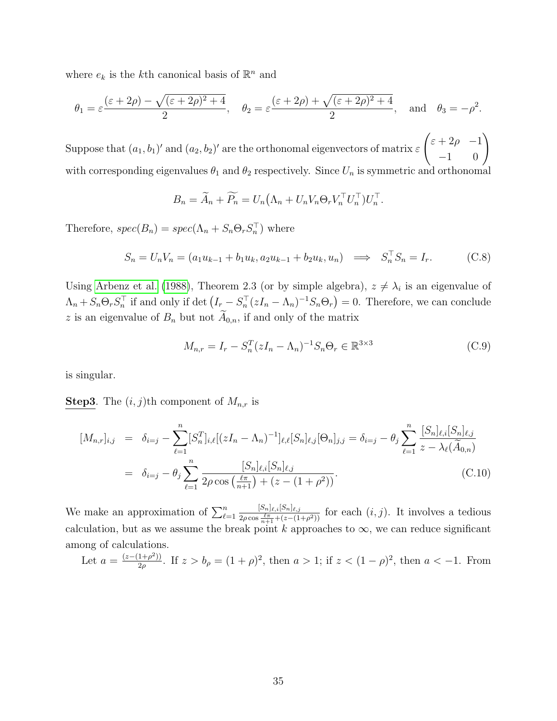where  $e_k$  is the *k*<sup>th</sup> canonical basis of  $\mathbb{R}^n$  and

$$
\theta_1 = \varepsilon \frac{(\varepsilon + 2\rho) - \sqrt{(\varepsilon + 2\rho)^2 + 4}}{2}
$$
,  $\theta_2 = \varepsilon \frac{(\varepsilon + 2\rho) + \sqrt{(\varepsilon + 2\rho)^2 + 4}}{2}$ , and  $\theta_3 = -\rho^2$ .

Suppose that  $(a_1, b_1)'$  and  $(a_2, b_2)'$  are the orthonomal eigenvectors of matrix  $\varepsilon$  $\begin{pmatrix} \varepsilon + 2\rho & -1 \\ -1 & 0 \end{pmatrix}$ with corresponding eigenvalues  $\theta_1$  and  $\theta_2$  respectively. Since  $U_n$  is symmetric and orthonomal

$$
B_n = \widetilde{A}_n + \widetilde{P_n} = U_n \left( \Lambda_n + U_n V_n \Theta_r V_n^\top U_n^\top \right) U_n^\top.
$$

Therefore,  $spec(B_n)=spec(\Lambda_n+S_n\Theta_rS_n^{\top})$  where

<span id="page-34-1"></span>
$$
S_n = U_n V_n = (a_1 u_{k-1} + b_1 u_k, a_2 u_{k-1} + b_2 u_k, u_n) \implies S_n^{\top} S_n = I_r.
$$
 (C.8)

Using [Arbenz et al.](#page-49-5) [\(1988\)](#page-49-5), Theorem 2.3 (or by simple algebra),  $z \neq \lambda_i$  is an eigenvalue of  $\Lambda_n + S_n \Theta_r S_n^{\top}$  if and only if det  $(I_r - S_n^{\top} (zI_n - \Lambda_n)^{-1} S_n \Theta_r) = 0$ . Therefore, we can conclude z is an eigenvalue of  $B_n$  but not  $\widetilde{A}_{0,n}$ , if and only of the matrix

<span id="page-34-0"></span>
$$
M_{n,r} = I_r - S_n^T (zI_n - \Lambda_n)^{-1} S_n \Theta_r \in \mathbb{R}^{3 \times 3}
$$
 (C.9)

is singular.

**Step3**. The  $(i, j)$ th component of  $M_{n,r}$  is

<span id="page-34-2"></span>
$$
[M_{n,r}]_{i,j} = \delta_{i=j} - \sum_{\ell=1}^n [S_n^T]_{i,\ell} [(zI_n - \Lambda_n)^{-1}]_{\ell,\ell} [S_n]_{\ell,j} [\Theta_n]_{j,j} = \delta_{i=j} - \theta_j \sum_{\ell=1}^n \frac{[S_n]_{\ell,i} [S_n]_{\ell,j}}{z - \lambda_\ell(\widetilde{A}_{0,n})}
$$
  
=  $\delta_{i=j} - \theta_j \sum_{\ell=1}^n \frac{[S_n]_{\ell,i} [S_n]_{\ell,j}}{2\rho \cos\left(\frac{\ell\pi}{n+1}\right) + (z - (1 + \rho^2))}$ . (C.10)

We make an approximation of  $\sum_{\ell=1}^n$  $[S_n]_{\ell,i}[S_n]_{\ell,j}$  $\frac{[S_n]_{\ell,i}[S_n]_{\ell,j}}{2\rho \cos \frac{\ell \pi}{n+1} + (z-(1+\rho^2))}$  for each  $(i, j)$ . It involves a tedious calculation, but as we assume the break point k approaches to  $\infty$ , we can reduce significant among of calculations.

Let  $a = \frac{(z-(1+\rho^2))}{2\rho}$  $\frac{(1+\rho^2)}{2\rho}$ . If  $z > b_\rho = (1+\rho)^2$ , then  $a > 1$ ; if  $z < (1-\rho)^2$ , then  $a < -1$ . From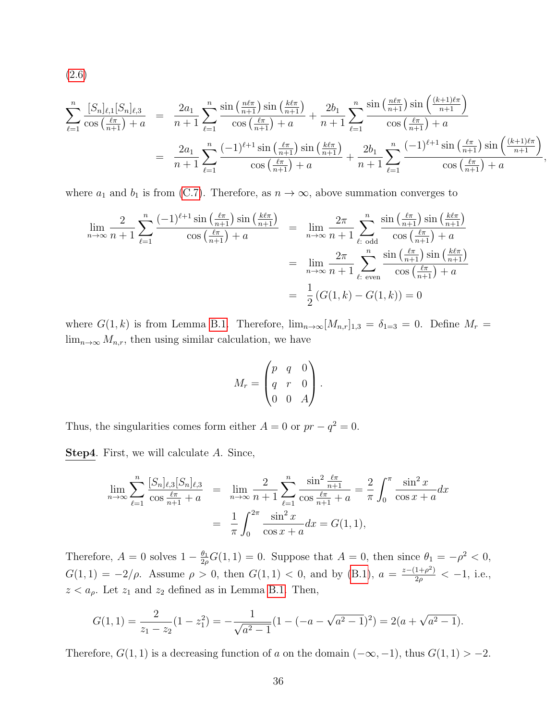[\(2.6\)](#page-6-5)

$$
\sum_{\ell=1}^{n} \frac{[S_n]_{\ell,1}[S_n]_{\ell,3}}{\cos\left(\frac{\ell\pi}{n+1}\right)+a} = \frac{2a_1}{n+1} \sum_{\ell=1}^{n} \frac{\sin\left(\frac{n\ell\pi}{n+1}\right)\sin\left(\frac{k\ell\pi}{n+1}\right)}{\cos\left(\frac{\ell\pi}{n+1}\right)+a} + \frac{2b_1}{n+1} \sum_{\ell=1}^{n} \frac{\sin\left(\frac{n\ell\pi}{n+1}\right)\sin\left(\frac{(k+1)\ell\pi}{n+1}\right)}{\cos\left(\frac{\ell\pi}{n+1}\right)+a}
$$

$$
= \frac{2a_1}{n+1} \sum_{\ell=1}^{n} \frac{(-1)^{\ell+1}\sin\left(\frac{\ell\pi}{n+1}\right)\sin\left(\frac{k\ell\pi}{n+1}\right)}{\cos\left(\frac{\ell\pi}{n+1}\right)+a} + \frac{2b_1}{n+1} \sum_{\ell=1}^{n} \frac{(-1)^{\ell+1}\sin\left(\frac{\ell\pi}{n+1}\right)\sin\left(\frac{(k+1)\ell\pi}{n+1}\right)}{\cos\left(\frac{\ell\pi}{n+1}\right)+a}
$$

,

where  $a_1$  and  $b_1$  is from [\(C.7\)](#page-33-1). Therefore, as  $n \to \infty$ , above summation converges to

$$
\lim_{n \to \infty} \frac{2}{n+1} \sum_{\ell=1}^{n} \frac{(-1)^{\ell+1} \sin\left(\frac{\ell\pi}{n+1}\right) \sin\left(\frac{k\ell\pi}{n+1}\right)}{\cos\left(\frac{\ell\pi}{n+1}\right) + a} = \lim_{n \to \infty} \frac{2\pi}{n+1} \sum_{\ell: \text{ odd}}^{n} \frac{\sin\left(\frac{\ell\pi}{n+1}\right) \sin\left(\frac{k\ell\pi}{n+1}\right)}{\cos\left(\frac{\ell\pi}{n+1}\right) + a}
$$

$$
= \lim_{n \to \infty} \frac{2\pi}{n+1} \sum_{\ell: \text{ even}}^{n} \frac{\sin\left(\frac{\ell\pi}{n+1}\right) \sin\left(\frac{k\ell\pi}{n+1}\right)}{\cos\left(\frac{\ell\pi}{n+1}\right) + a}
$$

$$
= \frac{1}{2} \left( G(1, k) - G(1, k) \right) = 0
$$

where  $G(1, k)$  is from Lemma [B.1.](#page-24-1) Therefore,  $\lim_{n\to\infty} [M_{n,r}]_{1,3} = \delta_{1=3} = 0$ . Define  $M_r =$  $\lim_{n\to\infty} M_{n,r}$ , then using similar calculation, we have

$$
M_r = \begin{pmatrix} p & q & 0 \\ q & r & 0 \\ 0 & 0 & A \end{pmatrix}.
$$

Thus, the singularities comes form either  $A = 0$  or  $pr - q^2 = 0$ .

Step4. First, we will calculate A. Since,

$$
\lim_{n \to \infty} \sum_{\ell=1}^{n} \frac{[S_n]_{\ell,3} [S_n]_{\ell,3}}{\cos \frac{\ell \pi}{n+1} + a} = \lim_{n \to \infty} \frac{2}{n+1} \sum_{\ell=1}^{n} \frac{\sin^2 \frac{\ell \pi}{n+1}}{\cos \frac{\ell \pi}{n+1} + a} = \frac{2}{\pi} \int_0^{\pi} \frac{\sin^2 x}{\cos x + a} dx
$$

$$
= \frac{1}{\pi} \int_0^{2\pi} \frac{\sin^2 x}{\cos x + a} dx = G(1, 1),
$$

Therefore,  $A = 0$  solves  $1 - \frac{\theta_1}{2e}$  $\frac{\theta_1}{2\rho}G(1,1)=0$ . Suppose that  $A=0$ , then since  $\theta_1=-\rho^2<0$ ,  $G(1,1) = -2/\rho$ . Assume  $\rho > 0$ , then  $G(1,1) < 0$ , and by [\(B.1\)](#page-24-2),  $a = \frac{z-(1+\rho^2)}{2\rho}$  $\frac{1+\rho^2}{2\rho} < -1$ , i.e.,  $z < a_{\rho}$ . Let  $z_1$  and  $z_2$  defined as in Lemma [B.1.](#page-24-1) Then,

$$
G(1,1) = \frac{2}{z_1 - z_2}(1 - z_1^2) = -\frac{1}{\sqrt{a^2 - 1}}(1 - (-a - \sqrt{a^2 - 1})^2) = 2(a + \sqrt{a^2 - 1}).
$$

Therefore,  $G(1, 1)$  is a decreasing function of a on the domain  $(-\infty, -1)$ , thus  $G(1, 1) > -2$ .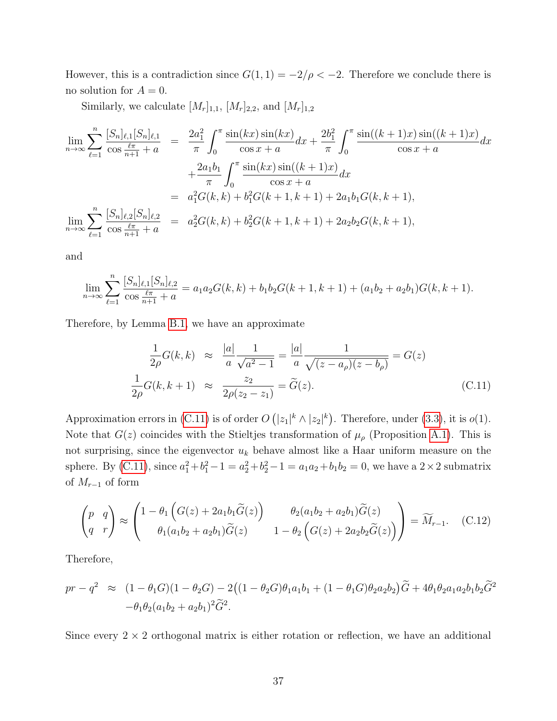However, this is a contradiction since  $G(1, 1) = -2/\rho < -2$ . Therefore we conclude there is no solution for  $A = 0$ .

Similarly, we calculate  $[M_r]_{1,1}$ ,  $[M_r]_{2,2}$ , and  $[M_r]_{1,2}$ 

$$
\lim_{n \to \infty} \sum_{\ell=1}^{n} \frac{[S_n]_{\ell,1}[S_n]_{\ell,1}}{\cos \frac{\ell \pi}{n+1} + a} = \frac{2a_1^2}{\pi} \int_0^\pi \frac{\sin(kx)\sin(kx)}{\cos x + a} dx + \frac{2b_1^2}{\pi} \int_0^\pi \frac{\sin((k+1)x)\sin((k+1)x)}{\cos x + a} dx \n+ \frac{2a_1b_1}{\pi} \int_0^\pi \frac{\sin(kx)\sin((k+1)x)}{\cos x + a} dx \n= a_1^2 G(k, k) + b_1^2 G(k+1, k+1) + 2a_1 b_1 G(k, k+1), \n\lim_{n \to \infty} \sum_{\ell=1}^{n} \frac{[S_n]_{\ell,2}[S_n]_{\ell,2}}{\cos \frac{\ell \pi}{n+1} + a} = a_2^2 G(k, k) + b_2^2 G(k+1, k+1) + 2a_2 b_2 G(k, k+1),
$$

and

$$
\lim_{n \to \infty} \sum_{\ell=1}^n \frac{[S_n]_{\ell,1}[S_n]_{\ell,2}}{\cos \frac{\ell \pi}{n+1} + a} = a_1 a_2 G(k,k) + b_1 b_2 G(k+1,k+1) + (a_1 b_2 + a_2 b_1) G(k,k+1).
$$

Therefore, by Lemma [B.1,](#page-24-1) we have an approximate

<span id="page-36-1"></span>
$$
\frac{1}{2\rho}G(k,k) \approx \frac{|a|}{a} \frac{1}{\sqrt{a^2 - 1}} = \frac{|a|}{a} \frac{1}{\sqrt{(z - a_\rho)(z - b_\rho)}} = G(z)
$$
\n
$$
\frac{1}{2\rho}G(k,k+1) \approx \frac{z_2}{2\rho(z_2 - z_1)} = \tilde{G}(z).
$$
\n(C.11)

Approximation errors in [\(C.11\)](#page-36-1) is of order  $O(|z_1|^k \wedge |z_2|^k)$ . Therefore, under [\(3.3\)](#page-9-1), it is  $o(1)$ . Note that  $G(z)$  coincides with the Stieltjes transformation of  $\mu_{\rho}$  (Proposition [A.1\)](#page-23-0). This is not surprising, since the eigenvector  $u_k$  behave almost like a Haar uniform measure on the sphere. By [\(C.11\)](#page-36-1), since  $a_1^2 + b_1^2 - 1 = a_2^2 + b_2^2 - 1 = a_1 a_2 + b_1 b_2 = 0$ , we have a  $2 \times 2$  submatrix of  $M_{r-1}$  of form

<span id="page-36-0"></span>
$$
\begin{pmatrix} p & q \\ q & r \end{pmatrix} \approx \begin{pmatrix} 1 - \theta_1 \left( G(z) + 2a_1 b_1 \widetilde{G}(z) \right) & \theta_2 (a_1 b_2 + a_2 b_1) \widetilde{G}(z) \\ \theta_1 (a_1 b_2 + a_2 b_1) \widetilde{G}(z) & 1 - \theta_2 \left( G(z) + 2a_2 b_2 \widetilde{G}(z) \right) \end{pmatrix} = \widetilde{M}_{r-1}.
$$
 (C.12)

Therefore,

$$
pr - q^2 \approx (1 - \theta_1 G)(1 - \theta_2 G) - 2((1 - \theta_2 G)\theta_1 a_1 b_1 + (1 - \theta_1 G)\theta_2 a_2 b_2)\tilde{G} + 4\theta_1 \theta_2 a_1 a_2 b_1 b_2 \tilde{G}^2 - \theta_1 \theta_2 (a_1 b_2 + a_2 b_1)^2 \tilde{G}^2.
$$

Since every  $2 \times 2$  orthogonal matrix is either rotation or reflection, we have an additional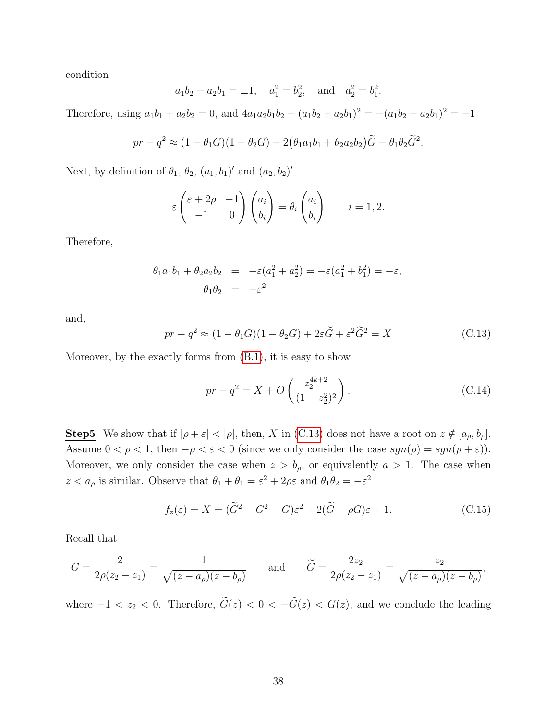condition

$$
a_1b_2 - a_2b_1 = \pm 1
$$
,  $a_1^2 = b_2^2$ , and  $a_2^2 = b_1^2$ .

Therefore, using  $a_1b_1 + a_2b_2 = 0$ , and  $4a_1a_2b_1b_2 - (a_1b_2 + a_2b_1)^2 = -(a_1b_2 - a_2b_1)^2 = -1$ 

$$
pr - q^2 \approx (1 - \theta_1 G)(1 - \theta_2 G) - 2(\theta_1 a_1 b_1 + \theta_2 a_2 b_2) \widetilde{G} - \theta_1 \theta_2 \widetilde{G}^2.
$$

Next, by definition of  $\theta_1$ ,  $\theta_2$ ,  $(a_1, b_1)'$  and  $(a_2, b_2)'$ 

$$
\varepsilon \begin{pmatrix} \varepsilon + 2\rho & -1 \\ -1 & 0 \end{pmatrix} \begin{pmatrix} a_i \\ b_i \end{pmatrix} = \theta_i \begin{pmatrix} a_i \\ b_i \end{pmatrix} \qquad i = 1, 2.
$$

Therefore,

$$
\theta_1 a_1 b_1 + \theta_2 a_2 b_2 = -\varepsilon (a_1^2 + a_2^2) = -\varepsilon (a_1^2 + b_1^2) = -\varepsilon,
$$
  

$$
\theta_1 \theta_2 = -\varepsilon^2
$$

and,

<span id="page-37-0"></span>
$$
pr - q^2 \approx (1 - \theta_1 G)(1 - \theta_2 G) + 2\varepsilon \widetilde{G} + \varepsilon^2 \widetilde{G}^2 = X \tag{C.13}
$$

Moreover, by the exactly forms from [\(B.1\)](#page-24-2), it is easy to show

<span id="page-37-2"></span>
$$
pr - q^2 = X + O\left(\frac{z_2^{4k+2}}{(1-z_2^2)^2}\right). \tag{C.14}
$$

**Step5**. We show that if  $|\rho + \varepsilon| < |\rho|$ , then, X in [\(C.13\)](#page-37-0) does not have a root on  $z \notin [a_{\rho}, b_{\rho}]$ . Assume  $0 < \rho < 1$ , then  $-\rho < \varepsilon < 0$  (since we only consider the case  $sgn(\rho) = sgn(\rho + \varepsilon)$ ). Moreover, we only consider the case when  $z > b_{\rho}$ , or equivalently  $a > 1$ . The case when  $z < a_{\rho}$  is similar. Observe that  $\theta_1 + \theta_1 = \varepsilon^2 + 2\rho\varepsilon$  and  $\theta_1\theta_2 = -\varepsilon^2$ 

<span id="page-37-1"></span>
$$
f_z(\varepsilon) = X = (\tilde{G}^2 - G^2 - G)\varepsilon^2 + 2(\tilde{G} - \rho G)\varepsilon + 1.
$$
 (C.15)

Recall that

$$
G = \frac{2}{2\rho(z_2 - z_1)} = \frac{1}{\sqrt{(z - a_\rho)(z - b_\rho)}} \quad \text{and} \quad \tilde{G} = \frac{2z_2}{2\rho(z_2 - z_1)} = \frac{z_2}{\sqrt{(z - a_\rho)(z - b_\rho)}},
$$

where  $-1 < z_2 < 0$ . Therefore,  $\tilde{G}(z) < 0 < -\tilde{G}(z) < G(z)$ , and we conclude the leading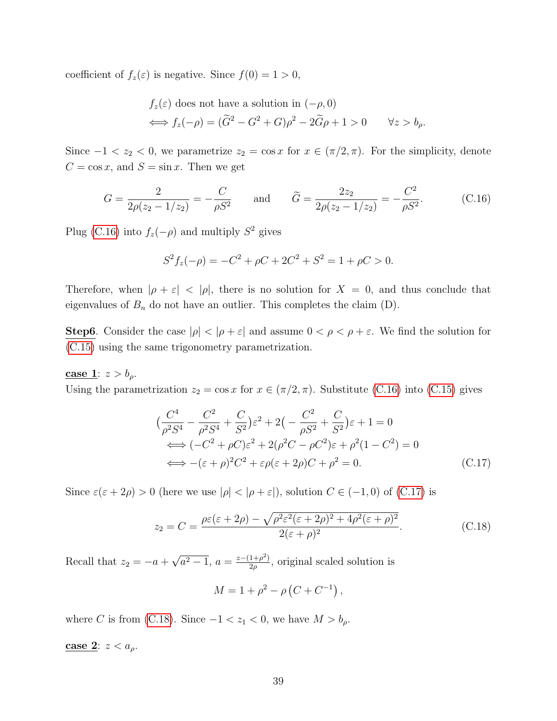coefficient of  $f_z(\varepsilon)$  is negative. Since  $f(0) = 1 > 0$ ,

$$
f_z(\varepsilon) \text{ does not have a solution in } (-\rho, 0)
$$
  

$$
\iff f_z(-\rho) = (\tilde{G}^2 - G^2 + G)\rho^2 - 2\tilde{G}\rho + 1 > 0 \qquad \forall z > b_\rho.
$$

Since  $-1 < z_2 < 0$ , we parametrize  $z_2 = \cos x$  for  $x \in (\pi/2, \pi)$ . For the simplicity, denote  $C = \cos x$ , and  $S = \sin x$ . Then we get

<span id="page-38-0"></span>
$$
G = \frac{2}{2\rho(z_2 - 1/z_2)} = -\frac{C}{\rho S^2} \quad \text{and} \quad \tilde{G} = \frac{2z_2}{2\rho(z_2 - 1/z_2)} = -\frac{C^2}{\rho S^2}.
$$
 (C.16)

Plug [\(C.16\)](#page-38-0) into  $f_z(-\rho)$  and multiply  $S^2$  gives

$$
S^{2} f_{z}(-\rho) = -C^{2} + \rho C + 2C^{2} + S^{2} = 1 + \rho C > 0.
$$

Therefore, when  $|\rho + \varepsilon| < |\rho|$ , there is no solution for  $X = 0$ , and thus conclude that eigenvalues of  $B_n$  do not have an outlier. This completes the claim  $(D)$ .

**Step6**. Consider the case  $|\rho| < |\rho + \varepsilon|$  and assume  $0 < \rho < \rho + \varepsilon$ . We find the solution for [\(C.15\)](#page-37-1) using the same trigonometry parametrization.

#### case 1:  $z > b_\rho$ .

Using the parametrization  $z_2 = \cos x$  for  $x \in (\pi/2, \pi)$ . Substitute [\(C.16\)](#page-38-0) into [\(C.15\)](#page-37-1) gives

<span id="page-38-1"></span>
$$
\left(\frac{C^4}{\rho^2 S^4} - \frac{C^2}{\rho^2 S^4} + \frac{C}{S^2}\right) \varepsilon^2 + 2\left(-\frac{C^2}{\rho S^2} + \frac{C}{S^2}\right) \varepsilon + 1 = 0
$$
  
\n
$$
\iff (-C^2 + \rho C)\varepsilon^2 + 2(\rho^2 C - \rho C^2)\varepsilon + \rho^2 (1 - C^2) = 0
$$
  
\n
$$
\iff -(\varepsilon + \rho)^2 C^2 + \varepsilon \rho (\varepsilon + 2\rho)C + \rho^2 = 0.
$$
 (C.17)

Since  $\varepsilon(\varepsilon + 2\rho) > 0$  (here we use  $|\rho| < |\rho + \varepsilon|$ ), solution  $C \in (-1, 0)$  of [\(C.17\)](#page-38-1) is

<span id="page-38-2"></span>
$$
z_2 = C = \frac{\rho \varepsilon (\varepsilon + 2\rho) - \sqrt{\rho^2 \varepsilon^2 (\varepsilon + 2\rho)^2 + 4\rho^2 (\varepsilon + \rho)^2}}{2(\varepsilon + \rho)^2}.
$$
 (C.18)

Recall that  $z_2 = -a +$ √  $\overline{a^2-1}, a=\frac{z-(1+\rho^2)}{2a}$  $\frac{1+\rho^2}{2\rho}$ , original scaled solution is

$$
M = 1 + \rho^{2} - \rho (C + C^{-1}),
$$

where C is from [\(C.18\)](#page-38-2). Since  $-1 < z_1 < 0$ , we have  $M > b_\rho$ .

case 2:  $z < a_\rho$ .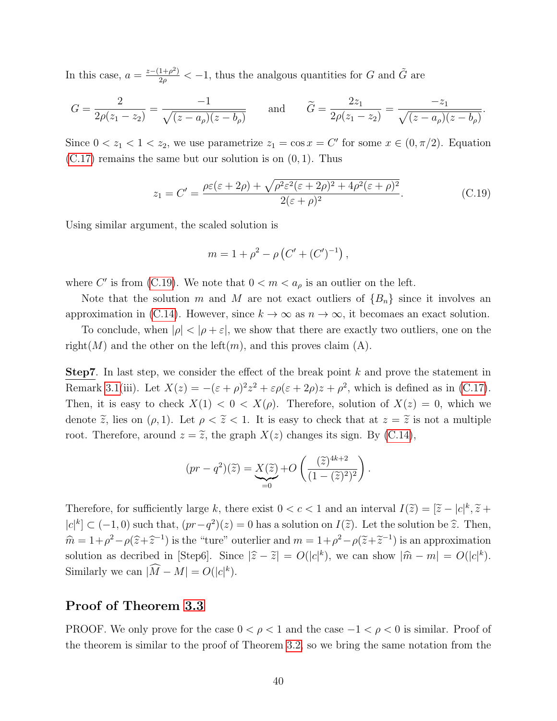In this case,  $a = \frac{z-(1+\rho^2)}{2\rho}$  $\frac{1+\rho^2}{2\rho} < -1$ , thus the analgous quantities for G and  $\tilde{G}$  are

$$
G = \frac{2}{2\rho(z_1 - z_2)} = \frac{-1}{\sqrt{(z - a_\rho)(z - b_\rho)}} \quad \text{and} \quad \tilde{G} = \frac{2z_1}{2\rho(z_1 - z_2)} = \frac{-z_1}{\sqrt{(z - a_\rho)(z - b_\rho)}}.
$$

Since  $0 < z_1 < 1 < z_2$ , we use parametrize  $z_1 = \cos x = C'$  for some  $x \in (0, \pi/2)$ . Equation  $(C.17)$  remains the same but our solution is on  $(0, 1)$ . Thus

<span id="page-39-1"></span>
$$
z_1 = C' = \frac{\rho \varepsilon (\varepsilon + 2\rho) + \sqrt{\rho^2 \varepsilon^2 (\varepsilon + 2\rho)^2 + 4\rho^2 (\varepsilon + \rho)^2}}{2(\varepsilon + \rho)^2}.
$$
 (C.19)

Using similar argument, the scaled solution is

$$
m = 1 + \rho^2 - \rho \left( C' + (C')^{-1} \right),
$$

where C' is from [\(C.19\)](#page-39-1). We note that  $0 < m < a_\rho$  is an outlier on the left.

Note that the solution m and M are not exact outliers of  ${B_n}$  since it involves an approximation in [\(C.14\)](#page-37-2). However, since  $k \to \infty$  as  $n \to \infty$ , it becomaes an exact solution.

To conclude, when  $|\rho| < |\rho + \varepsilon|$ , we show that there are exactly two outliers, one on the right(M) and the other on the left(m), and this proves claim (A).

**Step7.** In last step, we consider the effect of the break point  $k$  and prove the statement in Remark [3.1\(](#page-10-2)iii). Let  $X(z) = -(\varepsilon + \rho)^2 z^2 + \varepsilon \rho(\varepsilon + 2\rho)z + \rho^2$ , which is defined as in [\(C.17\)](#page-38-1). Then, it is easy to check  $X(1) < 0 < X(\rho)$ . Therefore, solution of  $X(z) = 0$ , which we denote  $\tilde{z}$ , lies on  $(\rho, 1)$ . Let  $\rho < \tilde{z} < 1$ . It is easy to check that at  $z = \tilde{z}$  is not a multiple root. Therefore, around  $z = \tilde{z}$ , the graph  $X(z)$  changes its sign. By [\(C.14\)](#page-37-2),

$$
(pr - q2)(\widetilde{z}) = \underbrace{X(\widetilde{z})}_{=0} + O\left(\frac{(\widetilde{z})^{4k+2}}{(1 - (\widetilde{z})^2)^2}\right).
$$

Therefore, for sufficiently large k, there exist  $0 < c < 1$  and an interval  $I(\tilde{z}) = [\tilde{z} - |c|^k, \tilde{z} + |c|^k, \tilde{z} + |c|^k] = (1, 2, 3)$  $|c|^k \subset (-1,0)$  such that,  $(pr-q^2)(z) = 0$  has a solution on  $I(\tilde{z})$ . Let the solution be  $\hat{z}$ . Then,  $\hat{m} = 1 + \rho^2 - \rho(\hat{z} + \hat{z}^{-1})$  is the "ture" outerlier and  $m = 1 + \rho^2 - \rho(\tilde{z} + \tilde{z}^{-1})$  is an approximation solution as decribed in [Step6]. Since  $|\hat{z} - \tilde{z}| = O(|c|^k)$ , we can show  $|\hat{m} - m| = O(|c|^k)$ . Similarly we can  $|\tilde{M} - M| = O(|c|^k)$ .

#### <span id="page-39-0"></span>Proof of Theorem [3.3](#page-12-1)

PROOF. We only prove for the case  $0 < \rho < 1$  and the case  $-1 < \rho < 0$  is similar. Proof of the theorem is similar to the proof of Theorem [3.2,](#page-10-0) so we bring the same notation from the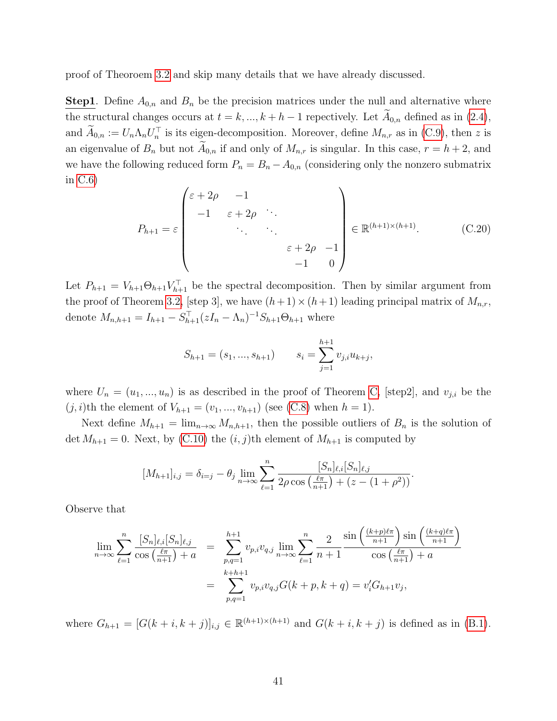proof of Theoroem [3.2](#page-10-0) and skip many details that we have already discussed.

**Step1**. Define  $A_{0,n}$  and  $B_n$  be the precision matrices under the null and alternative where the structural changes occurs at  $t = k, ..., k + h - 1$  repectively. Let  $A_{0,n}$  defined as in [\(2.4\)](#page-6-4), and  $\tilde{A}_{0,n} := U_n \Lambda_n U_n^{\top}$  is its eigen-decomposition. Moreover, define  $M_{n,r}$  as in [\(C.9\)](#page-34-0), then z is an eigenvalue of  $B_n$  but not  $A_{0,n}$  if and only of  $M_{n,r}$  is singular. In this case,  $r = h + 2$ , and we have the following reduced form  $P_n = B_n - A_{0,n}$  (considering only the nonzero submatrix in [C.6\)](#page-33-0)

<span id="page-40-0"></span>
$$
P_{h+1} = \varepsilon \begin{pmatrix} \varepsilon + 2\rho & -1 & & & \\ -1 & \varepsilon + 2\rho & \cdots & & \\ & \ddots & \ddots & & \\ & & \varepsilon + 2\rho & -1 \\ & & & -1 & 0 \end{pmatrix} \in \mathbb{R}^{(h+1)\times(h+1)}.
$$
 (C.20)

Let  $P_{h+1} = V_{h+1} \Theta_{h+1} V_{h+1}^{\top}$  be the spectral decomposition. Then by similar argument from the proof of Theorem [3.2,](#page-10-0) [step 3], we have  $(h+1)\times(h+1)$  leading principal matrix of  $M_{n,r}$ , denote  $M_{n,h+1} = I_{h+1} - S_{h+1}^{\top} (zI_n - \Lambda_n)^{-1} S_{h+1} \Theta_{h+1}$  where

$$
S_{h+1} = (s_1, ..., s_{h+1}) \qquad s_i = \sum_{j=1}^{h+1} v_{j,i} u_{k+j},
$$

where  $U_n = (u_1, ..., u_n)$  is as described in the proof of Theorem [C,](#page-32-1) [step2], and  $v_{j,i}$  be the  $(j, i)$ th the element of  $V_{h+1} = (v_1, ..., v_{h+1})$  (see [\(C.8\)](#page-34-1) when  $h = 1$ ).

Next define  $M_{h+1} = \lim_{n \to \infty} M_{n,h+1}$ , then the possible outliers of  $B_n$  is the solution of det  $M_{h+1} = 0$ . Next, by [\(C.10\)](#page-34-2) the  $(i, j)$ th element of  $M_{h+1}$  is computed by

$$
[M_{h+1}]_{i,j} = \delta_{i=j} - \theta_j \lim_{n \to \infty} \sum_{\ell=1}^n \frac{[S_n]_{\ell,i}[S_n]_{\ell,j}}{2\rho \cos\left(\frac{\ell \pi}{n+1}\right) + (z - (1 + \rho^2))}.
$$

Observe that

$$
\lim_{n \to \infty} \sum_{\ell=1}^{n} \frac{[S_n]_{\ell,i}[S_n]_{\ell,j}}{\cos\left(\frac{\ell \pi}{n+1}\right) + a} = \sum_{\substack{p,q=1 \ p,q=1}}^{h+1} v_{p,i} v_{q,j} \lim_{n \to \infty} \sum_{\ell=1}^{n} \frac{2}{n+1} \frac{\sin\left(\frac{(k+p)\ell \pi}{n+1}\right) \sin\left(\frac{(k+q)\ell \pi}{n+1}\right)}{\cos\left(\frac{\ell \pi}{n+1}\right) + a}
$$

$$
= \sum_{p,q=1}^{k+h+1} v_{p,i} v_{q,j} G(k+p, k+q) = v'_i G_{h+1} v_j,
$$

where  $G_{h+1} = [G(k+i, k+j)]_{i,j} \in \mathbb{R}^{(h+1)\times(h+1)}$  and  $G(k+i, k+j)$  is defined as in [\(B.1\)](#page-24-2).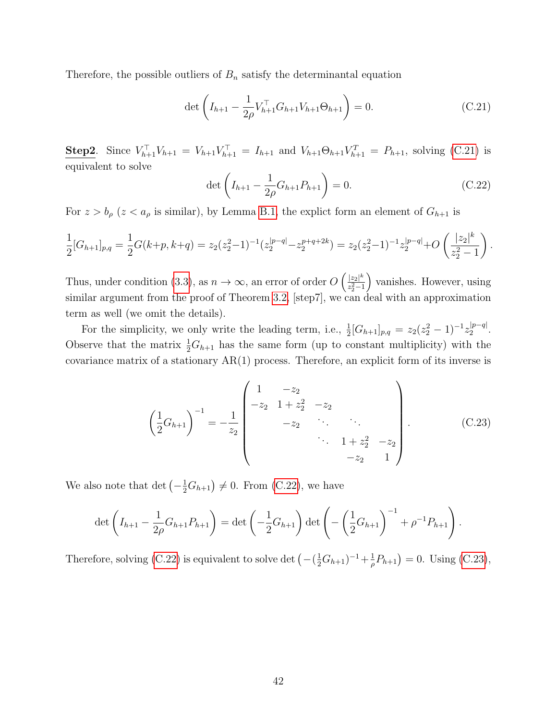Therefore, the possible outliers of  $B_n$  satisfy the determinantal equation

<span id="page-41-0"></span>
$$
\det\left(I_{h+1} - \frac{1}{2\rho} V_{h+1}^\top G_{h+1} V_{h+1} \Theta_{h+1}\right) = 0.
$$
\n(C.21)

**Step2**. Since  $V_{h+1}^{\top}V_{h+1} = V_{h+1}V_{h+1}^{\top} = I_{h+1}$  and  $V_{h+1}\Theta_{h+1}V_{h+1}^{\top} = P_{h+1}$ , solving [\(C.21\)](#page-41-0) is equivalent to solve

<span id="page-41-1"></span>
$$
\det\left(I_{h+1} - \frac{1}{2\rho}G_{h+1}P_{h+1}\right) = 0.
$$
\n(C.22)

For  $z > b_{\rho}$  ( $z < a_{\rho}$  is similar), by Lemma [B.1,](#page-24-1) the explict form an element of  $G_{h+1}$  is

$$
\frac{1}{2}[G_{h+1}]_{p,q} = \frac{1}{2}G(k+p, k+q) = z_2(z_2^2-1)^{-1}(z_2^{|p-q|}-z_2^{p+q+2k}) = z_2(z_2^2-1)^{-1}z_2^{|p-q|}+O\left(\frac{|z_2|^k}{z_2^2-1}\right).
$$

Thus, under condition [\(3.3\)](#page-9-1), as  $n \to \infty$ , an error of order  $O\left(\frac{|z_2|^k}{z_{n-1}^2}\right)$  $\sqrt[2^2]{z_2^2-1}$  vanishes. However, using similar argument from the proof of Theorem [3.2,](#page-10-0) [step7], we can deal with an approximation term as well (we omit the details).

For the simplicity, we only write the leading term, i.e.,  $\frac{1}{2}[G_{h+1}]_{p,q} = z_2(z_2^2 - 1)^{-1}z_2^{|p-q|}$  $2^{|p-q|}$ . Observe that the matrix  $\frac{1}{2}G_{h+1}$  has the same form (up to constant multiplicity) with the covariance matrix of a stationary  $AR(1)$  process. Therefore, an explicit form of its inverse is

<span id="page-41-2"></span>
$$
\left(\frac{1}{2}G_{h+1}\right)^{-1} = -\frac{1}{z_2} \begin{pmatrix} 1 & -z_2 & & & \\ -z_2 & 1+z_2^2 & -z_2 & & \\ & -z_2 & \cdots & \ddots & \\ & & & \ddots & 1+z_2^2 & -z_2 \\ & & & & -z_2 & 1 \end{pmatrix} . \tag{C.23}
$$

We also note that  $\det \left(-\frac{1}{2}G_{h+1}\right) \neq 0$ . From [\(C.22\)](#page-41-1), we have

$$
\det\left(I_{h+1} - \frac{1}{2\rho}G_{h+1}P_{h+1}\right) = \det\left(-\frac{1}{2}G_{h+1}\right)\det\left(-\left(\frac{1}{2}G_{h+1}\right)^{-1} + \rho^{-1}P_{h+1}\right).
$$

Therefore, solving [\(C.22\)](#page-41-1) is equivalent to solve det  $\left(-\left(\frac{1}{2}G_{h+1}\right)^{-1}+\frac{1}{\rho}\right)$  $(\frac{1}{\rho}P_{h+1})=0.$  Using [\(C.23\)](#page-41-2),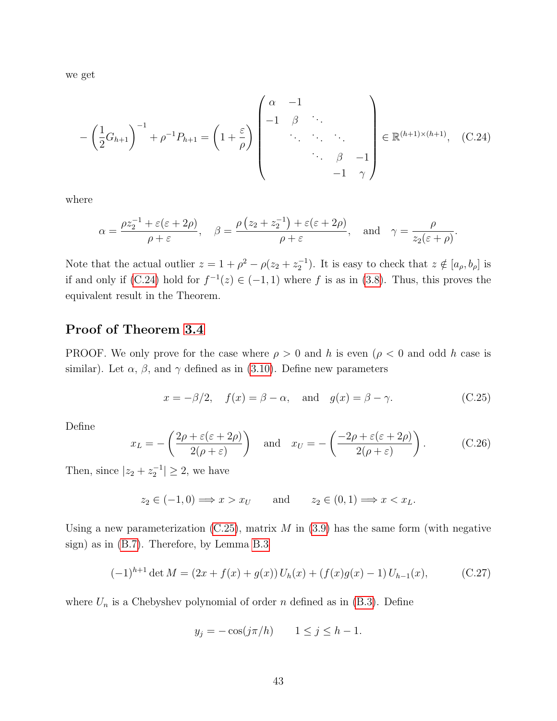we get

<span id="page-42-1"></span>
$$
-\left(\frac{1}{2}G_{h+1}\right)^{-1} + \rho^{-1}P_{h+1} = \left(1 + \frac{\varepsilon}{\rho}\right)\begin{pmatrix} \alpha & -1 & & \\ -1 & \beta & & \\ & \ddots & \ddots & \\ & & \ddots & \beta & -1 \\ & & & -1 & \gamma \end{pmatrix} \in \mathbb{R}^{(h+1)\times(h+1)}, \quad \text{(C.24)}
$$

where

$$
\alpha = \frac{\rho z_2^{-1} + \varepsilon(\varepsilon + 2\rho)}{\rho + \varepsilon}, \quad \beta = \frac{\rho(z_2 + z_2^{-1}) + \varepsilon(\varepsilon + 2\rho)}{\rho + \varepsilon}, \quad \text{and} \quad \gamma = \frac{\rho}{z_2(\varepsilon + \rho)}.
$$

Note that the actual outlier  $z = 1 + \rho^2 - \rho(z_2 + z_2^{-1})$ . It is easy to check that  $z \notin [a_{\rho}, b_{\rho}]$  is if and only if [\(C.24\)](#page-42-1) hold for  $f^{-1}(z) \in (-1,1)$  where f is as in [\(3.8\)](#page-11-2). Thus, this proves the equivalent result in the Theorem.

#### <span id="page-42-0"></span>Proof of Theorem [3.4](#page-13-2)

PROOF. We only prove for the case where  $\rho > 0$  and h is even  $(\rho < 0$  and odd h case is similar). Let  $\alpha$ ,  $\beta$ , and  $\gamma$  defined as in [\(3.10\)](#page-12-2). Define new parameters

<span id="page-42-2"></span>
$$
x = -\beta/2, \quad f(x) = \beta - \alpha, \quad \text{and} \quad g(x) = \beta - \gamma.
$$
 (C.25)

Define

<span id="page-42-3"></span>
$$
x_L = -\left(\frac{2\rho + \varepsilon(\varepsilon + 2\rho)}{2(\rho + \varepsilon)}\right) \quad \text{and} \quad x_U = -\left(\frac{-2\rho + \varepsilon(\varepsilon + 2\rho)}{2(\rho + \varepsilon)}\right). \tag{C.26}
$$

Then, since  $|z_2 + z_2^{-1}| \geq 2$ , we have

$$
z_2 \in (-1,0) \Longrightarrow x > x_U
$$
 and  $z_2 \in (0,1) \Longrightarrow x < x_L$ .

Using a new parameterization  $(C.25)$ , matrix M in  $(3.9)$  has the same form (with negative sign) as in [\(B.7\)](#page-26-2). Therefore, by Lemma [B.3](#page-26-3)

<span id="page-42-4"></span>
$$
(-1)^{h+1} \det M = (2x + f(x) + g(x)) U_h(x) + (f(x)g(x) - 1) U_{h-1}(x), \tag{C.27}
$$

where  $U_n$  is a Chebyshev polynomial of order n defined as in [\(B.3\)](#page-26-0). Define

$$
y_j = -\cos(j\pi/h) \qquad 1 \le j \le h - 1.
$$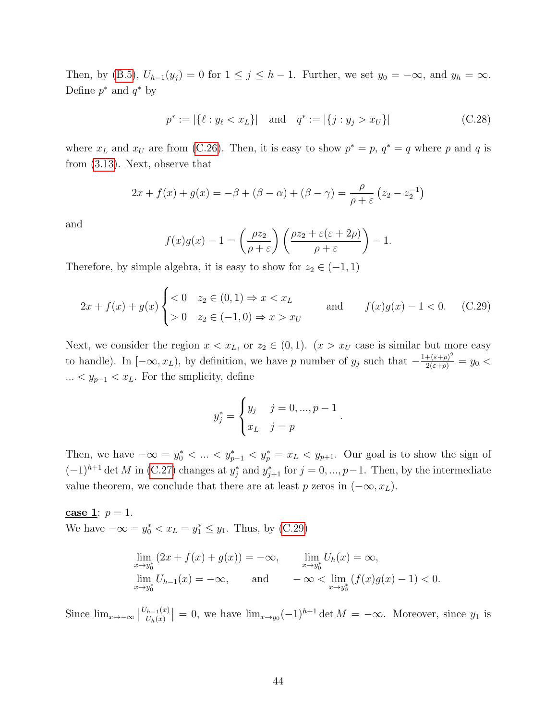Then, by [\(B.5\)](#page-26-4),  $U_{h-1}(y_j) = 0$  for  $1 \le j \le h-1$ . Further, we set  $y_0 = -\infty$ , and  $y_h = \infty$ . Define  $p^*$  and  $q^*$  by

$$
p^* := |\{\ell : y_\ell < x_L\}| \quad \text{and} \quad q^* := |\{j : y_j > x_U\}| \tag{C.28}
$$

where  $x_L$  and  $x_U$  are from [\(C.26\)](#page-42-3). Then, it is easy to show  $p^* = p$ ,  $q^* = q$  where p and q is from [\(3.13\)](#page-13-4). Next, observe that

$$
2x + f(x) + g(x) = -\beta + (\beta - \alpha) + (\beta - \gamma) = \frac{\rho}{\rho + \varepsilon} (z_2 - z_2^{-1})
$$

and

$$
f(x)g(x) - 1 = \left(\frac{\rho z_2}{\rho + \varepsilon}\right) \left(\frac{\rho z_2 + \varepsilon(\varepsilon + 2\rho)}{\rho + \varepsilon}\right) - 1.
$$

Therefore, by simple algebra, it is easy to show for  $z_2 \in (-1,1)$ 

<span id="page-43-0"></span>
$$
2x + f(x) + g(x) \begin{cases} < 0 & z_2 \in (0, 1) \Rightarrow x < x_L \\ > 0 & z_2 \in (-1, 0) \Rightarrow x > x_U \end{cases} \quad \text{and} \quad f(x)g(x) - 1 < 0. \quad \text{(C.29)}
$$

Next, we consider the region  $x < x_L$ , or  $z_2 \in (0,1)$ .  $(x > x_U$  case is similar but more easy to handle). In  $[-\infty, x_L)$ , by definition, we have p number of  $y_j$  such that  $-\frac{1+(\varepsilon+\rho)^2}{2(\varepsilon+\rho)}=y_0$ ...  $\lt y_{p-1}$   $\lt x_L$ . For the smplicity, define

$$
y_j^* = \begin{cases} y_j & j = 0, ..., p-1 \\ x_L & j = p \end{cases}
$$

.

Then, we have  $-\infty = y_0^* < ... < y_{p-1}^* < y_p^* = x_L < y_{p+1}$ . Our goal is to show the sign of  $(-1)^{h+1}$  det M in [\(C.27\)](#page-42-4) changes at  $y_j^*$  and  $y_{j+1}^*$  for  $j = 0, ..., p-1$ . Then, by the intermediate value theorem, we conclude that there are at least p zeros in  $(-\infty, x_L)$ .

case 1:  $p = 1$ . We have  $-\infty = y_0^* < x_L = y_1^* \le y_1$ . Thus, by [\(C.29\)](#page-43-0)

$$
\lim_{x \to y_0^*} (2x + f(x) + g(x)) = -\infty, \qquad \lim_{x \to y_0^*} U_h(x) = \infty, \n\lim_{x \to y_0^*} U_{h-1}(x) = -\infty, \qquad \text{and} \qquad -\infty < \lim_{x \to y_0^*} (f(x)g(x) - 1) < 0.
$$

Since  $\lim_{x\to-\infty}$  |  $U_{h-1}(x)$  $\left| \frac{U_{h-1}(x)}{U_h(x)} \right| = 0$ , we have  $\lim_{x \to y_0} (-1)^{h+1} \det M = -\infty$ . Moreover, since  $y_1$  is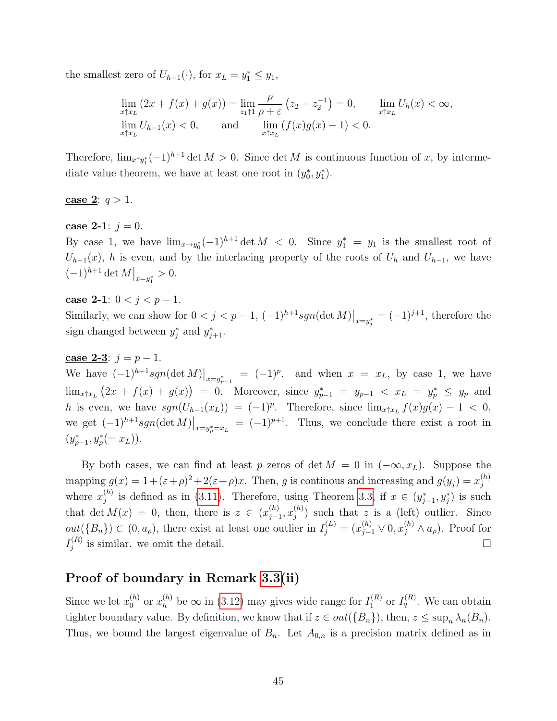the smallest zero of  $U_{h-1}(\cdot)$ , for  $x_L = y_1^* \leq y_1$ ,

$$
\lim_{x \uparrow x_L} (2x + f(x) + g(x)) = \lim_{z_1 \uparrow 1} \frac{\rho}{\rho + \varepsilon} (z_2 - z_2^{-1}) = 0, \qquad \lim_{x \uparrow x_L} U_h(x) < \infty,
$$
  
\n
$$
\lim_{x \uparrow x_L} U_{h-1}(x) < 0, \qquad \text{and} \qquad \lim_{x \uparrow x_L} (f(x)g(x) - 1) < 0.
$$

Therefore,  $\lim_{x \uparrow y_1^*} (-1)^{h+1} \det M > 0$ . Since  $\det M$  is continuous function of x, by intermediate value theorem, we have at least one root in  $(y_0^*, y_1^*)$ .

#### **case 2:**  $q > 1$ .

#### case 2-1:  $j = 0$ .

By case 1, we have  $\lim_{x\to y_0^*}(-1)^{h+1}\det M < 0$ . Since  $y_1^* = y_1$  is the smallest root of  $U_{h-1}(x)$ , h is even, and by the interlacing property of the roots of  $U_h$  and  $U_{h-1}$ , we have  $(-1)^{h+1} \det M \big|_{x=y_1^*} > 0.$ 

#### case 2-1:  $0 < j < p-1$ .

Similarly, we can show for  $0 < j < p-1$ ,  $(-1)^{h+1}sgn(\det M)|_{x=y_j^*} = (-1)^{j+1}$ , therefore the sign changed between  $y_j^*$  and  $y_{j+1}^*$ .

#### case 2-3:  $j = p - 1$ .

We have  $(-1)^{h+1} sgn(\det M)|_{x=y_{p-1}^*} = (-1)^p$ . and when  $x = x_L$ , by case 1, we have  $\lim_{x \uparrow x_L} (2x + f(x) + g(x)) = 0$ . Moreover, since  $y_{p-1}^* = y_{p-1} < x_L = y_p^* \le y_p$  and h is even, we have  $sgn(U_{h-1}(x_L)) = (-1)^p$ . Therefore, since  $\lim_{x \uparrow x_L} f(x)g(x) - 1 < 0$ , we get  $(-1)^{h+1}sgn(\det M)|_{x=y_p^*=x_L} = (-1)^{p+1}$ . Thus, we conclude there exist a root in  $(y_{p-1}^*, y_p^* (= x_L)).$ 

By both cases, we can find at least p zeros of det  $M = 0$  in  $(-\infty, x_L)$ . Suppose the mapping  $g(x) = 1 + (\varepsilon + \rho)^2 + 2(\varepsilon + \rho)x$ . Then, g is continous and increasing and  $g(y_j) = x_j^{(h)}$ j where  $x_i^{(h)}$  $j^{(h)}$  is defined as in [\(3.11\)](#page-13-0). Therefore, using Theorem [3.3,](#page-12-1) if  $x \in (y_{j-1}^*, y_j^*)$  is such that det  $M(x) = 0$ , then, there is  $z \in (x_{i-1}^{(h)})$  $_{j-1}^{(h)},x_j^{(h)}$  $j^{(n)}$ ) such that z is a (left) outlier. Since  $out({B_n}) \subset (0, a_\rho)$ , there exist at least one outlier in  $I_j^{(L)} = (x_{j-1}^{(h)} \vee 0, x_j^{(h)} \wedge a_\rho)$ . Proof for  $I_i^{(R)}$  $j^{(R)}$  is similar. we omit the detail.

#### Proof of boundary in Remark [3.3\(](#page-14-4)ii)

Since we let  $x_0^{(h)}$  $\binom{h}{0}$  or  $x_h^{(h)}$  $\binom{h}{h}$  be  $\infty$  in [\(3.12\)](#page-13-1) may gives wide range for  $I_1^{(R)}$  $I_q^{(R)}$  or  $I_q^{(R)}$ . We can obtain tighter boundary value. By definition, we know that if  $z \in out({B_n})$ , then,  $z \leq \sup_n \lambda_n(B_n)$ . Thus, we bound the largest eigenvalue of  $B_n$ . Let  $A_{0,n}$  is a precision matrix defined as in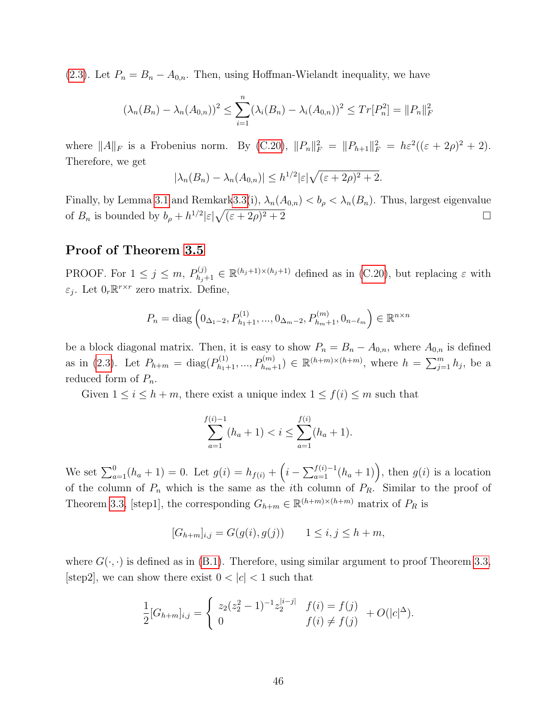[\(2.3\)](#page-6-3). Let  $P_n = B_n - A_{0,n}$ . Then, using Hoffman-Wielandt inequality, we have

$$
(\lambda_n(B_n) - \lambda_n(A_{0,n}))^2 \le \sum_{i=1}^n (\lambda_i(B_n) - \lambda_i(A_{0,n}))^2 \le Tr[P_n^2] = ||P_n||_F^2
$$

where  $||A||_F$  is a Frobenius norm. By [\(C.20\)](#page-40-0),  $||P_n||_F^2 = ||P_{h+1}||_F^2 = h\varepsilon^2((\varepsilon + 2\rho)^2 + 2)$ . Therefore, we get

$$
|\lambda_n(B_n) - \lambda_n(A_{0,n})| \le h^{1/2} |\varepsilon| \sqrt{(\varepsilon + 2\rho)^2 + 2}.
$$

Finally, by Lemma [3.1](#page-8-2) and Remkar[k3.3\(](#page-14-4)i),  $\lambda_n(A_{0,n}) < b_\rho < \lambda_n(B_n)$ . Thus, largest eigenvalue of  $B_n$  is bounded by  $b_\rho + h^{1/2} |\varepsilon| \sqrt{(\varepsilon + 2\rho)}$  $\sqrt{2^2+2}$ 

#### <span id="page-45-0"></span>Proof of Theorem [3.5](#page-15-1)

PROOF. For  $1 \leq j \leq m$ ,  $P_{h_j+1}^{(j)} \in \mathbb{R}^{(h_j+1)\times(h_j+1)}$  defined as in [\(C.20\)](#page-40-0), but replacing  $\varepsilon$  with  $\varepsilon_j$ . Let  $0_r \mathbb{R}^{r \times r}$  zero matrix. Define,

$$
P_n = \text{diag}\left(0_{\Delta_1 - 2}, P_{h_1 + 1}^{(1)}, ..., 0_{\Delta_m - 2}, P_{h_m + 1}^{(m)}, 0_{n - \ell_m}\right) \in \mathbb{R}^{n \times n}
$$

be a block diagonal matrix. Then, it is easy to show  $P_n = B_n - A_{0,n}$ , where  $A_{0,n}$  is defined as in [\(2.3\)](#page-6-3). Let  $P_{h+m} = \text{diag}(P_{h_1+1}^{(1)},...,P_{h_m+1}^{(m)}) \in \mathbb{R}^{(h+m)\times (h+m)}$ , where  $h = \sum_{j=1}^m h_j$ , be a reduced form of  $P_n$ .

Given  $1 \leq i \leq h+m$ , there exist a unique index  $1 \leq f(i) \leq m$  such that

$$
\sum_{a=1}^{f(i)-1} (h_a + 1) < i \leq \sum_{a=1}^{f(i)} (h_a + 1).
$$

We set  $\sum_{a=1}^{0} (h_a + 1) = 0$ . Let  $g(i) = h_{f(i)} + (i - \sum_{a=1}^{f(i)-1} (h_a + 1))$ , then  $g(i)$  is a location of the column of  $P_n$  which is the same as the *i*th column of  $P_R$ . Similar to the proof of Theorem [3.3,](#page-12-1) [step1], the corresponding  $G_{h+m} \in \mathbb{R}^{(h+m)\times (h+m)}$  matrix of  $P_R$  is

$$
[G_{h+m}]_{i,j} = G(g(i), g(j)) \qquad 1 \le i, j \le h+m,
$$

where  $G(\cdot, \cdot)$  is defined as in [\(B.1\)](#page-24-2). Therefore, using similar argument to proof Theorem [3.3,](#page-12-1) [step2], we can show there exist  $0 < |c| < 1$  such that

$$
\frac{1}{2}[G_{h+m}]_{i,j} = \begin{cases} z_2(z_2^2 - 1)^{-1}z_2^{|i-j|} & f(i) = f(j) \\ 0 & f(i) \neq f(j) \end{cases} + O(|c|^{\Delta}).
$$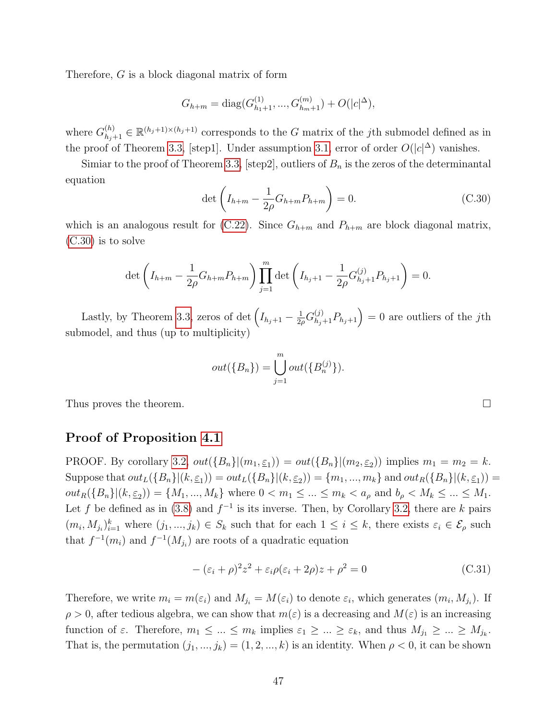Therefore, G is a block diagonal matrix of form

$$
G_{h+m} = \text{diag}(G_{h_1+1}^{(1)},...,G_{h_m+1}^{(m)}) + O(|c|^{\Delta}),
$$

where  $G_{h_j+1}^{(h)} \in \mathbb{R}^{(h_j+1)\times(h_j+1)}$  corresponds to the G matrix of the jth submodel defined as in the proof of Theorem [3.3,](#page-12-1) [step1]. Under assumption [3.1,](#page-14-1) error of order  $O(|c|^{\Delta})$  vanishes.

Simiar to the proof of Theorem [3.3,](#page-12-1) [step2], outliers of  $B_n$  is the zeros of the determinantal equation

<span id="page-46-1"></span>
$$
\det \left( I_{h+m} - \frac{1}{2\rho} G_{h+m} P_{h+m} \right) = 0.
$$
 (C.30)

which is an analogous result for [\(C.22\)](#page-41-1). Since  $G_{h+m}$  and  $P_{h+m}$  are block diagonal matrix, [\(C.30\)](#page-46-1) is to solve

$$
\det\left(I_{h+m} - \frac{1}{2\rho}G_{h+m}P_{h+m}\right) \prod_{j=1}^m \det\left(I_{h_j+1} - \frac{1}{2\rho}G_{h_j+1}^{(j)}P_{h_j+1}\right) = 0.
$$

Lastly, by Theorem [3.3,](#page-12-1) zeros of det  $\left(I_{h_j+1}-\frac{1}{2}\right)$  $\frac{1}{2\rho} G_{h_j+1}^{(j)} P_{h_j+1}$  = 0 are outliers of the jth submodel, and thus (up to multiplicity)

$$
out({B_n}) = \bigcup_{j=1}^{m} out({B_n^{(j)}}).
$$

Thus proves the theorem.

#### <span id="page-46-0"></span>Proof of Proposition [4.1](#page-16-0)

PROOF. By corollary [3.2,](#page-15-2)  $out({B_n} | (m_1, \underline{\varepsilon}_1)) = out({B_n} | (m_2, \underline{\varepsilon}_2))$  implies  $m_1 = m_2 = k$ . Suppose that  $out_L(\{B_n\}|(k, \underline{\varepsilon}_1)) = out_L(\{B_n\}|(k, \underline{\varepsilon}_2)) = \{m_1, ..., m_k\}$  and  $out_R(\{B_n\}|(k, \underline{\varepsilon}_1)) =$  $out_R(\{B_n\}|(k,\underline{\varepsilon}_2)) = \{M_1, ..., M_k\}$  where  $0 < m_1 \leq ... \leq m_k < a_\rho$  and  $b_\rho < M_k \leq ... \leq M_1$ . Let f be defined as in [\(3.8\)](#page-11-2) and  $f^{-1}$  is its inverse. Then, by Corollary [3.2,](#page-15-2) there are k pairs  $(m_i, M_{j_i})_{i=1}^k$  where  $(j_1, ..., j_k) \in S_k$  such that for each  $1 \leq i \leq k$ , there exists  $\varepsilon_i \in \mathcal{E}_{\rho}$  such that  $f^{-1}(m_i)$  and  $f^{-1}(M_{j_i})$  are roots of a quadratic equation

<span id="page-46-2"></span>
$$
-(\varepsilon_i + \rho)^2 z^2 + \varepsilon_i \rho (\varepsilon_i + 2\rho) z + \rho^2 = 0
$$
\n(C.31)

Therefore, we write  $m_i = m(\varepsilon_i)$  and  $M_{j_i} = M(\varepsilon_i)$  to denote  $\varepsilon_i$ , which generates  $(m_i, M_{j_i})$ . If  $\rho > 0$ , after tedious algebra, we can show that  $m(\varepsilon)$  is a decreasing and  $M(\varepsilon)$  is an increasing function of  $\varepsilon$ . Therefore,  $m_1 \leq ... \leq m_k$  implies  $\varepsilon_1 \geq ... \geq \varepsilon_k$ , and thus  $M_{j_1} \geq ... \geq M_{j_k}$ . That is, the permutation  $(j_1, ..., j_k) = (1, 2, ..., k)$  is an identity. When  $\rho < 0$ , it can be shown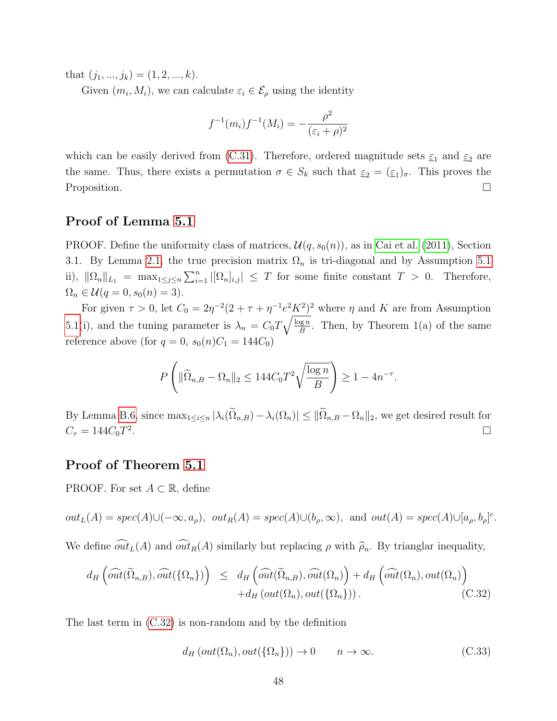that  $(j_1, ..., j_k) = (1, 2, ..., k).$ 

Given  $(m_i, M_i)$ , we can calculate  $\varepsilon_i \in \mathcal{E}_{\rho}$  using the identity

$$
f^{-1}(m_i) f^{-1}(M_i) = -\frac{\rho^2}{(\varepsilon_i + \rho)^2}
$$

which can be easily derived from [\(C.31\)](#page-46-2). Therefore, ordered magnitude sets  $\varepsilon_1$  and  $\varepsilon_2$  are the same. Thus, there exists a permutation  $\sigma \in S_k$  such that  $\underline{\varepsilon}_2 = (\underline{\varepsilon}_1)_\sigma$ . This proves the Proposition.

### <span id="page-47-0"></span>Proof of Lemma [5.1](#page-18-2)

PROOF. Define the uniformity class of matrices,  $\mathcal{U}(q, s_0(n))$ , as in [Cai et al.](#page-50-13) [\(2011\)](#page-50-13), Section 3.1. By Lemma [2.1,](#page-5-0) the true precision matrix  $\Omega_n$  is tri-diagonal and by Assumption [5.1](#page-18-0) ii),  $\|\Omega_n\|_{L_1} = \max_{1 \leq j \leq n} \sum_{i=1}^n |[\Omega_n]_{i,j}| \leq T$  for some finite constant  $T > 0$ . Therefore,  $\Omega_n \in \mathcal{U}(q = 0, s_0(n) = 3).$ 

For given  $\tau > 0$ , let  $C_0 = 2\eta^{-2}(2 + \tau + \eta^{-1}e^2K^2)^2$  where  $\eta$  and K are from Assumption [5.1\(](#page-18-0)i), and the tuning parameter is  $\lambda_n = C_0 T \sqrt{\frac{\log n}{B}}$  $\frac{\log n}{B}$ . Then, by Theorem 1(a) of the same reference above (for  $q = 0$ ,  $s_0(n)C_1 = 144C_0$ )

$$
P\left(\|\widetilde{\Omega}_{n,B} - \Omega_n\|_2 \le 144C_0T^2\sqrt{\frac{\log n}{B}}\right) \ge 1 - 4n^{-\tau}.
$$

By Lemma [B.6,](#page-27-3) since  $\max_{1 \leq i \leq n} |\lambda_i(\tilde{\Omega}_{n,B}) - \lambda_i(\Omega_n)| \leq ||\tilde{\Omega}_{n,B} - \Omega_n||_2$ , we get desired result for  $C_{\tau} = 144C_0T^2$ .  $C_{\tau} = 144 C_0 T^2$ .

#### <span id="page-47-1"></span>Proof of Theorem [5.1](#page-19-2)

PROOF. For set  $A \subset \mathbb{R}$ , define

$$
out_L(A) = spec(A) \cup (-\infty, a_\rho), out_R(A) = spec(A) \cup (b_\rho, \infty), and out(A) = spec(A) \cup [a_\rho, b_\rho]^c.
$$

We define  $\widehat{\omega t_L}(A)$  and  $\widehat{\omega t_R}(A)$  similarly but replacing  $\rho$  with  $\widehat{\rho}_n$ . By trianglar inequality,

<span id="page-47-2"></span>
$$
d_H\left(\widehat{\text{out}}(\widetilde{\Omega}_{n,B}), \widehat{\text{out}}(\{\Omega_n\})\right) \leq d_H\left(\widehat{\text{out}}(\widetilde{\Omega}_{n,B}), \widehat{\text{out}}(\Omega_n)\right) + d_H\left(\widehat{\text{out}}(\Omega_n), \text{out}(\Omega_n)\right) + d_H\left(\widehat{\text{out}}(\Omega_n), \text{out}(\Omega_n)\right) \tag{C.32}
$$

The last term in [\(C.32\)](#page-47-2) is non-random and by the definition

<span id="page-47-3"></span>
$$
d_H\left(\text{out}(\Omega_n),\text{out}(\{\Omega_n\})\right) \to 0 \qquad n \to \infty. \tag{C.33}
$$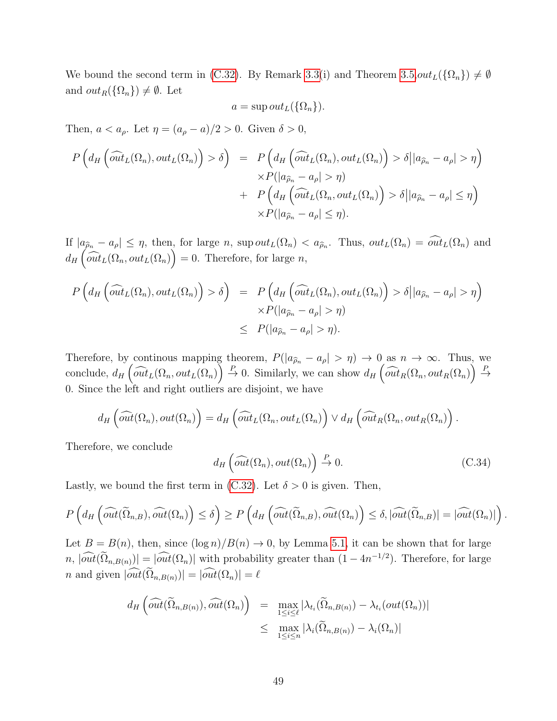We bound the second term in [\(C.32\)](#page-47-2). By Remark [3.3\(](#page-14-4)i) and Theorem [3.5,](#page-15-1) $out_L({\Omega_n}) \neq \emptyset$ and  $out_R({\Omega_n}) \neq \emptyset$ . Let

$$
a = \sup out_L(\{\Omega_n\}).
$$

Then,  $a < a_\rho$ . Let  $\eta = (a_\rho - a)/2 > 0$ . Given  $\delta > 0$ ,

$$
P\left(d_H\left(\widehat{out}_L(\Omega_n), out_L(\Omega_n)\right) > \delta\right) = P\left(d_H\left(\widehat{out}_L(\Omega_n), out_L(\Omega_n)\right) > \delta \big| |a_{\widehat{\rho}_n} - a_{\rho}| > \eta\right) \times P(|a_{\widehat{\rho}_n} - a_{\rho}| > \eta) + P\left(d_H\left(\widehat{out}_L(\Omega_n, out_L(\Omega_n))\right) > \delta \big| |a_{\widehat{\rho}_n} - a_{\rho}| \le \eta\right) \times P(|a_{\widehat{\rho}_n} - a_{\rho}| \le \eta).
$$

If  $|a_{\hat{\rho}_n} - a_{\rho}| \leq \eta$ , then, for large n, sup  $out_L(\Omega_n) < a_{\hat{\rho}_n}$ . Thus,  $out_L(\Omega_n) = out_L(\Omega_n)$  and  $d_H\left(\widehat{\omega_t}_L(\Omega_n,\omega_tL(\Omega_n)\right)=0.$  Therefore, for large n,

$$
P\left(d_H\left(\widehat{out}_L(\Omega_n), out_L(\Omega_n)\right) > \delta\right) = P\left(d_H\left(\widehat{out}_L(\Omega_n), out_L(\Omega_n)\right) > \delta \big| |a_{\widehat{\rho}_n} - a_{\rho}| > \eta\right) \times P(|a_{\widehat{\rho}_n} - a_{\rho}| > \eta) \leq P(|a_{\widehat{\rho}_n} - a_{\rho}| > \eta).
$$

Therefore, by continous mapping theorem,  $P(|a_{\hat{p}_n} - a_{\rho}| > \eta) \to 0$  as  $n \to \infty$ . Thus, we conclude,  $d_H\left(\widehat{\omega_t}L(\Omega_n,\omega_t L(\Omega_n))\right)\stackrel{P}{\to}0$ . Similarly, we can show  $d_H\left(\widehat{\omega_t}L(\Omega_n,\omega_t L(\Omega_n))\right)\stackrel{P}{\to}0$ 0. Since the left and right outliers are disjoint, we have

$$
d_H\left(\widehat{out}(\Omega_n), out(\Omega_n)\right) = d_H\left(\widehat{out}_L(\Omega_n, out_L(\Omega_n)) \vee d_H\left(\widehat{out}_R(\Omega_n, out_R(\Omega_n)\right).
$$

Therefore, we conclude

<span id="page-48-0"></span>
$$
d_H\left(\widehat{out}(\Omega_n), out(\Omega_n)\right) \stackrel{P}{\to} 0. \tag{C.34}
$$

Lastly, we bound the first term in [\(C.32\)](#page-47-2). Let  $\delta > 0$  is given. Then,

$$
P\left(d_H\left(\widehat{\omega t}(\widetilde{\Omega}_{n,B}),\widehat{\omega t}(\Omega_n)\right)\leq \delta\right)\geq P\left(d_H\left(\widehat{\omega t}(\widetilde{\Omega}_{n,B}),\widehat{\omega t}(\Omega_n)\right)\leq \delta, |\widehat{\omega t}(\widetilde{\Omega}_{n,B})|=|\widehat{\omega t}(\Omega_n)|\right).
$$

Let  $B = B(n)$ , then, since  $(\log n)/B(n) \to 0$ , by Lemma [5.1,](#page-18-2) it can be shown that for large  $n, |\widehat{out}(\Omega_{n,B(n)})| = |\widehat{out}(\Omega_n)|$  with probability greater than  $(1 - 4n^{-1/2})$ . Therefore, for large *n* and given  $|\widehat{out}(\widetilde{\Omega}_{n,B(n)})| = |\widehat{out}(\Omega_n)| = \ell$ 

$$
d_H\left(\widehat{out}(\widetilde{\Omega}_{n,B(n)}), \widehat{out}(\Omega_n)\right) = \max_{1 \le i \le \ell} |\lambda_{t_i}(\widetilde{\Omega}_{n,B(n)}) - \lambda_{t_i}(out(\Omega_n))|
$$
  

$$
\le \max_{1 \le i \le n} |\lambda_i(\widetilde{\Omega}_{n,B(n)}) - \lambda_i(\Omega_n)|
$$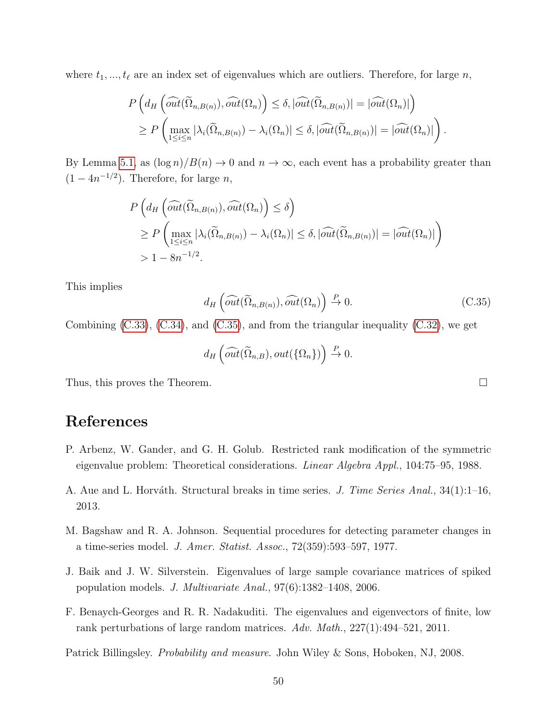where  $t_1, ..., t_\ell$  are an index set of eigenvalues which are outliers. Therefore, for large n,

$$
P\left(d_H\left(\widehat{out}(\widetilde{\Omega}_{n,B(n)}),\widehat{out}(\Omega_n)\right) \leq \delta, |\widehat{out}(\widetilde{\Omega}_{n,B(n)})| = |\widehat{out}(\Omega_n)|\right) \geq P\left(\max_{1\leq i\leq n} |\lambda_i(\widetilde{\Omega}_{n,B(n)}) - \lambda_i(\Omega_n)| \leq \delta, |\widehat{out}(\widetilde{\Omega}_{n,B(n)})| = |\widehat{out}(\Omega_n)|\right).
$$

By Lemma [5.1,](#page-18-2) as  $(\log n)/B(n) \to 0$  and  $n \to \infty$ , each event has a probability greater than  $(1-4n^{-1/2})$ . Therefore, for large *n*,

$$
P\left(d_H\left(\widehat{out}(\widetilde{\Omega}_{n,B(n)}),\widehat{out}(\Omega_n)\right) \le \delta\right)
$$
  
\n
$$
\ge P\left(\max_{1\le i\le n}|\lambda_i(\widetilde{\Omega}_{n,B(n)}) - \lambda_i(\Omega_n)| \le \delta, |\widehat{out}(\widetilde{\Omega}_{n,B(n)})| = |\widehat{out}(\Omega_n)|\right)
$$
  
\n
$$
> 1 - 8n^{-1/2}.
$$

This implies

<span id="page-49-6"></span>
$$
d_H\left(\widehat{\text{out}}(\widetilde{\Omega}_{n,B(n)}), \widehat{\text{out}}(\Omega_n)\right) \stackrel{P}{\to} 0. \tag{C.35}
$$

Combining [\(C.33\)](#page-47-3), [\(C.34\)](#page-48-0), and [\(C.35\)](#page-49-6), and from the triangular inequality [\(C.32\)](#page-47-2), we get

$$
d_H\left(\widehat{out}(\widetilde{\Omega}_{n,B}), out(\{\Omega_n\})\right) \stackrel{P}{\to} 0.
$$

Thus, this proves the Theorem.

# References

- <span id="page-49-5"></span>P. Arbenz, W. Gander, and G. H. Golub. Restricted rank modification of the symmetric eigenvalue problem: Theoretical considerations. Linear Algebra Appl., 104:75–95, 1988.
- <span id="page-49-1"></span>A. Aue and L. Horváth. Structural breaks in time series. J. Time Series Anal., 34(1):1–16, 2013.
- <span id="page-49-0"></span>M. Bagshaw and R. A. Johnson. Sequential procedures for detecting parameter changes in a time-series model. J. Amer. Statist. Assoc., 72(359):593–597, 1977.
- <span id="page-49-2"></span>J. Baik and J. W. Silverstein. Eigenvalues of large sample covariance matrices of spiked population models. J. Multivariate Anal., 97(6):1382–1408, 2006.
- <span id="page-49-3"></span>F. Benaych-Georges and R. R. Nadakuditi. The eigenvalues and eigenvectors of finite, low rank perturbations of large random matrices. Adv. Math., 227(1):494–521, 2011.

<span id="page-49-4"></span>Patrick Billingsley. Probability and measure. John Wiley & Sons, Hoboken, NJ, 2008.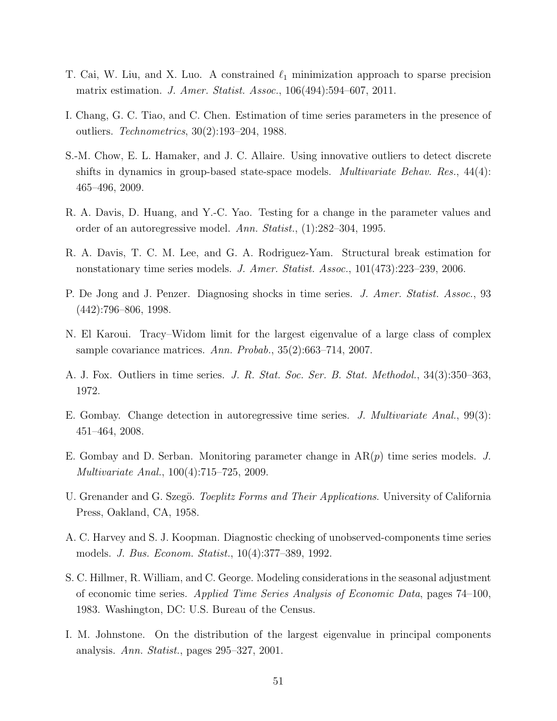- <span id="page-50-13"></span>T. Cai, W. Liu, and X. Luo. A constrained  $\ell_1$  minimization approach to sparse precision matrix estimation. J. Amer. Statist. Assoc., 106(494):594–607, 2011.
- <span id="page-50-6"></span>I. Chang, G. C. Tiao, and C. Chen. Estimation of time series parameters in the presence of outliers. Technometrics, 30(2):193–204, 1988.
- <span id="page-50-9"></span>S.-M. Chow, E. L. Hamaker, and J. C. Allaire. Using innovative outliers to detect discrete shifts in dynamics in group-based state-space models. *Multivariate Behav. Res.*, 44(4): 465–496, 2009.
- <span id="page-50-2"></span>R. A. Davis, D. Huang, and Y.-C. Yao. Testing for a change in the parameter values and order of an autoregressive model. Ann. Statist., (1):282–304, 1995.
- <span id="page-50-3"></span>R. A. Davis, T. C. M. Lee, and G. A. Rodriguez-Yam. Structural break estimation for nonstationary time series models. J. Amer. Statist. Assoc., 101(473):223–239, 2006.
- <span id="page-50-8"></span>P. De Jong and J. Penzer. Diagnosing shocks in time series. J. Amer. Statist. Assoc., 93 (442):796–806, 1998.
- <span id="page-50-11"></span>N. El Karoui. Tracy–Widom limit for the largest eigenvalue of a large class of complex sample covariance matrices. Ann. Probab., 35(2):663–714, 2007.
- <span id="page-50-4"></span>A. J. Fox. Outliers in time series. J. R. Stat. Soc. Ser. B. Stat. Methodol., 34(3):350–363, 1972.
- <span id="page-50-0"></span>E. Gombay. Change detection in autoregressive time series. J. Multivariate Anal., 99(3): 451–464, 2008.
- <span id="page-50-1"></span>E. Gombay and D. Serban. Monitoring parameter change in  $AR(p)$  time series models. J. Multivariate Anal., 100(4):715–725, 2009.
- <span id="page-50-12"></span>U. Grenander and G. Szegö. *Toeplitz Forms and Their Applications*. University of California Press, Oakland, CA, 1958.
- <span id="page-50-7"></span>A. C. Harvey and S. J. Koopman. Diagnostic checking of unobserved-components time series models. J. Bus. Econom. Statist., 10(4):377–389, 1992.
- <span id="page-50-5"></span>S. C. Hillmer, R. William, and C. George. Modeling considerations in the seasonal adjustment of economic time series. Applied Time Series Analysis of Economic Data, pages 74–100, 1983. Washington, DC: U.S. Bureau of the Census.
- <span id="page-50-10"></span>I. M. Johnstone. On the distribution of the largest eigenvalue in principal components analysis. Ann. Statist., pages 295–327, 2001.